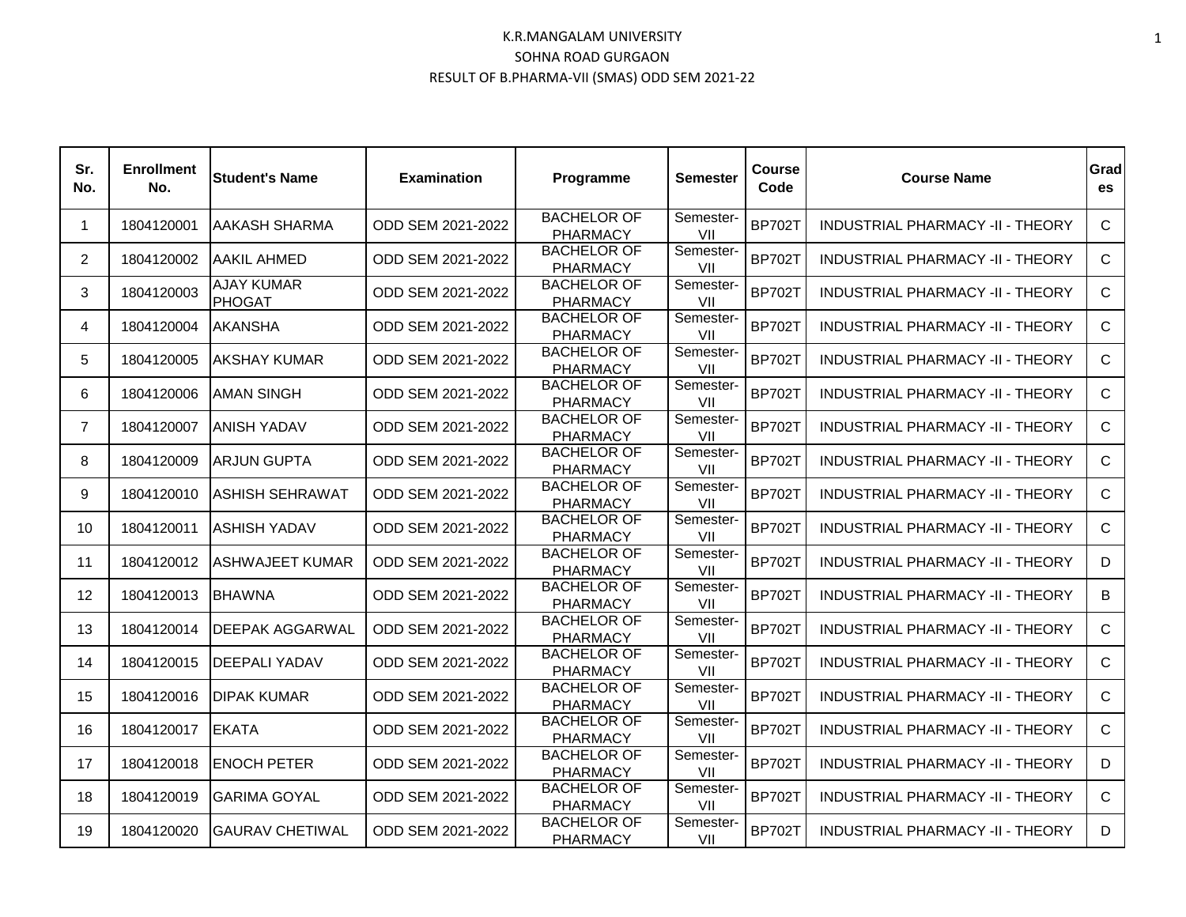| Sr.<br>No.     | <b>Enrollment</b><br>No. | <b>Student's Name</b>              | <b>Examination</b> | Programme                             | <b>Semester</b>  | Course<br>Code | <b>Course Name</b>                      | Grad<br>es   |
|----------------|--------------------------|------------------------------------|--------------------|---------------------------------------|------------------|----------------|-----------------------------------------|--------------|
| $\mathbf{1}$   | 1804120001               | AAKASH SHARMA                      | ODD SEM 2021-2022  | <b>BACHELOR OF</b><br><b>PHARMACY</b> | Semester-<br>VII | <b>BP702T</b>  | <b>INDUSTRIAL PHARMACY -II - THEORY</b> | $\mathsf{C}$ |
| $\overline{2}$ | 1804120002               | <b>AAKIL AHMED</b>                 | ODD SEM 2021-2022  | <b>BACHELOR OF</b><br><b>PHARMACY</b> | Semester-<br>VII | <b>BP702T</b>  | INDUSTRIAL PHARMACY -II - THEORY        | $\mathsf{C}$ |
| 3              | 1804120003               | <b>AJAY KUMAR</b><br><b>PHOGAT</b> | ODD SEM 2021-2022  | <b>BACHELOR OF</b><br><b>PHARMACY</b> | Semester-<br>VII | <b>BP702T</b>  | INDUSTRIAL PHARMACY -II - THEORY        | $\mathsf{C}$ |
| 4              | 1804120004               | <b>AKANSHA</b>                     | ODD SEM 2021-2022  | <b>BACHELOR OF</b><br><b>PHARMACY</b> | Semester-<br>VII | <b>BP702T</b>  | INDUSTRIAL PHARMACY -II - THEORY        | C            |
| 5              | 1804120005               | AKSHAY KUMAR                       | ODD SEM 2021-2022  | <b>BACHELOR OF</b><br><b>PHARMACY</b> | Semester-<br>VII | <b>BP702T</b>  | INDUSTRIAL PHARMACY -II - THEORY        | $\mathsf{C}$ |
| 6              | 1804120006               | AMAN SINGH                         | ODD SEM 2021-2022  | <b>BACHELOR OF</b><br><b>PHARMACY</b> | Semester-<br>VII | <b>BP702T</b>  | INDUSTRIAL PHARMACY -II - THEORY        | $\mathsf{C}$ |
| $\overline{7}$ | 1804120007               | ANISH YADAV                        | ODD SEM 2021-2022  | <b>BACHELOR OF</b><br><b>PHARMACY</b> | Semester-<br>VII | <b>BP702T</b>  | INDUSTRIAL PHARMACY -II - THEORY        | $\mathsf{C}$ |
| 8              | 1804120009               | <b>ARJUN GUPTA</b>                 | ODD SEM 2021-2022  | <b>BACHELOR OF</b><br>PHARMACY        | Semester-<br>VII | <b>BP702T</b>  | INDUSTRIAL PHARMACY -II - THEORY        | $\mathsf{C}$ |
| 9              | 1804120010               | ASHISH SEHRAWAT                    | ODD SEM 2021-2022  | <b>BACHELOR OF</b><br><b>PHARMACY</b> | Semester-<br>VII | <b>BP702T</b>  | INDUSTRIAL PHARMACY -II - THEORY        | $\mathsf{C}$ |
| 10             | 1804120011               | <b>ASHISH YADAV</b>                | ODD SEM 2021-2022  | <b>BACHELOR OF</b><br><b>PHARMACY</b> | Semester-<br>VII | <b>BP702T</b>  | INDUSTRIAL PHARMACY -II - THEORY        | $\mathsf{C}$ |
| 11             | 1804120012               | <b>ASHWAJEET KUMAR</b>             | ODD SEM 2021-2022  | <b>BACHELOR OF</b><br><b>PHARMACY</b> | Semester-<br>VII | <b>BP702T</b>  | <b>INDUSTRIAL PHARMACY -II - THEORY</b> | D            |
| 12             | 1804120013               | <b>BHAWNA</b>                      | ODD SEM 2021-2022  | <b>BACHELOR OF</b><br><b>PHARMACY</b> | Semester-<br>VII | <b>BP702T</b>  | INDUSTRIAL PHARMACY -II - THEORY        | B            |
| 13             | 1804120014               | DEEPAK AGGARWAL                    | ODD SEM 2021-2022  | <b>BACHELOR OF</b><br><b>PHARMACY</b> | Semester-<br>VII | <b>BP702T</b>  | INDUSTRIAL PHARMACY -II - THEORY        | $\mathsf{C}$ |
| 14             | 1804120015               | <b>DEEPALI YADAV</b>               | ODD SEM 2021-2022  | <b>BACHELOR OF</b><br><b>PHARMACY</b> | Semester-<br>VII | <b>BP702T</b>  | INDUSTRIAL PHARMACY -II - THEORY        | $\mathsf{C}$ |
| 15             | 1804120016               | <b>DIPAK KUMAR</b>                 | ODD SEM 2021-2022  | <b>BACHELOR OF</b><br><b>PHARMACY</b> | Semester-<br>VII | <b>BP702T</b>  | INDUSTRIAL PHARMACY -II - THEORY        | $\mathsf{C}$ |
| 16             | 1804120017               | <b>EKATA</b>                       | ODD SEM 2021-2022  | <b>BACHELOR OF</b><br><b>PHARMACY</b> | Semester-<br>VII | <b>BP702T</b>  | INDUSTRIAL PHARMACY -II - THEORY        | $\mathsf{C}$ |
| 17             | 1804120018               | <b>ENOCH PETER</b>                 | ODD SEM 2021-2022  | <b>BACHELOR OF</b><br><b>PHARMACY</b> | Semester-<br>VII | <b>BP702T</b>  | <b>INDUSTRIAL PHARMACY -II - THEORY</b> | D            |
| 18             | 1804120019               | <b>GARIMA GOYAL</b>                | ODD SEM 2021-2022  | <b>BACHELOR OF</b><br><b>PHARMACY</b> | Semester-<br>VII | <b>BP702T</b>  | INDUSTRIAL PHARMACY -II - THEORY        | $\mathsf{C}$ |
| 19             | 1804120020               | <b>GAURAV CHETIWAL</b>             | ODD SEM 2021-2022  | <b>BACHELOR OF</b><br><b>PHARMACY</b> | Semester-<br>VII | <b>BP702T</b>  | INDUSTRIAL PHARMACY -II - THEORY        | D            |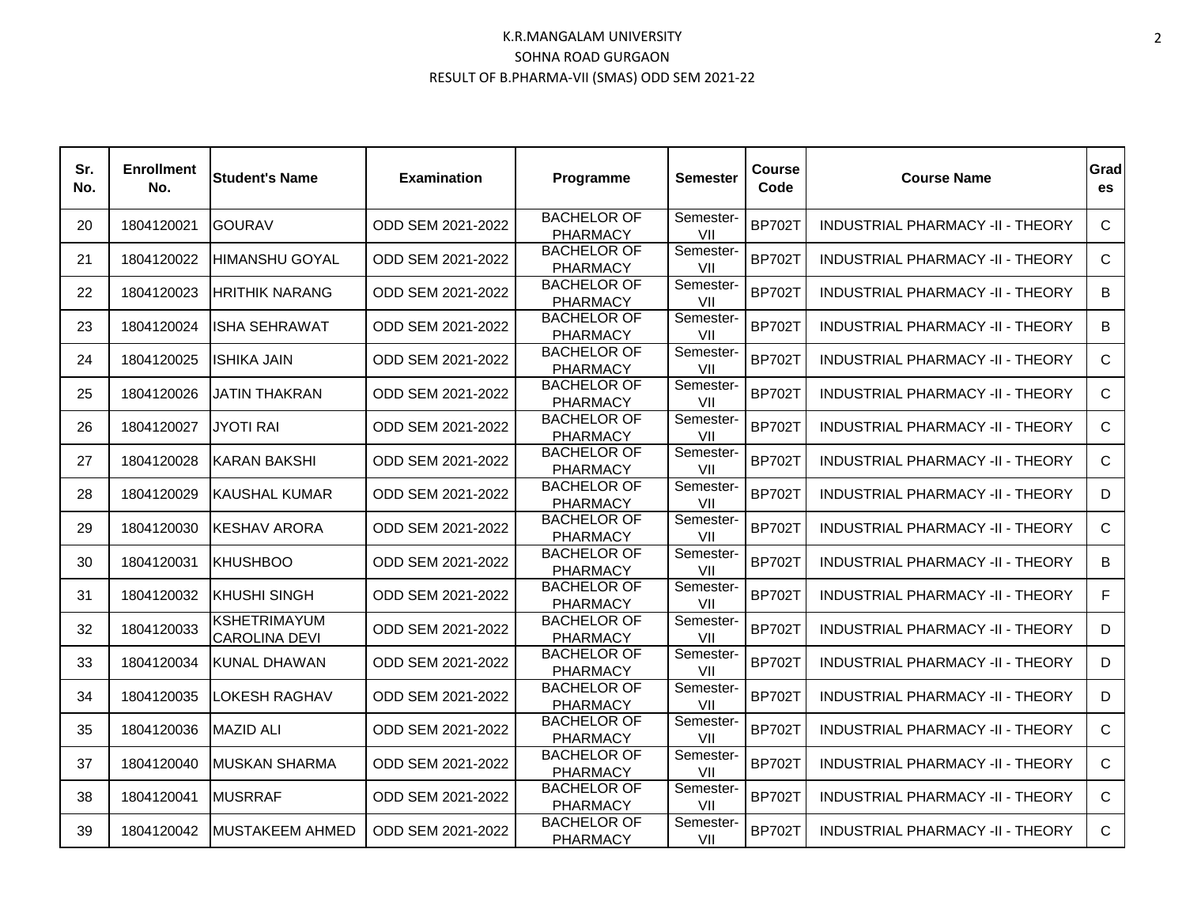| Sr.<br>No. | <b>Enrollment</b><br>No. | <b>Student's Name</b>                       | <b>Examination</b> | Programme                             | <b>Semester</b>  | Course<br>Code | <b>Course Name</b>                      | Grad<br>es    |
|------------|--------------------------|---------------------------------------------|--------------------|---------------------------------------|------------------|----------------|-----------------------------------------|---------------|
| 20         | 1804120021               | <b>GOURAV</b>                               | ODD SEM 2021-2022  | <b>BACHELOR OF</b><br><b>PHARMACY</b> | Semester-<br>VII | <b>BP702T</b>  | INDUSTRIAL PHARMACY -II - THEORY        | $\mathsf{C}$  |
| 21         | 1804120022               | HIMANSHU GOYAL                              | ODD SEM 2021-2022  | <b>BACHELOR OF</b><br><b>PHARMACY</b> | Semester-<br>VII | <b>BP702T</b>  | INDUSTRIAL PHARMACY -II - THEORY        | $\mathsf{C}$  |
| 22         | 1804120023               | <b>HRITHIK NARANG</b>                       | ODD SEM 2021-2022  | <b>BACHELOR OF</b><br><b>PHARMACY</b> | Semester-<br>VII | <b>BP702T</b>  | INDUSTRIAL PHARMACY -II - THEORY        | B             |
| 23         | 1804120024               | ISHA SEHRAWAT                               | ODD SEM 2021-2022  | <b>BACHELOR OF</b><br><b>PHARMACY</b> | Semester-<br>VII | <b>BP702T</b>  | INDUSTRIAL PHARMACY -II - THEORY        | B             |
| 24         | 1804120025               | ISHIKA JAIN                                 | ODD SEM 2021-2022  | <b>BACHELOR OF</b><br><b>PHARMACY</b> | Semester-<br>VII | <b>BP702T</b>  | INDUSTRIAL PHARMACY -II - THEORY        | $\mathsf{C}$  |
| 25         | 1804120026               | JATIN THAKRAN                               | ODD SEM 2021-2022  | <b>BACHELOR OF</b><br><b>PHARMACY</b> | Semester-<br>VII | <b>BP702T</b>  | <b>INDUSTRIAL PHARMACY -II - THEORY</b> | $\mathsf{C}$  |
| 26         | 1804120027               | <b>JYOTI RAI</b>                            | ODD SEM 2021-2022  | <b>BACHELOR OF</b><br><b>PHARMACY</b> | Semester-<br>VII | <b>BP702T</b>  | INDUSTRIAL PHARMACY -II - THEORY        | $\mathsf{C}$  |
| 27         | 1804120028               | <b>KARAN BAKSHI</b>                         | ODD SEM 2021-2022  | <b>BACHELOR OF</b><br><b>PHARMACY</b> | Semester-<br>VII | <b>BP702T</b>  | INDUSTRIAL PHARMACY -II - THEORY        | $\mathsf{C}$  |
| 28         | 1804120029               | KAUSHAL KUMAR                               | ODD SEM 2021-2022  | <b>BACHELOR OF</b><br><b>PHARMACY</b> | Semester-<br>VII | <b>BP702T</b>  | INDUSTRIAL PHARMACY -II - THEORY        | D             |
| 29         | 1804120030               | KESHAV ARORA                                | ODD SEM 2021-2022  | <b>BACHELOR OF</b><br><b>PHARMACY</b> | Semester-<br>VII | <b>BP702T</b>  | <b>INDUSTRIAL PHARMACY -II - THEORY</b> | $\mathcal{C}$ |
| 30         | 1804120031               | <b>KHUSHBOO</b>                             | ODD SEM 2021-2022  | <b>BACHELOR OF</b><br><b>PHARMACY</b> | Semester-<br>VII | <b>BP702T</b>  | INDUSTRIAL PHARMACY -II - THEORY        | B             |
| 31         | 1804120032               | <b>KHUSHI SINGH</b>                         | ODD SEM 2021-2022  | <b>BACHELOR OF</b><br><b>PHARMACY</b> | Semester-<br>VII | <b>BP702T</b>  | INDUSTRIAL PHARMACY -II - THEORY        | F.            |
| 32         | 1804120033               | <b>KSHETRIMAYUM</b><br><b>CAROLINA DEVI</b> | ODD SEM 2021-2022  | <b>BACHELOR OF</b><br><b>PHARMACY</b> | Semester-<br>VII | <b>BP702T</b>  | INDUSTRIAL PHARMACY -II - THEORY        | D             |
| 33         | 1804120034               | KUNAL DHAWAN                                | ODD SEM 2021-2022  | <b>BACHELOR OF</b><br><b>PHARMACY</b> | Semester-<br>VII | <b>BP702T</b>  | INDUSTRIAL PHARMACY -II - THEORY        | D             |
| 34         | 1804120035               | <b>LOKESH RAGHAV</b>                        | ODD SEM 2021-2022  | <b>BACHELOR OF</b><br><b>PHARMACY</b> | Semester-<br>VII | <b>BP702T</b>  | INDUSTRIAL PHARMACY -II - THEORY        | D             |
| 35         | 1804120036               | <b>MAZID ALI</b>                            | ODD SEM 2021-2022  | <b>BACHELOR OF</b><br><b>PHARMACY</b> | Semester-<br>VII | <b>BP702T</b>  | INDUSTRIAL PHARMACY -II - THEORY        | $\mathsf{C}$  |
| 37         | 1804120040               | <b>MUSKAN SHARMA</b>                        | ODD SEM 2021-2022  | <b>BACHELOR OF</b><br><b>PHARMACY</b> | Semester-<br>VII | <b>BP702T</b>  | INDUSTRIAL PHARMACY -II - THEORY        | $\mathsf{C}$  |
| 38         | 1804120041               | <b>MUSRRAF</b>                              | ODD SEM 2021-2022  | <b>BACHELOR OF</b><br><b>PHARMACY</b> | Semester-<br>VII | <b>BP702T</b>  | INDUSTRIAL PHARMACY -II - THEORY        | $\mathsf{C}$  |
| 39         | 1804120042               | <b>MUSTAKEEM AHMED</b>                      | ODD SEM 2021-2022  | <b>BACHELOR OF</b><br><b>PHARMACY</b> | Semester-<br>VII | <b>BP702T</b>  | INDUSTRIAL PHARMACY -II - THEORY        | $\mathsf{C}$  |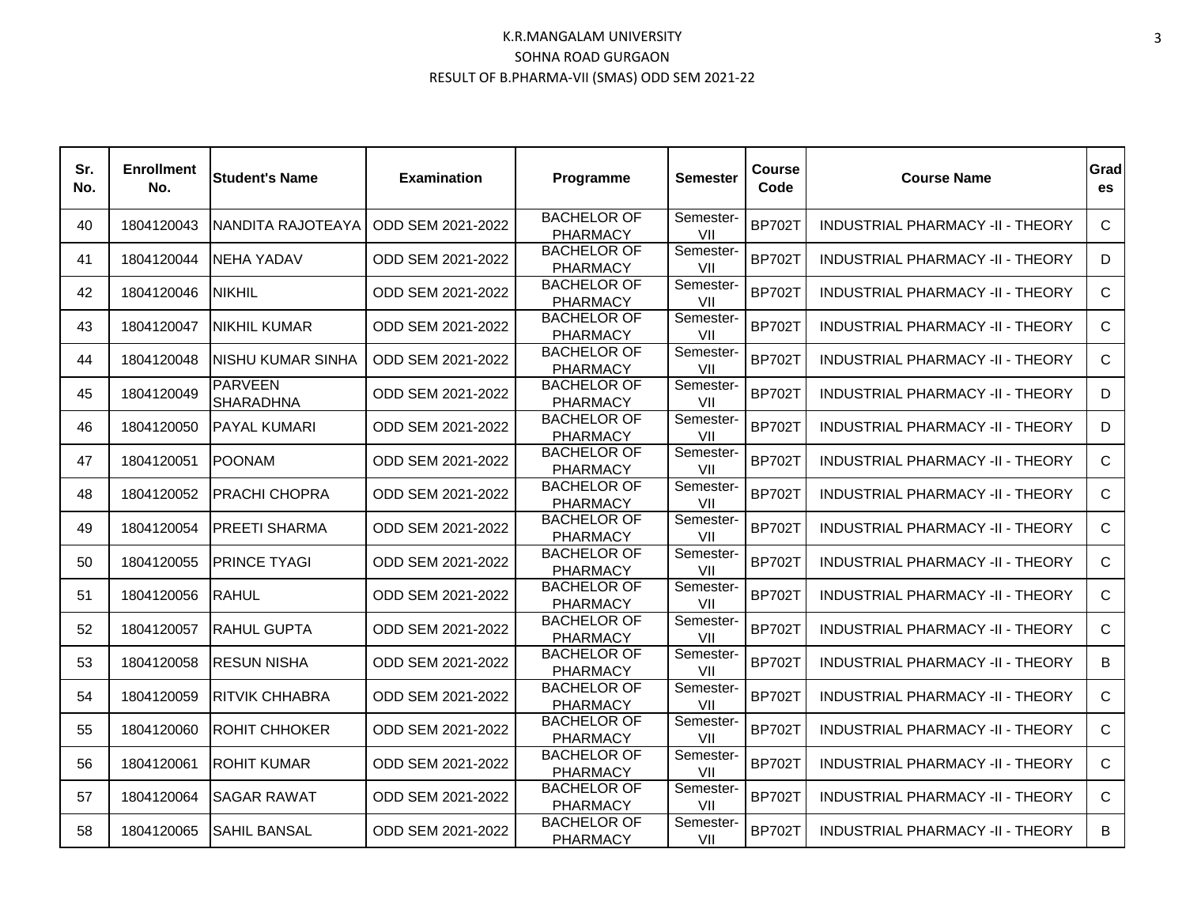| Sr.<br>No. | <b>Enrollment</b><br>No. | <b>Student's Name</b>              | <b>Examination</b> | Programme                             | <b>Semester</b>  | Course<br>Code | <b>Course Name</b>                      | Grad<br>es    |
|------------|--------------------------|------------------------------------|--------------------|---------------------------------------|------------------|----------------|-----------------------------------------|---------------|
| 40         | 1804120043               | INANDITA RAJOTEAYA                 | ODD SEM 2021-2022  | <b>BACHELOR OF</b><br><b>PHARMACY</b> | Semester-<br>VII | <b>BP702T</b>  | <b>INDUSTRIAL PHARMACY -II - THEORY</b> | $\mathsf{C}$  |
| 41         | 1804120044               | <b>NEHA YADAV</b>                  | ODD SEM 2021-2022  | <b>BACHELOR OF</b><br><b>PHARMACY</b> | Semester-<br>VII | <b>BP702T</b>  | INDUSTRIAL PHARMACY -II - THEORY        | D             |
| 42         | 1804120046               | <b>NIKHIL</b>                      | ODD SEM 2021-2022  | <b>BACHELOR OF</b><br><b>PHARMACY</b> | Semester-<br>VII | <b>BP702T</b>  | INDUSTRIAL PHARMACY -II - THEORY        | $\mathsf{C}$  |
| 43         | 1804120047               | INIKHIL KUMAR                      | ODD SEM 2021-2022  | <b>BACHELOR OF</b><br><b>PHARMACY</b> | Semester-<br>VII | <b>BP702T</b>  | INDUSTRIAL PHARMACY -II - THEORY        | C             |
| 44         | 1804120048               | NISHU KUMAR SINHA                  | ODD SEM 2021-2022  | <b>BACHELOR OF</b><br><b>PHARMACY</b> | Semester-<br>VII | <b>BP702T</b>  | INDUSTRIAL PHARMACY -II - THEORY        | $\mathsf{C}$  |
| 45         | 1804120049               | <b>PARVEEN</b><br><b>SHARADHNA</b> | ODD SEM 2021-2022  | <b>BACHELOR OF</b><br><b>PHARMACY</b> | Semester-<br>VII | <b>BP702T</b>  | <b>INDUSTRIAL PHARMACY -II - THEORY</b> | D             |
| 46         | 1804120050               | <b>PAYAL KUMARI</b>                | ODD SEM 2021-2022  | <b>BACHELOR OF</b><br><b>PHARMACY</b> | Semester-<br>VII | <b>BP702T</b>  | INDUSTRIAL PHARMACY -II - THEORY        | D             |
| 47         | 1804120051               | IPOONAM                            | ODD SEM 2021-2022  | <b>BACHELOR OF</b><br><b>PHARMACY</b> | Semester-<br>VII | <b>BP702T</b>  | INDUSTRIAL PHARMACY -II - THEORY        | $\mathcal{C}$ |
| 48         | 1804120052               | <b>PRACHI CHOPRA</b>               | ODD SEM 2021-2022  | <b>BACHELOR OF</b><br><b>PHARMACY</b> | Semester-<br>VII | <b>BP702T</b>  | INDUSTRIAL PHARMACY -II - THEORY        | $\mathsf{C}$  |
| 49         | 1804120054               | <b>PREETI SHARMA</b>               | ODD SEM 2021-2022  | <b>BACHELOR OF</b><br><b>PHARMACY</b> | Semester-<br>VII | <b>BP702T</b>  | INDUSTRIAL PHARMACY -II - THEORY        | $\mathsf{C}$  |
| 50         | 1804120055               | <b>PRINCE TYAGI</b>                | ODD SEM 2021-2022  | <b>BACHELOR OF</b><br><b>PHARMACY</b> | Semester-<br>VII | <b>BP702T</b>  | INDUSTRIAL PHARMACY -II - THEORY        | $\mathsf{C}$  |
| 51         | 1804120056               | <b>RAHUL</b>                       | ODD SEM 2021-2022  | <b>BACHELOR OF</b><br><b>PHARMACY</b> | Semester-<br>VII | <b>BP702T</b>  | INDUSTRIAL PHARMACY -II - THEORY        | $\mathsf{C}$  |
| 52         | 1804120057               | <b>RAHUL GUPTA</b>                 | ODD SEM 2021-2022  | <b>BACHELOR OF</b><br><b>PHARMACY</b> | Semester-<br>VII | <b>BP702T</b>  | INDUSTRIAL PHARMACY -II - THEORY        | $\mathsf{C}$  |
| 53         | 1804120058               | <b>RESUN NISHA</b>                 | ODD SEM 2021-2022  | <b>BACHELOR OF</b><br><b>PHARMACY</b> | Semester-<br>VII | <b>BP702T</b>  | INDUSTRIAL PHARMACY -II - THEORY        | B             |
| 54         | 1804120059               | IRITVIK CHHABRA                    | ODD SEM 2021-2022  | <b>BACHELOR OF</b><br><b>PHARMACY</b> | Semester-<br>VII | <b>BP702T</b>  | <b>INDUSTRIAL PHARMACY -II - THEORY</b> | $\mathcal{C}$ |
| 55         | 1804120060               | <b>ROHIT CHHOKER</b>               | ODD SEM 2021-2022  | <b>BACHELOR OF</b><br><b>PHARMACY</b> | Semester-<br>VII | <b>BP702T</b>  | INDUSTRIAL PHARMACY -II - THEORY        | $\mathsf{C}$  |
| 56         | 1804120061               | <b>ROHIT KUMAR</b>                 | ODD SEM 2021-2022  | <b>BACHELOR OF</b><br><b>PHARMACY</b> | Semester-<br>VII | <b>BP702T</b>  | INDUSTRIAL PHARMACY -II - THEORY        | $\mathsf{C}$  |
| 57         | 1804120064               | <b>SAGAR RAWAT</b>                 | ODD SEM 2021-2022  | <b>BACHELOR OF</b><br><b>PHARMACY</b> | Semester-<br>VII | <b>BP702T</b>  | INDUSTRIAL PHARMACY -II - THEORY        | $\mathsf{C}$  |
| 58         | 1804120065               | ISAHIL BANSAL                      | ODD SEM 2021-2022  | <b>BACHELOR OF</b><br><b>PHARMACY</b> | Semester-<br>VII | <b>BP702T</b>  | INDUSTRIAL PHARMACY -II - THEORY        | B             |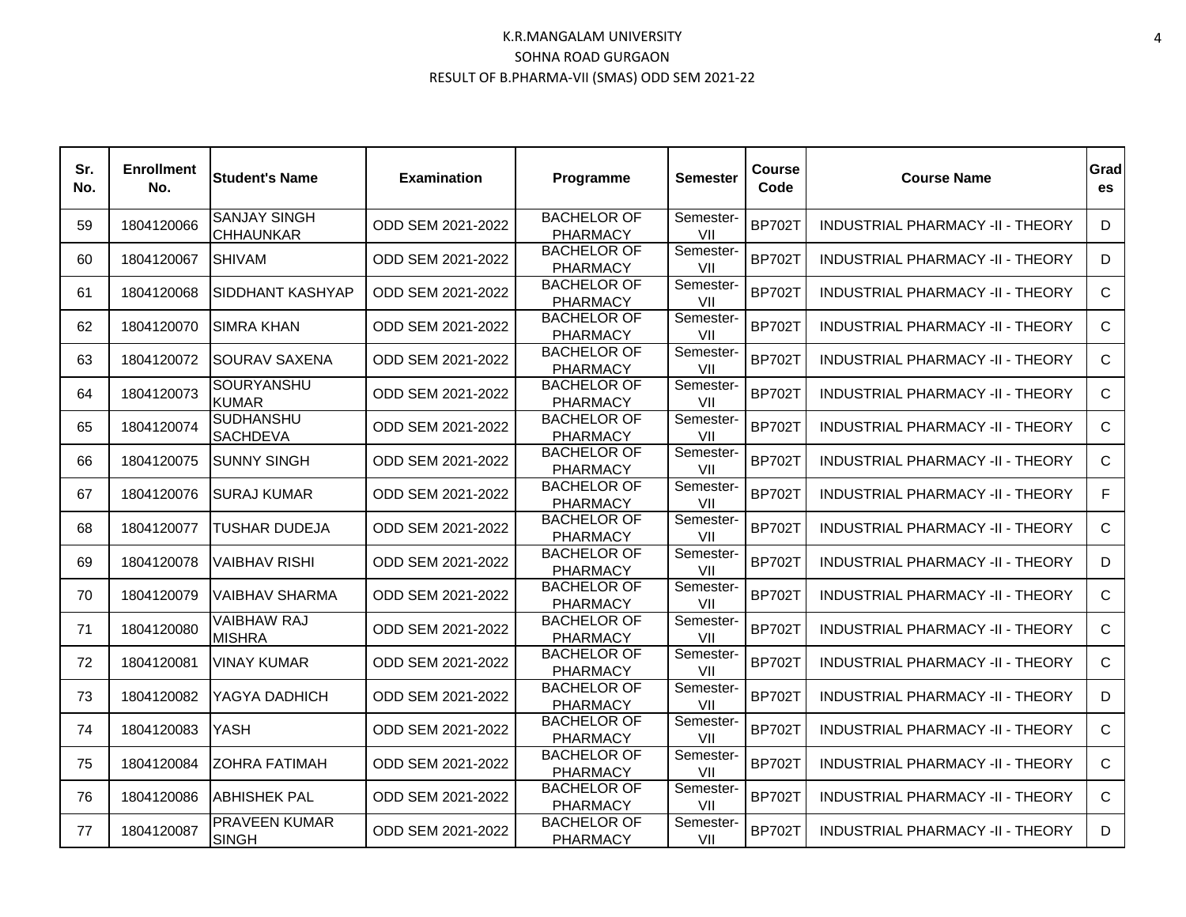| Sr.<br>No. | <b>Enrollment</b><br>No. | <b>Student's Name</b>                   | <b>Examination</b> | Programme                             | <b>Semester</b>  | Course<br>Code | <b>Course Name</b>                      | Grad<br>es   |
|------------|--------------------------|-----------------------------------------|--------------------|---------------------------------------|------------------|----------------|-----------------------------------------|--------------|
| 59         | 1804120066               | <b>SANJAY SINGH</b><br><b>CHHAUNKAR</b> | ODD SEM 2021-2022  | <b>BACHELOR OF</b><br><b>PHARMACY</b> | Semester-<br>VII | <b>BP702T</b>  | INDUSTRIAL PHARMACY -II - THEORY        | D            |
| 60         | 1804120067               | <b>SHIVAM</b>                           | ODD SEM 2021-2022  | <b>BACHELOR OF</b><br><b>PHARMACY</b> | Semester-<br>VII | <b>BP702T</b>  | <b>INDUSTRIAL PHARMACY -II - THEORY</b> | D            |
| 61         | 1804120068               | <b>SIDDHANT KASHYAP</b>                 | ODD SEM 2021-2022  | <b>BACHELOR OF</b><br><b>PHARMACY</b> | Semester-<br>VII | <b>BP702T</b>  | INDUSTRIAL PHARMACY -II - THEORY        | $\mathsf{C}$ |
| 62         | 1804120070               | <b>SIMRA KHAN</b>                       | ODD SEM 2021-2022  | <b>BACHELOR OF</b><br><b>PHARMACY</b> | Semester-<br>VII | <b>BP702T</b>  | INDUSTRIAL PHARMACY -II - THEORY        | $\mathsf{C}$ |
| 63         | 1804120072               | <b>SOURAV SAXENA</b>                    | ODD SEM 2021-2022  | <b>BACHELOR OF</b><br><b>PHARMACY</b> | Semester-<br>VII | <b>BP702T</b>  | INDUSTRIAL PHARMACY -II - THEORY        | $\mathsf{C}$ |
| 64         | 1804120073               | SOURYANSHU<br><b>KUMAR</b>              | ODD SEM 2021-2022  | <b>BACHELOR OF</b><br><b>PHARMACY</b> | Semester-<br>VII | <b>BP702T</b>  | INDUSTRIAL PHARMACY -II - THEORY        | $\mathsf{C}$ |
| 65         | 1804120074               | <b>SUDHANSHU</b><br><b>SACHDEVA</b>     | ODD SEM 2021-2022  | <b>BACHELOR OF</b><br><b>PHARMACY</b> | Semester-<br>VII | <b>BP702T</b>  | INDUSTRIAL PHARMACY -II - THEORY        | $\mathsf{C}$ |
| 66         | 1804120075               | <b>SUNNY SINGH</b>                      | ODD SEM 2021-2022  | <b>BACHELOR OF</b><br><b>PHARMACY</b> | Semester-<br>VII | <b>BP702T</b>  | INDUSTRIAL PHARMACY -II - THEORY        | $\mathsf{C}$ |
| 67         | 1804120076               | SURAJ KUMAR                             | ODD SEM 2021-2022  | <b>BACHELOR OF</b><br><b>PHARMACY</b> | Semester-<br>VII | <b>BP702T</b>  | INDUSTRIAL PHARMACY -II - THEORY        | F.           |
| 68         | 1804120077               | <b>TUSHAR DUDEJA</b>                    | ODD SEM 2021-2022  | <b>BACHELOR OF</b><br><b>PHARMACY</b> | Semester-<br>VII | <b>BP702T</b>  | INDUSTRIAL PHARMACY -II - THEORY        | $\mathsf{C}$ |
| 69         | 1804120078               | VAIBHAV RISHI                           | ODD SEM 2021-2022  | <b>BACHELOR OF</b><br><b>PHARMACY</b> | Semester-<br>VII | <b>BP702T</b>  | INDUSTRIAL PHARMACY -II - THEORY        | D            |
| 70         | 1804120079               | VAIBHAV SHARMA                          | ODD SEM 2021-2022  | <b>BACHELOR OF</b><br><b>PHARMACY</b> | Semester-<br>VII | <b>BP702T</b>  | INDUSTRIAL PHARMACY -II - THEORY        | $\mathsf{C}$ |
| 71         | 1804120080               | VAIBHAW RAJ<br><b>MISHRA</b>            | ODD SEM 2021-2022  | <b>BACHELOR OF</b><br><b>PHARMACY</b> | Semester-<br>VII | <b>BP702T</b>  | <b>INDUSTRIAL PHARMACY -II - THEORY</b> | $\mathsf{C}$ |
| 72         | 1804120081               | <b>VINAY KUMAR</b>                      | ODD SEM 2021-2022  | <b>BACHELOR OF</b><br><b>PHARMACY</b> | Semester-<br>VII | <b>BP702T</b>  | <b>INDUSTRIAL PHARMACY -II - THEORY</b> | $\mathsf{C}$ |
| 73         | 1804120082               | YAGYA DADHICH                           | ODD SEM 2021-2022  | <b>BACHELOR OF</b><br><b>PHARMACY</b> | Semester-<br>VII | <b>BP702T</b>  | <b>INDUSTRIAL PHARMACY -II - THEORY</b> | D            |
| 74         | 1804120083               | YASH                                    | ODD SEM 2021-2022  | <b>BACHELOR OF</b><br><b>PHARMACY</b> | Semester-<br>VII | <b>BP702T</b>  | <b>INDUSTRIAL PHARMACY -II - THEORY</b> | $\mathsf{C}$ |
| 75         | 1804120084               | <b>ZOHRA FATIMAH</b>                    | ODD SEM 2021-2022  | <b>BACHELOR OF</b><br><b>PHARMACY</b> | Semester-<br>VII | <b>BP702T</b>  | INDUSTRIAL PHARMACY -II - THEORY        | $\mathsf{C}$ |
| 76         | 1804120086               | <b>ABHISHEK PAL</b>                     | ODD SEM 2021-2022  | <b>BACHELOR OF</b><br><b>PHARMACY</b> | Semester-<br>VII | <b>BP702T</b>  | INDUSTRIAL PHARMACY -II - THEORY        | $\mathsf{C}$ |
| 77         | 1804120087               | PRAVEEN KUMAR<br><b>SINGH</b>           | ODD SEM 2021-2022  | <b>BACHELOR OF</b><br><b>PHARMACY</b> | Semester-<br>VII | <b>BP702T</b>  | INDUSTRIAL PHARMACY -II - THEORY        | D            |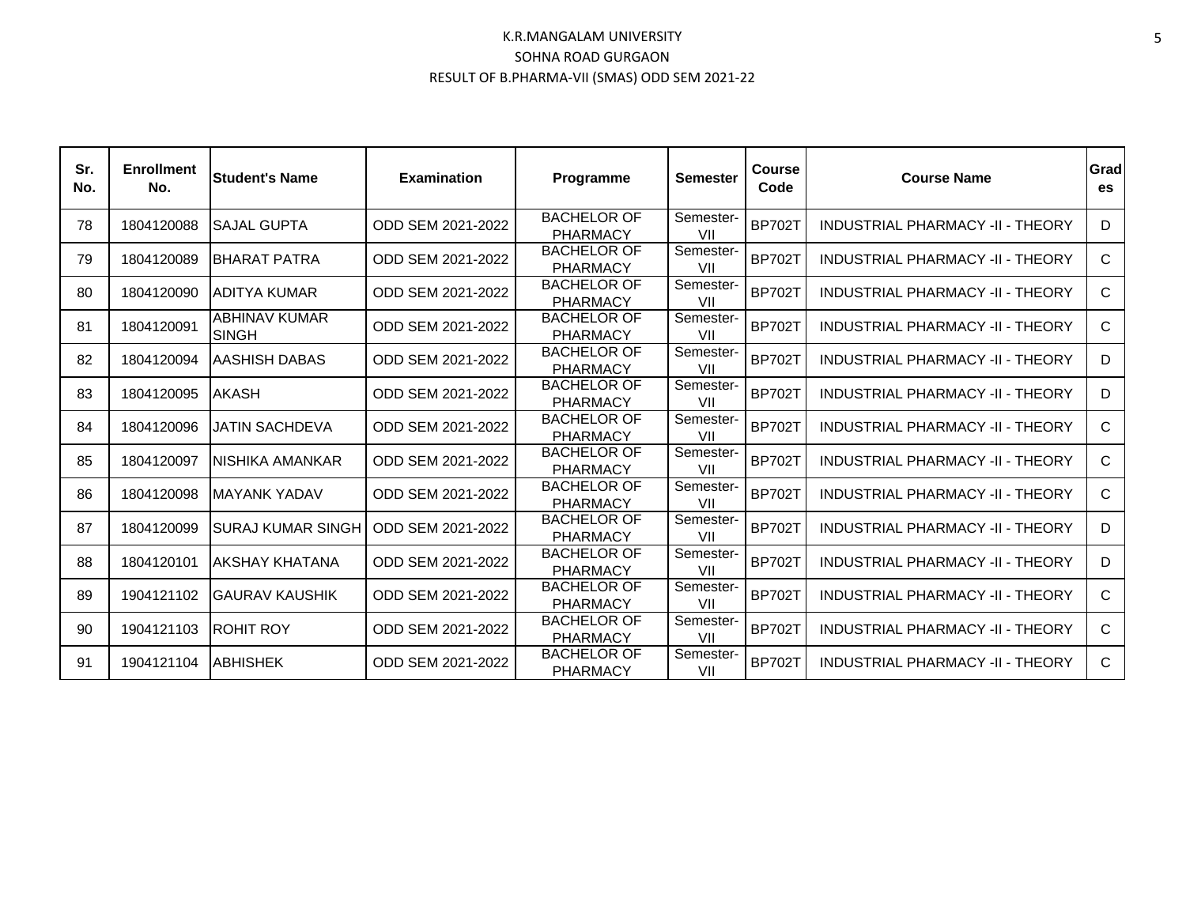| Sr.<br>No. | <b>Enrollment</b><br>No. | <b>Student's Name</b>         | <b>Examination</b> | Programme                             | <b>Semester</b>  | Course<br>Code | <b>Course Name</b>                      | Grad<br>es   |
|------------|--------------------------|-------------------------------|--------------------|---------------------------------------|------------------|----------------|-----------------------------------------|--------------|
| 78         | 1804120088               | <b>ISAJAL GUPTA</b>           | ODD SEM 2021-2022  | <b>BACHELOR OF</b><br><b>PHARMACY</b> | Semester-<br>VII | <b>BP702T</b>  | <b>INDUSTRIAL PHARMACY -II - THEORY</b> | D            |
| 79         | 1804120089               | <b>IBHARAT PATRA</b>          | ODD SEM 2021-2022  | <b>BACHELOR OF</b><br><b>PHARMACY</b> | Semester-<br>VII | <b>BP702T</b>  | <b>INDUSTRIAL PHARMACY -II - THEORY</b> | $\mathsf{C}$ |
| 80         | 1804120090               | ADITYA KUMAR                  | ODD SEM 2021-2022  | <b>BACHELOR OF</b><br><b>PHARMACY</b> | Semester-<br>VII | <b>BP702T</b>  | <b>INDUSTRIAL PHARMACY -II - THEORY</b> | C            |
| 81         | 1804120091               | ABHINAV KUMAR<br><b>SINGH</b> | ODD SEM 2021-2022  | <b>BACHELOR OF</b><br><b>PHARMACY</b> | Semester-<br>VII | <b>BP702T</b>  | <b>INDUSTRIAL PHARMACY -II - THEORY</b> | $\mathsf{C}$ |
| 82         | 1804120094               | AASHISH DABAS                 | ODD SEM 2021-2022  | <b>BACHELOR OF</b><br><b>PHARMACY</b> | Semester-<br>VII | <b>BP702T</b>  | <b>INDUSTRIAL PHARMACY -II - THEORY</b> | D            |
| 83         | 1804120095               | <b>AKASH</b>                  | ODD SEM 2021-2022  | <b>BACHELOR OF</b><br><b>PHARMACY</b> | Semester-<br>VII | <b>BP702T</b>  | <b>INDUSTRIAL PHARMACY -II - THEORY</b> | D            |
| 84         | 1804120096               | JATIN SACHDEVA                | ODD SEM 2021-2022  | <b>BACHELOR OF</b><br><b>PHARMACY</b> | Semester-<br>VII | <b>BP702T</b>  | <b>INDUSTRIAL PHARMACY -II - THEORY</b> | C            |
| 85         | 1804120097               | INISHIKA AMANKAR              | ODD SEM 2021-2022  | <b>BACHELOR OF</b><br><b>PHARMACY</b> | Semester-<br>VII | <b>BP702T</b>  | <b>INDUSTRIAL PHARMACY -II - THEORY</b> | $\mathsf{C}$ |
| 86         | 1804120098               | <b>IMAYANK YADAV</b>          | ODD SEM 2021-2022  | <b>BACHELOR OF</b><br><b>PHARMACY</b> | Semester-<br>VII | <b>BP702T</b>  | <b>INDUSTRIAL PHARMACY -II - THEORY</b> | $\mathsf{C}$ |
| 87         | 1804120099               | <b>SURAJ KUMAR SINGH</b>      | ODD SEM 2021-2022  | <b>BACHELOR OF</b><br><b>PHARMACY</b> | Semester-<br>VII | <b>BP702T</b>  | INDUSTRIAL PHARMACY -II - THEORY        | D            |
| 88         | 1804120101               | IAKSHAY KHATANA               | ODD SEM 2021-2022  | <b>BACHELOR OF</b><br><b>PHARMACY</b> | Semester-<br>VII | <b>BP702T</b>  | INDUSTRIAL PHARMACY -II - THEORY        | D            |
| 89         | 1904121102               | IGAURAV KAUSHIK               | ODD SEM 2021-2022  | <b>BACHELOR OF</b><br><b>PHARMACY</b> | Semester-<br>VII | <b>BP702T</b>  | <b>INDUSTRIAL PHARMACY -II - THEORY</b> | C            |
| 90         | 1904121103               | <b>ROHIT ROY</b>              | ODD SEM 2021-2022  | <b>BACHELOR OF</b><br><b>PHARMACY</b> | Semester-<br>VII | <b>BP702T</b>  | <b>INDUSTRIAL PHARMACY -II - THEORY</b> | $\mathsf{C}$ |
| 91         | 1904121104               | <b>ABHISHEK</b>               | ODD SEM 2021-2022  | <b>BACHELOR OF</b><br><b>PHARMACY</b> | Semester-<br>VII | <b>BP702T</b>  | INDUSTRIAL PHARMACY -II - THEORY        | $\mathsf{C}$ |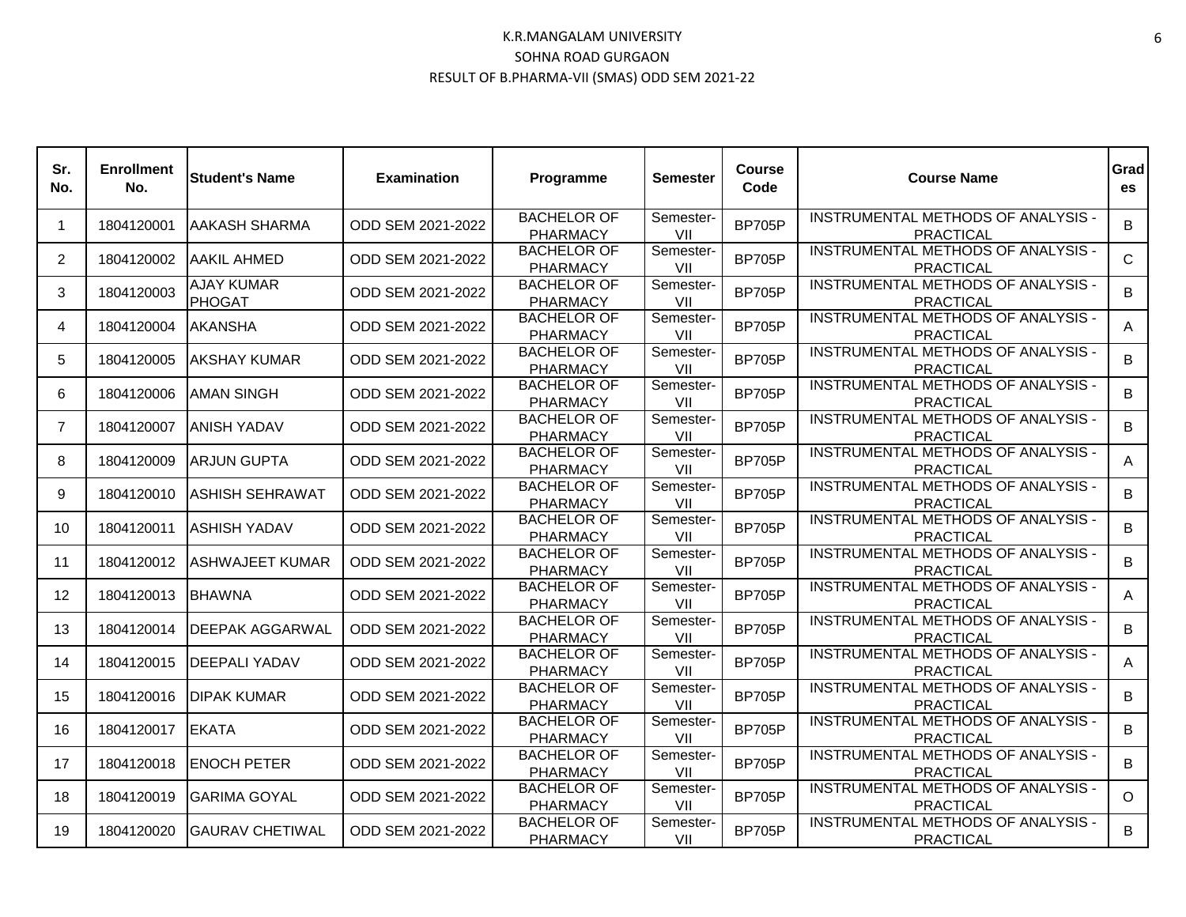| Sr.<br>No.     | <b>Enrollment</b><br>No. | <b>Student's Name</b>              | <b>Examination</b> | Programme                             | <b>Semester</b>  | Course<br>Code | <b>Course Name</b>                                            | Grad<br>es  |
|----------------|--------------------------|------------------------------------|--------------------|---------------------------------------|------------------|----------------|---------------------------------------------------------------|-------------|
| $\mathbf{1}$   | 1804120001               | <b>AAKASH SHARMA</b>               | ODD SEM 2021-2022  | <b>BACHELOR OF</b><br><b>PHARMACY</b> | Semester-<br>VII | <b>BP705P</b>  | INSTRUMENTAL METHODS OF ANALYSIS -<br><b>PRACTICAL</b>        | B           |
| $\mathcal{P}$  | 1804120002               | AAKIL AHMED                        | ODD SEM 2021-2022  | <b>BACHELOR OF</b><br><b>PHARMACY</b> | Semester-<br>VII | <b>BP705P</b>  | INSTRUMENTAL METHODS OF ANALYSIS -<br><b>PRACTICAL</b>        | $\mathbf C$ |
| 3              | 1804120003               | <b>AJAY KUMAR</b><br><b>PHOGAT</b> | ODD SEM 2021-2022  | <b>BACHELOR OF</b><br><b>PHARMACY</b> | Semester-<br>VII | <b>BP705P</b>  | INSTRUMENTAL METHODS OF ANALYSIS -<br><b>PRACTICAL</b>        | B           |
| 4              | 1804120004               | <b>AKANSHA</b>                     | ODD SEM 2021-2022  | <b>BACHELOR OF</b><br><b>PHARMACY</b> | Semester-<br>VII | <b>BP705P</b>  | INSTRUMENTAL METHODS OF ANALYSIS -<br><b>PRACTICAL</b>        | A           |
| 5              | 1804120005               | IAKSHAY KUMAR                      | ODD SEM 2021-2022  | <b>BACHELOR OF</b><br><b>PHARMACY</b> | Semester-<br>VII | <b>BP705P</b>  | INSTRUMENTAL METHODS OF ANALYSIS -<br><b>PRACTICAL</b>        | B           |
| 6              | 1804120006               | <b>AMAN SINGH</b>                  | ODD SEM 2021-2022  | <b>BACHELOR OF</b><br><b>PHARMACY</b> | Semester-<br>VII | <b>BP705P</b>  | INSTRUMENTAL METHODS OF ANALYSIS -<br><b>PRACTICAL</b>        | B           |
| $\overline{7}$ | 1804120007               | IANISH YADAV                       | ODD SEM 2021-2022  | <b>BACHELOR OF</b><br><b>PHARMACY</b> | Semester-<br>VII | <b>BP705P</b>  | INSTRUMENTAL METHODS OF ANALYSIS -<br><b>PRACTICAL</b>        | B           |
| 8              | 1804120009               | <b>ARJUN GUPTA</b>                 | ODD SEM 2021-2022  | <b>BACHELOR OF</b><br><b>PHARMACY</b> | Semester-<br>VII | <b>BP705P</b>  | INSTRUMENTAL METHODS OF ANALYSIS -<br><b>PRACTICAL</b>        | A           |
| 9              | 1804120010               | ASHISH SEHRAWAT                    | ODD SEM 2021-2022  | <b>BACHELOR OF</b><br><b>PHARMACY</b> | Semester-<br>VII | <b>BP705P</b>  | INSTRUMENTAL METHODS OF ANALYSIS -<br><b>PRACTICAL</b>        | B           |
| 10             | 1804120011               | <b>ASHISH YADAV</b>                | ODD SEM 2021-2022  | <b>BACHELOR OF</b><br>PHARMACY        | Semester-<br>VII | <b>BP705P</b>  | INSTRUMENTAL METHODS OF ANALYSIS -<br><b>PRACTICAL</b>        | B           |
| 11             | 1804120012               | <b>ASHWAJEET KUMAR</b>             | ODD SEM 2021-2022  | <b>BACHELOR OF</b><br><b>PHARMACY</b> | Semester-<br>VII | <b>BP705P</b>  | INSTRUMENTAL METHODS OF ANALYSIS -<br><b>PRACTICAL</b>        | B           |
| 12             | 1804120013               | <b>BHAWNA</b>                      | ODD SEM 2021-2022  | <b>BACHELOR OF</b><br><b>PHARMACY</b> | Semester-<br>VII | <b>BP705P</b>  | INSTRUMENTAL METHODS OF ANALYSIS -<br><b>PRACTICAL</b>        | A           |
| 13             | 1804120014               | <b>DEEPAK AGGARWAL</b>             | ODD SEM 2021-2022  | <b>BACHELOR OF</b><br><b>PHARMACY</b> | Semester-<br>VII | <b>BP705P</b>  | <b>INSTRUMENTAL METHODS OF ANALYSIS -</b><br><b>PRACTICAL</b> | B           |
| 14             | 1804120015               | <b>DEEPALI YADAV</b>               | ODD SEM 2021-2022  | <b>BACHELOR OF</b><br><b>PHARMACY</b> | Semester-<br>VII | <b>BP705P</b>  | <b>INSTRUMENTAL METHODS OF ANALYSIS -</b><br><b>PRACTICAL</b> | A           |
| 15             | 1804120016               | <b>DIPAK KUMAR</b>                 | ODD SEM 2021-2022  | <b>BACHELOR OF</b><br><b>PHARMACY</b> | Semester-<br>VII | <b>BP705P</b>  | INSTRUMENTAL METHODS OF ANALYSIS -<br><b>PRACTICAL</b>        | B           |
| 16             | 1804120017               | <b>IEKATA</b>                      | ODD SEM 2021-2022  | <b>BACHELOR OF</b><br><b>PHARMACY</b> | Semester-<br>VII | <b>BP705P</b>  | INSTRUMENTAL METHODS OF ANALYSIS -<br><b>PRACTICAL</b>        | B           |
| 17             | 1804120018               | <b>ENOCH PETER</b>                 | ODD SEM 2021-2022  | <b>BACHELOR OF</b><br>PHARMACY        | Semester-<br>VII | <b>BP705P</b>  | INSTRUMENTAL METHODS OF ANALYSIS -<br><b>PRACTICAL</b>        | B           |
| 18             | 1804120019               | <b>GARIMA GOYAL</b>                | ODD SEM 2021-2022  | <b>BACHELOR OF</b><br><b>PHARMACY</b> | Semester-<br>VII | <b>BP705P</b>  | INSTRUMENTAL METHODS OF ANALYSIS -<br><b>PRACTICAL</b>        | $\Omega$    |
| 19             | 1804120020               | <b>GAURAV CHETIWAL</b>             | ODD SEM 2021-2022  | <b>BACHELOR OF</b><br><b>PHARMACY</b> | Semester-<br>VII | <b>BP705P</b>  | <b>INSTRUMENTAL METHODS OF ANALYSIS -</b><br><b>PRACTICAL</b> | B           |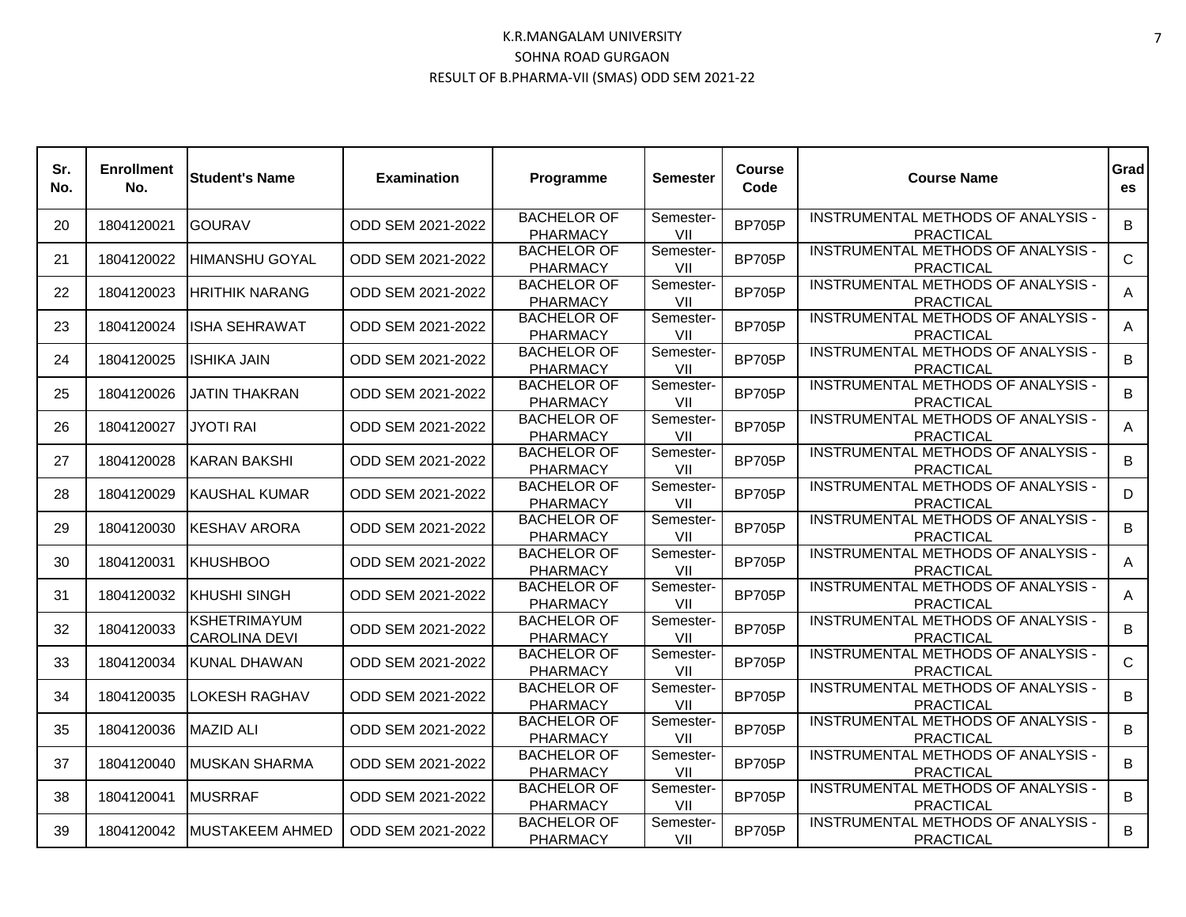| Sr.<br>No. | <b>Enrollment</b><br>No. | <b>Student's Name</b>                | <b>Examination</b> | Programme                             | <b>Semester</b>  | Course<br>Code | <b>Course Name</b>                                     | Grad<br>es   |
|------------|--------------------------|--------------------------------------|--------------------|---------------------------------------|------------------|----------------|--------------------------------------------------------|--------------|
| 20         | 1804120021               | <b>GOURAV</b>                        | ODD SEM 2021-2022  | <b>BACHELOR OF</b><br><b>PHARMACY</b> | Semester-<br>VII | <b>BP705P</b>  | INSTRUMENTAL METHODS OF ANALYSIS -<br><b>PRACTICAL</b> | B.           |
| 21         | 1804120022               | HIMANSHU GOYAL                       | ODD SEM 2021-2022  | <b>BACHELOR OF</b><br><b>PHARMACY</b> | Semester-<br>VII | <b>BP705P</b>  | INSTRUMENTAL METHODS OF ANALYSIS -<br><b>PRACTICAL</b> | $\mathsf{C}$ |
| 22         | 1804120023               | IHRITHIK NARANG                      | ODD SEM 2021-2022  | <b>BACHELOR OF</b><br><b>PHARMACY</b> | Semester-<br>VII | <b>BP705P</b>  | INSTRUMENTAL METHODS OF ANALYSIS -<br><b>PRACTICAL</b> | Α            |
| 23         | 1804120024               | IISHA SEHRAWAT                       | ODD SEM 2021-2022  | <b>BACHELOR OF</b><br><b>PHARMACY</b> | Semester-<br>VII | <b>BP705P</b>  | INSTRUMENTAL METHODS OF ANALYSIS -<br><b>PRACTICAL</b> | A            |
| 24         | 1804120025               | IISHIKA JAIN                         | ODD SEM 2021-2022  | <b>BACHELOR OF</b><br><b>PHARMACY</b> | Semester-<br>VII | <b>BP705P</b>  | INSTRUMENTAL METHODS OF ANALYSIS -<br><b>PRACTICAL</b> | B            |
| 25         | 1804120026               | JATIN THAKRAN                        | ODD SEM 2021-2022  | <b>BACHELOR OF</b><br><b>PHARMACY</b> | Semester-<br>VII | <b>BP705P</b>  | INSTRUMENTAL METHODS OF ANALYSIS -<br><b>PRACTICAL</b> | В            |
| 26         | 1804120027               | <b>JYOTI RAI</b>                     | ODD SEM 2021-2022  | <b>BACHELOR OF</b><br><b>PHARMACY</b> | Semester-<br>VII | <b>BP705P</b>  | INSTRUMENTAL METHODS OF ANALYSIS -<br><b>PRACTICAL</b> | A            |
| 27         | 1804120028               | IKARAN BAKSHI                        | ODD SEM 2021-2022  | <b>BACHELOR OF</b><br><b>PHARMACY</b> | Semester-<br>VII | <b>BP705P</b>  | INSTRUMENTAL METHODS OF ANALYSIS -<br><b>PRACTICAL</b> | B            |
| 28         | 1804120029               | IKAUSHAL KUMAR                       | ODD SEM 2021-2022  | <b>BACHELOR OF</b><br><b>PHARMACY</b> | Semester-<br>VII | <b>BP705P</b>  | INSTRUMENTAL METHODS OF ANALYSIS -<br><b>PRACTICAL</b> | D            |
| 29         | 1804120030               | IKESHAV ARORA                        | ODD SEM 2021-2022  | <b>BACHELOR OF</b><br><b>PHARMACY</b> | Semester-<br>VII | <b>BP705P</b>  | INSTRUMENTAL METHODS OF ANALYSIS -<br><b>PRACTICAL</b> | B            |
| 30         | 1804120031               | <b>KHUSHBOO</b>                      | ODD SEM 2021-2022  | <b>BACHELOR OF</b><br><b>PHARMACY</b> | Semester-<br>VII | <b>BP705P</b>  | INSTRUMENTAL METHODS OF ANALYSIS -<br><b>PRACTICAL</b> | Α            |
| 31         | 1804120032               | <b>KHUSHI SINGH</b>                  | ODD SEM 2021-2022  | <b>BACHELOR OF</b><br><b>PHARMACY</b> | Semester-<br>VII | <b>BP705P</b>  | INSTRUMENTAL METHODS OF ANALYSIS -<br><b>PRACTICAL</b> | A            |
| 32         | 1804120033               | KSHETRIMAYUM<br><b>CAROLINA DEVI</b> | ODD SEM 2021-2022  | <b>BACHELOR OF</b><br><b>PHARMACY</b> | Semester-<br>VII | <b>BP705P</b>  | INSTRUMENTAL METHODS OF ANALYSIS -<br><b>PRACTICAL</b> | B            |
| 33         | 1804120034               | KUNAL DHAWAN                         | ODD SEM 2021-2022  | <b>BACHELOR OF</b><br><b>PHARMACY</b> | Semester-<br>VII | <b>BP705P</b>  | INSTRUMENTAL METHODS OF ANALYSIS -<br><b>PRACTICAL</b> | $\mathsf{C}$ |
| 34         | 1804120035               | <b>LOKESH RAGHAV</b>                 | ODD SEM 2021-2022  | <b>BACHELOR OF</b><br><b>PHARMACY</b> | Semester-<br>VII | <b>BP705P</b>  | INSTRUMENTAL METHODS OF ANALYSIS -<br><b>PRACTICAL</b> | B            |
| 35         | 1804120036               | <b>MAZID ALI</b>                     | ODD SEM 2021-2022  | <b>BACHELOR OF</b><br><b>PHARMACY</b> | Semester-<br>VII | <b>BP705P</b>  | INSTRUMENTAL METHODS OF ANALYSIS -<br><b>PRACTICAL</b> | B            |
| 37         | 1804120040               | <b>MUSKAN SHARMA</b>                 | ODD SEM 2021-2022  | <b>BACHELOR OF</b><br><b>PHARMACY</b> | Semester-<br>VII | <b>BP705P</b>  | INSTRUMENTAL METHODS OF ANALYSIS -<br><b>PRACTICAL</b> | B            |
| 38         | 1804120041               | <b>MUSRRAF</b>                       | ODD SEM 2021-2022  | <b>BACHELOR OF</b><br><b>PHARMACY</b> | Semester-<br>VII | <b>BP705P</b>  | INSTRUMENTAL METHODS OF ANALYSIS -<br><b>PRACTICAL</b> | B            |
| 39         | 1804120042               | <b>MUSTAKEEM AHMED</b>               | ODD SEM 2021-2022  | <b>BACHELOR OF</b><br><b>PHARMACY</b> | Semester-<br>VII | <b>BP705P</b>  | INSTRUMENTAL METHODS OF ANALYSIS -<br><b>PRACTICAL</b> | B            |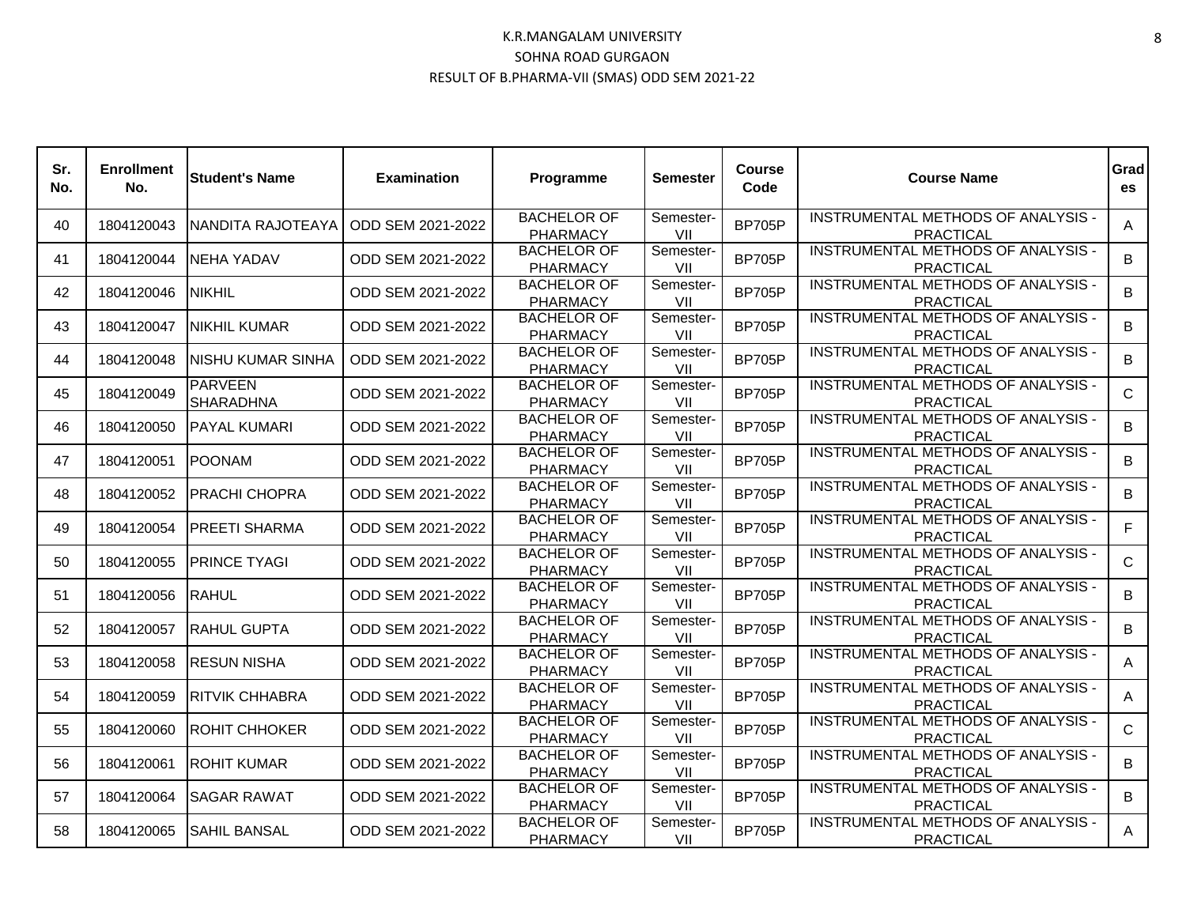| Sr.<br>No. | <b>Enrollment</b><br>No. | <b>Student's Name</b>              | <b>Examination</b> | Programme                             | <b>Semester</b>  | Course<br>Code | <b>Course Name</b>                                     | Grad<br>es  |
|------------|--------------------------|------------------------------------|--------------------|---------------------------------------|------------------|----------------|--------------------------------------------------------|-------------|
| 40         | 1804120043               | <b>NANDITA RAJOTEAYA</b>           | ODD SEM 2021-2022  | <b>BACHELOR OF</b><br><b>PHARMACY</b> | Semester-<br>VII | <b>BP705P</b>  | INSTRUMENTAL METHODS OF ANALYSIS -<br><b>PRACTICAL</b> | A           |
| 41         | 1804120044               | INEHA YADAV                        | ODD SEM 2021-2022  | <b>BACHELOR OF</b><br><b>PHARMACY</b> | Semester-<br>VII | <b>BP705P</b>  | INSTRUMENTAL METHODS OF ANALYSIS -<br><b>PRACTICAL</b> | B           |
| 42         | 1804120046               | <b>NIKHIL</b>                      | ODD SEM 2021-2022  | <b>BACHELOR OF</b><br><b>PHARMACY</b> | Semester-<br>VII | <b>BP705P</b>  | INSTRUMENTAL METHODS OF ANALYSIS -<br><b>PRACTICAL</b> | B           |
| 43         | 1804120047               | INIKHIL KUMAR                      | ODD SEM 2021-2022  | <b>BACHELOR OF</b><br><b>PHARMACY</b> | Semester-<br>VII | <b>BP705P</b>  | INSTRUMENTAL METHODS OF ANALYSIS -<br><b>PRACTICAL</b> | B           |
| 44         | 1804120048               | INISHU KUMAR SINHA                 | ODD SEM 2021-2022  | <b>BACHELOR OF</b><br><b>PHARMACY</b> | Semester-<br>VII | <b>BP705P</b>  | INSTRUMENTAL METHODS OF ANALYSIS -<br><b>PRACTICAL</b> | B           |
| 45         | 1804120049               | <b>PARVEEN</b><br><b>SHARADHNA</b> | ODD SEM 2021-2022  | <b>BACHELOR OF</b><br><b>PHARMACY</b> | Semester-<br>VII | <b>BP705P</b>  | INSTRUMENTAL METHODS OF ANALYSIS -<br><b>PRACTICAL</b> | $\mathbf C$ |
| 46         | 1804120050               | <b>PAYAL KUMARI</b>                | ODD SEM 2021-2022  | <b>BACHELOR OF</b><br><b>PHARMACY</b> | Semester-<br>VII | <b>BP705P</b>  | INSTRUMENTAL METHODS OF ANALYSIS -<br><b>PRACTICAL</b> | B           |
| 47         | 1804120051               | <b>POONAM</b>                      | ODD SEM 2021-2022  | <b>BACHELOR OF</b><br><b>PHARMACY</b> | Semester-<br>VII | <b>BP705P</b>  | INSTRUMENTAL METHODS OF ANALYSIS -<br><b>PRACTICAL</b> | B           |
| 48         | 1804120052               | IPRACHI CHOPRA                     | ODD SEM 2021-2022  | <b>BACHELOR OF</b><br><b>PHARMACY</b> | Semester-<br>VII | <b>BP705P</b>  | INSTRUMENTAL METHODS OF ANALYSIS -<br><b>PRACTICAL</b> | B           |
| 49         | 1804120054               | <b>PREETI SHARMA</b>               | ODD SEM 2021-2022  | <b>BACHELOR OF</b><br>PHARMACY        | Semester-<br>VII | <b>BP705P</b>  | INSTRUMENTAL METHODS OF ANALYSIS -<br><b>PRACTICAL</b> | F           |
| 50         | 1804120055               | <b>PRINCE TYAGI</b>                | ODD SEM 2021-2022  | <b>BACHELOR OF</b><br><b>PHARMACY</b> | Semester-<br>VII | <b>BP705P</b>  | INSTRUMENTAL METHODS OF ANALYSIS -<br><b>PRACTICAL</b> | C           |
| 51         | 1804120056               | <b>RAHUL</b>                       | ODD SEM 2021-2022  | <b>BACHELOR OF</b><br><b>PHARMACY</b> | Semester-<br>VII | <b>BP705P</b>  | INSTRUMENTAL METHODS OF ANALYSIS -<br><b>PRACTICAL</b> | B           |
| 52         | 1804120057               | <b>RAHUL GUPTA</b>                 | ODD SEM 2021-2022  | <b>BACHELOR OF</b><br><b>PHARMACY</b> | Semester-<br>VII | <b>BP705P</b>  | INSTRUMENTAL METHODS OF ANALYSIS -<br><b>PRACTICAL</b> | B           |
| 53         | 1804120058               | <b>IRESUN NISHA</b>                | ODD SEM 2021-2022  | <b>BACHELOR OF</b><br><b>PHARMACY</b> | Semester-<br>VII | <b>BP705P</b>  | INSTRUMENTAL METHODS OF ANALYSIS -<br><b>PRACTICAL</b> | A           |
| 54         | 1804120059               | <b>RITVIK CHHABRA</b>              | ODD SEM 2021-2022  | <b>BACHELOR OF</b><br><b>PHARMACY</b> | Semester-<br>VII | <b>BP705P</b>  | INSTRUMENTAL METHODS OF ANALYSIS -<br><b>PRACTICAL</b> | A           |
| 55         | 1804120060               | <b>ROHIT CHHOKER</b>               | ODD SEM 2021-2022  | <b>BACHELOR OF</b><br><b>PHARMACY</b> | Semester-<br>VII | <b>BP705P</b>  | INSTRUMENTAL METHODS OF ANALYSIS -<br><b>PRACTICAL</b> | $\mathbf C$ |
| 56         | 1804120061               | <b>ROHIT KUMAR</b>                 | ODD SEM 2021-2022  | <b>BACHELOR OF</b><br><b>PHARMACY</b> | Semester-<br>VII | <b>BP705P</b>  | INSTRUMENTAL METHODS OF ANALYSIS -<br><b>PRACTICAL</b> | B           |
| 57         | 1804120064               | ISAGAR RAWAT                       | ODD SEM 2021-2022  | <b>BACHELOR OF</b><br><b>PHARMACY</b> | Semester-<br>VII | <b>BP705P</b>  | INSTRUMENTAL METHODS OF ANALYSIS -<br><b>PRACTICAL</b> | B           |
| 58         | 1804120065               | <b>SAHIL BANSAL</b>                | ODD SEM 2021-2022  | <b>BACHELOR OF</b><br><b>PHARMACY</b> | Semester-<br>VII | <b>BP705P</b>  | INSTRUMENTAL METHODS OF ANALYSIS -<br><b>PRACTICAL</b> | A           |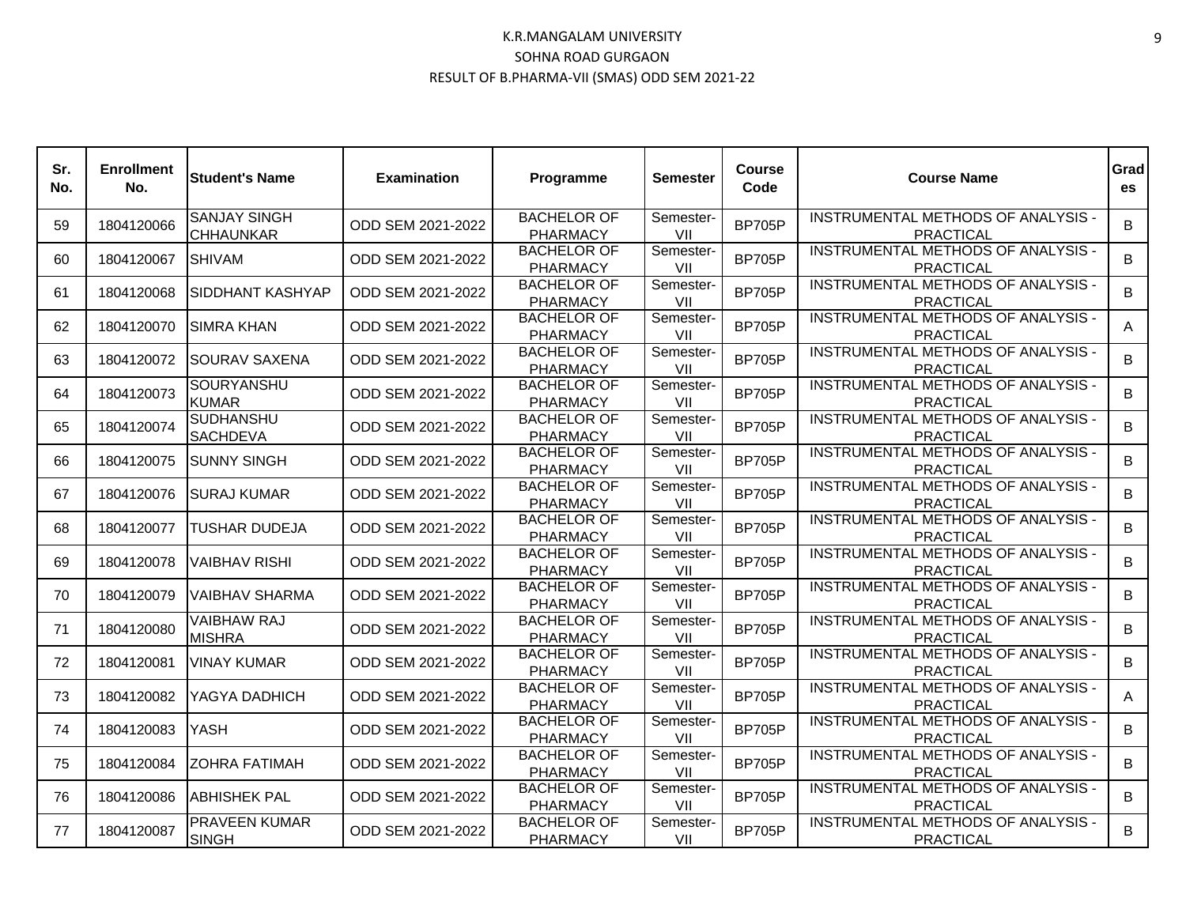| Sr.<br>No. | <b>Enrollment</b><br>No. | <b>Student's Name</b>                   | <b>Examination</b> | Programme                             | <b>Semester</b>  | <b>Course</b><br>Code | <b>Course Name</b>                                            | Grad<br>es |
|------------|--------------------------|-----------------------------------------|--------------------|---------------------------------------|------------------|-----------------------|---------------------------------------------------------------|------------|
| 59         | 1804120066               | <b>SANJAY SINGH</b><br><b>CHHAUNKAR</b> | ODD SEM 2021-2022  | <b>BACHELOR OF</b><br><b>PHARMACY</b> | Semester-<br>VII | <b>BP705P</b>         | INSTRUMENTAL METHODS OF ANALYSIS -<br><b>PRACTICAL</b>        | B          |
| 60         | 1804120067               | <b>SHIVAM</b>                           | ODD SEM 2021-2022  | <b>BACHELOR OF</b><br>PHARMACY        | Semester-<br>VII | <b>BP705P</b>         | INSTRUMENTAL METHODS OF ANALYSIS -<br><b>PRACTICAL</b>        | B          |
| 61         | 1804120068               | <b>SIDDHANT KASHYAP</b>                 | ODD SEM 2021-2022  | <b>BACHELOR OF</b><br>PHARMACY        | Semester-<br>VII | <b>BP705P</b>         | INSTRUMENTAL METHODS OF ANALYSIS -<br><b>PRACTICAL</b>        | B          |
| 62         | 1804120070               | ISIMRA KHAN                             | ODD SEM 2021-2022  | <b>BACHELOR OF</b><br>PHARMACY        | Semester-<br>VII | <b>BP705P</b>         | <b>INSTRUMENTAL METHODS OF ANALYSIS -</b><br><b>PRACTICAL</b> | A          |
| 63         | 1804120072               | <b>SOURAV SAXENA</b>                    | ODD SEM 2021-2022  | <b>BACHELOR OF</b><br><b>PHARMACY</b> | Semester-<br>VII | <b>BP705P</b>         | INSTRUMENTAL METHODS OF ANALYSIS -<br><b>PRACTICAL</b>        | B          |
| 64         | 1804120073               | SOURYANSHU<br><b>KUMAR</b>              | ODD SEM 2021-2022  | <b>BACHELOR OF</b><br><b>PHARMACY</b> | Semester-<br>VII | <b>BP705P</b>         | INSTRUMENTAL METHODS OF ANALYSIS -<br><b>PRACTICAL</b>        | B          |
| 65         | 1804120074               | <b>SUDHANSHU</b><br><b>SACHDEVA</b>     | ODD SEM 2021-2022  | <b>BACHELOR OF</b><br>PHARMACY        | Semester-<br>VII | <b>BP705P</b>         | INSTRUMENTAL METHODS OF ANALYSIS -<br><b>PRACTICAL</b>        | B          |
| 66         | 1804120075               | ISUNNY SINGH                            | ODD SEM 2021-2022  | <b>BACHELOR OF</b><br><b>PHARMACY</b> | Semester-<br>VII | <b>BP705P</b>         | INSTRUMENTAL METHODS OF ANALYSIS -<br><b>PRACTICAL</b>        | B          |
| 67         | 1804120076               | ISURAJ KUMAR                            | ODD SEM 2021-2022  | <b>BACHELOR OF</b><br><b>PHARMACY</b> | Semester-<br>VII | <b>BP705P</b>         | INSTRUMENTAL METHODS OF ANALYSIS -<br><b>PRACTICAL</b>        | B          |
| 68         | 1804120077               | TUSHAR DUDEJA                           | ODD SEM 2021-2022  | <b>BACHELOR OF</b><br><b>PHARMACY</b> | Semester-<br>VII | <b>BP705P</b>         | <b>INSTRUMENTAL METHODS OF ANALYSIS -</b><br><b>PRACTICAL</b> | B.         |
| 69         | 1804120078               | <b>VAIBHAV RISHI</b>                    | ODD SEM 2021-2022  | <b>BACHELOR OF</b><br><b>PHARMACY</b> | Semester-<br>VII | <b>BP705P</b>         | INSTRUMENTAL METHODS OF ANALYSIS -<br><b>PRACTICAL</b>        | B          |
| 70         | 1804120079               | <b>VAIBHAV SHARMA</b>                   | ODD SEM 2021-2022  | <b>BACHELOR OF</b><br><b>PHARMACY</b> | Semester-<br>VII | <b>BP705P</b>         | INSTRUMENTAL METHODS OF ANALYSIS -<br><b>PRACTICAL</b>        | B          |
| 71         | 1804120080               | <b>VAIBHAW RAJ</b><br><b>MISHRA</b>     | ODD SEM 2021-2022  | <b>BACHELOR OF</b><br><b>PHARMACY</b> | Semester-<br>VII | <b>BP705P</b>         | INSTRUMENTAL METHODS OF ANALYSIS -<br><b>PRACTICAL</b>        | B          |
| 72         | 1804120081               | IVINAY KUMAR                            | ODD SEM 2021-2022  | <b>BACHELOR OF</b><br><b>PHARMACY</b> | Semester-<br>VII | <b>BP705P</b>         | INSTRUMENTAL METHODS OF ANALYSIS -<br><b>PRACTICAL</b>        | B.         |
| 73         | 1804120082               | YAGYA DADHICH                           | ODD SEM 2021-2022  | <b>BACHELOR OF</b><br><b>PHARMACY</b> | Semester-<br>VII | <b>BP705P</b>         | INSTRUMENTAL METHODS OF ANALYSIS -<br><b>PRACTICAL</b>        | A          |
| 74         | 1804120083               | <b>YASH</b>                             | ODD SEM 2021-2022  | <b>BACHELOR OF</b><br>PHARMACY        | Semester-<br>VII | <b>BP705P</b>         | INSTRUMENTAL METHODS OF ANALYSIS -<br><b>PRACTICAL</b>        | B          |
| 75         | 1804120084               | <b>ZOHRA FATIMAH</b>                    | ODD SEM 2021-2022  | <b>BACHELOR OF</b><br><b>PHARMACY</b> | Semester-<br>VII | <b>BP705P</b>         | INSTRUMENTAL METHODS OF ANALYSIS -<br><b>PRACTICAL</b>        | B          |
| 76         | 1804120086               | <b>ABHISHEK PAL</b>                     | ODD SEM 2021-2022  | <b>BACHELOR OF</b><br>PHARMACY        | Semester-<br>VII | <b>BP705P</b>         | INSTRUMENTAL METHODS OF ANALYSIS -<br><b>PRACTICAL</b>        | B.         |
| 77         | 1804120087               | <b>PRAVEEN KUMAR</b><br><b>SINGH</b>    | ODD SEM 2021-2022  | <b>BACHELOR OF</b><br><b>PHARMACY</b> | Semester-<br>VII | <b>BP705P</b>         | <b>INSTRUMENTAL METHODS OF ANALYSIS -</b><br><b>PRACTICAL</b> | B          |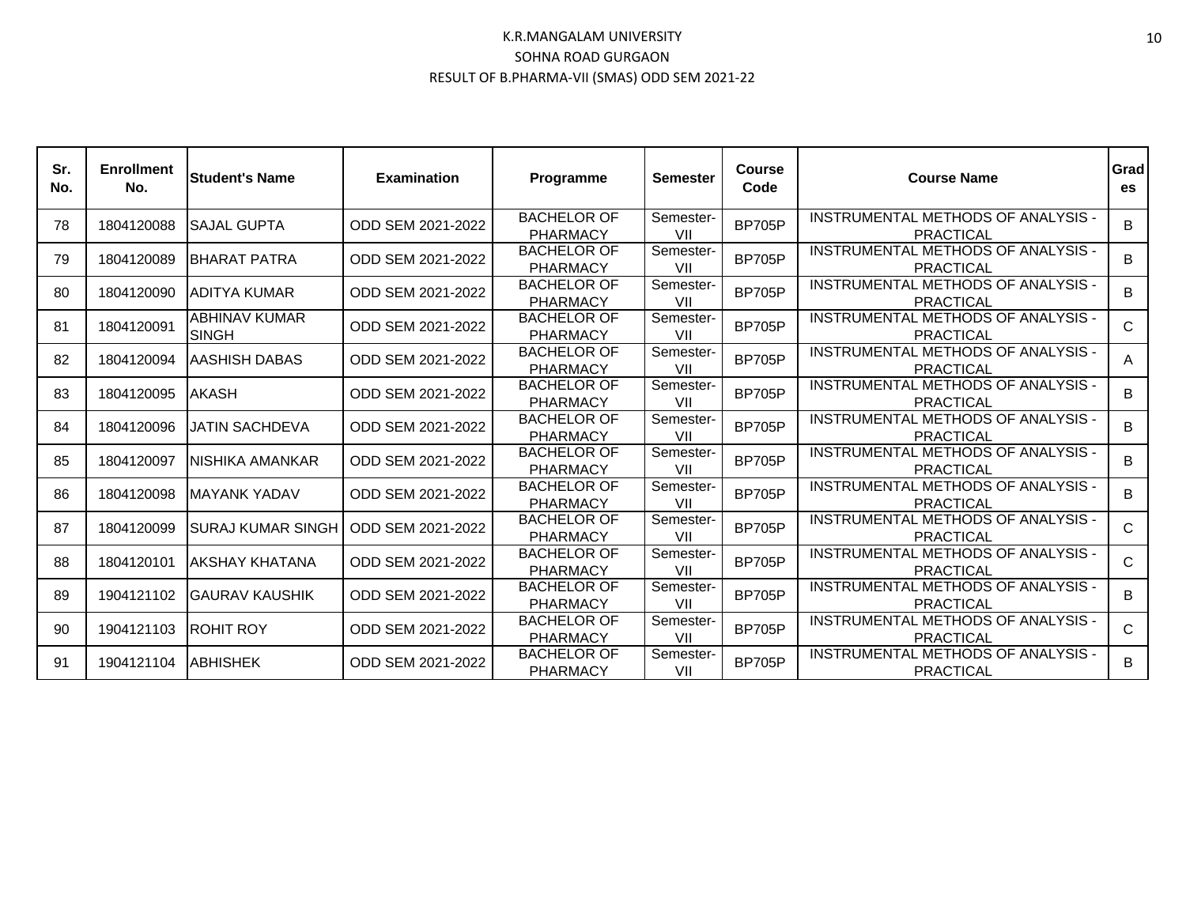| Sr.<br>No. | <b>Enrollment</b><br>No. | lStudent's Name                       | <b>Examination</b> | Programme                             | <b>Semester</b>  | <b>Course</b><br>Code | <b>Course Name</b>                                     | Grad<br>es   |
|------------|--------------------------|---------------------------------------|--------------------|---------------------------------------|------------------|-----------------------|--------------------------------------------------------|--------------|
| 78         | 1804120088               | <b>ISAJAL GUPTA</b>                   | ODD SEM 2021-2022  | <b>BACHELOR OF</b><br>PHARMACY        | Semester-<br>VII | <b>BP705P</b>         | INSTRUMENTAL METHODS OF ANALYSIS -<br><b>PRACTICAL</b> | B            |
| 79         | 1804120089               | <b>IBHARAT PATRA</b>                  | ODD SEM 2021-2022  | <b>BACHELOR OF</b><br><b>PHARMACY</b> | Semester-<br>VII | <b>BP705P</b>         | INSTRUMENTAL METHODS OF ANALYSIS -<br><b>PRACTICAL</b> | B            |
| 80         | 1804120090               | <b>JADITYA KUMAR</b>                  | ODD SEM 2021-2022  | <b>BACHELOR OF</b><br><b>PHARMACY</b> | Semester-<br>VII | <b>BP705P</b>         | INSTRUMENTAL METHODS OF ANALYSIS -<br><b>PRACTICAL</b> | B            |
| 81         | 1804120091               | <b>ABHINAV KUMAR</b><br><b>ISINGH</b> | ODD SEM 2021-2022  | <b>BACHELOR OF</b><br><b>PHARMACY</b> | Semester-<br>VII | <b>BP705P</b>         | INSTRUMENTAL METHODS OF ANALYSIS -<br>PRACTICAL        | $\mathsf{C}$ |
| 82         | 1804120094               | <b>JAASHISH DABAS</b>                 | ODD SEM 2021-2022  | <b>BACHELOR OF</b><br>PHARMACY        | Semester-<br>VII | <b>BP705P</b>         | INSTRUMENTAL METHODS OF ANALYSIS -<br><b>PRACTICAL</b> | A            |
| 83         | 1804120095               | <b>IAKASH</b>                         | ODD SEM 2021-2022  | <b>BACHELOR OF</b><br>PHARMACY        | Semester-<br>VII | <b>BP705P</b>         | INSTRUMENTAL METHODS OF ANALYSIS -<br><b>PRACTICAL</b> | B            |
| 84         | 1804120096               | IJATIN SACHDEVA                       | ODD SEM 2021-2022  | <b>BACHELOR OF</b><br><b>PHARMACY</b> | Semester-<br>VII | <b>BP705P</b>         | INSTRUMENTAL METHODS OF ANALYSIS -<br><b>PRACTICAL</b> | B            |
| 85         | 1804120097               | NISHIKA AMANKAR                       | ODD SEM 2021-2022  | <b>BACHELOR OF</b><br><b>PHARMACY</b> | Semester-<br>VII | <b>BP705P</b>         | INSTRUMENTAL METHODS OF ANALYSIS -<br><b>PRACTICAL</b> | B            |
| 86         | 1804120098               | <b>IMAYANK YADAV</b>                  | ODD SEM 2021-2022  | <b>BACHELOR OF</b><br>PHARMACY        | Semester-<br>VII | <b>BP705P</b>         | INSTRUMENTAL METHODS OF ANALYSIS -<br><b>PRACTICAL</b> | B            |
| 87         | 1804120099               | ISURAJ KUMAR SINGH                    | ODD SEM 2021-2022  | <b>BACHELOR OF</b><br><b>PHARMACY</b> | Semester-<br>VII | <b>BP705P</b>         | INSTRUMENTAL METHODS OF ANALYSIS -<br><b>PRACTICAL</b> | $\mathsf{C}$ |
| 88         | 1804120101               | IAKSHAY KHATANA                       | ODD SEM 2021-2022  | <b>BACHELOR OF</b><br><b>PHARMACY</b> | Semester-<br>VII | <b>BP705P</b>         | INSTRUMENTAL METHODS OF ANALYSIS -<br><b>PRACTICAL</b> | $\mathsf{C}$ |
| 89         | 1904121102               | <b>IGAURAV KAUSHIK</b>                | ODD SEM 2021-2022  | <b>BACHELOR OF</b><br>PHARMACY        | Semester-<br>VII | <b>BP705P</b>         | INSTRUMENTAL METHODS OF ANALYSIS -<br>PRACTICAL        | B            |
| 90         | 1904121103               | <b>IROHIT ROY</b>                     | ODD SEM 2021-2022  | <b>BACHELOR OF</b><br>PHARMACY        | Semester-<br>VII | <b>BP705P</b>         | INSTRUMENTAL METHODS OF ANALYSIS -<br><b>PRACTICAL</b> | $\mathsf{C}$ |
| 91         | 1904121104               | <b>ABHISHEK</b>                       | ODD SEM 2021-2022  | <b>BACHELOR OF</b><br>PHARMACY        | Semester-<br>VII | <b>BP705P</b>         | INSTRUMENTAL METHODS OF ANALYSIS -<br>PRACTICAL        | B            |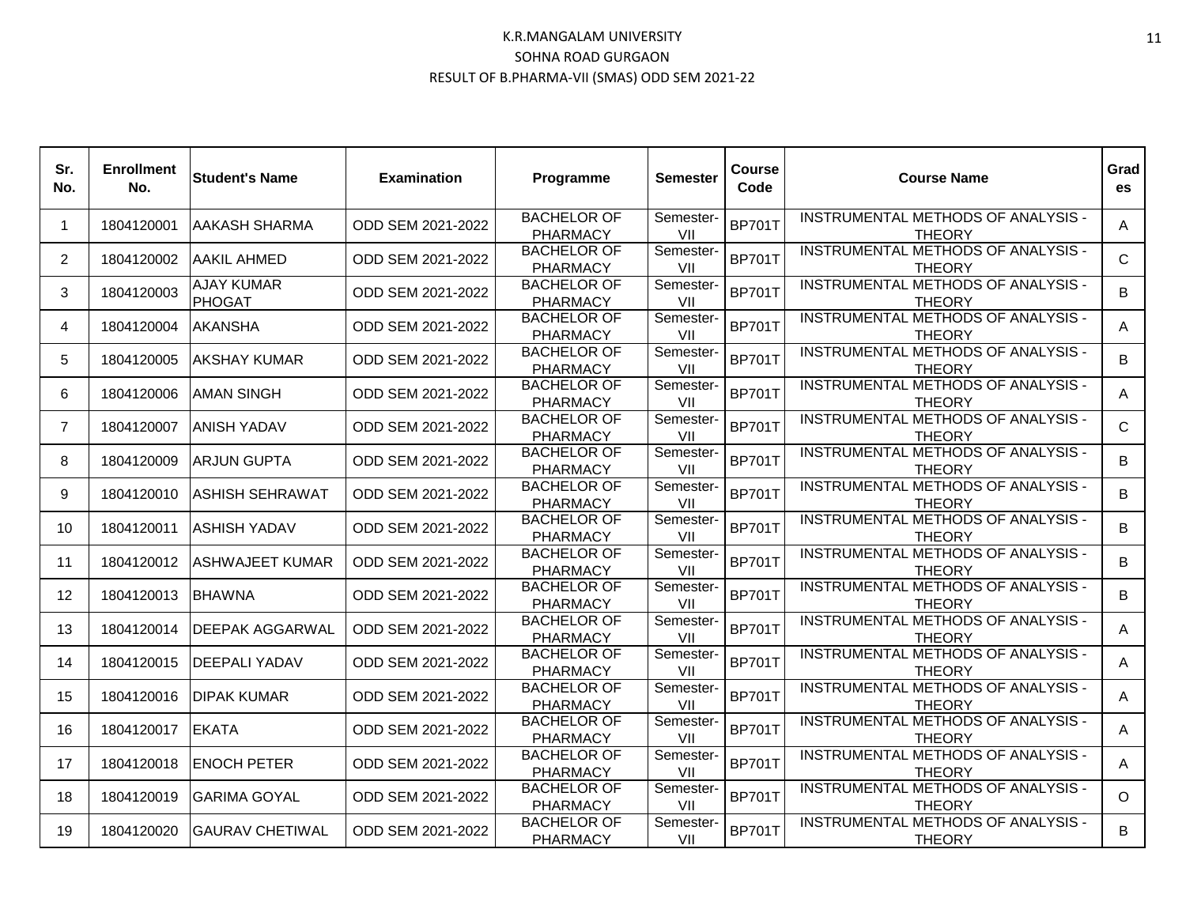| Sr.<br>No.     | <b>Enrollment</b><br>No. | <b>Student's Name</b>              | <b>Examination</b> | Programme                             | <b>Semester</b>  | <b>Course</b><br>Code | <b>Course Name</b>                                         | Grad<br><b>es</b> |
|----------------|--------------------------|------------------------------------|--------------------|---------------------------------------|------------------|-----------------------|------------------------------------------------------------|-------------------|
| $\overline{1}$ | 1804120001               | AAKASH SHARMA                      | ODD SEM 2021-2022  | <b>BACHELOR OF</b><br><b>PHARMACY</b> | Semester-<br>VII | <b>BP701T</b>         | INSTRUMENTAL METHODS OF ANALYSIS -<br><b>THEORY</b>        | A                 |
| 2              | 1804120002               | AAKIL AHMED                        | ODD SEM 2021-2022  | <b>BACHELOR OF</b><br><b>PHARMACY</b> | Semester-<br>VII | <b>BP701T</b>         | INSTRUMENTAL METHODS OF ANALYSIS -<br><b>THEORY</b>        | $\mathsf{C}$      |
| 3              | 1804120003               | <b>AJAY KUMAR</b><br><b>PHOGAT</b> | ODD SEM 2021-2022  | <b>BACHELOR OF</b><br><b>PHARMACY</b> | Semester-<br>VII | <b>BP701T</b>         | INSTRUMENTAL METHODS OF ANALYSIS -<br><b>THEORY</b>        | B                 |
| 4              | 1804120004               | <b>AKANSHA</b>                     | ODD SEM 2021-2022  | <b>BACHELOR OF</b><br>PHARMACY        | Semester-<br>VII | <b>BP701T</b>         | INSTRUMENTAL METHODS OF ANALYSIS -<br><b>THEORY</b>        | A                 |
| 5              | 1804120005               | AKSHAY KUMAR                       | ODD SEM 2021-2022  | <b>BACHELOR OF</b><br><b>PHARMACY</b> | Semester-<br>VII | <b>BP701T</b>         | INSTRUMENTAL METHODS OF ANALYSIS -<br><b>THEORY</b>        | B                 |
| 6              | 1804120006               | <b>AMAN SINGH</b>                  | ODD SEM 2021-2022  | <b>BACHELOR OF</b><br><b>PHARMACY</b> | Semester-<br>VII | <b>BP701T</b>         | INSTRUMENTAL METHODS OF ANALYSIS -<br><b>THEORY</b>        | A                 |
| $\overline{7}$ | 1804120007               | <b>ANISH YADAV</b>                 | ODD SEM 2021-2022  | <b>BACHELOR OF</b><br><b>PHARMACY</b> | Semester-<br>VII | <b>BP701T</b>         | INSTRUMENTAL METHODS OF ANALYSIS -<br><b>THEORY</b>        | $\mathsf{C}$      |
| 8              | 1804120009               | <b>ARJUN GUPTA</b>                 | ODD SEM 2021-2022  | <b>BACHELOR OF</b><br><b>PHARMACY</b> | Semester-<br>VII | <b>BP701T</b>         | <b>INSTRUMENTAL METHODS OF ANALYSIS -</b><br><b>THEORY</b> | B                 |
| 9              | 1804120010               | <b>ASHISH SEHRAWAT</b>             | ODD SEM 2021-2022  | <b>BACHELOR OF</b><br><b>PHARMACY</b> | Semester-<br>VII | <b>BP701T</b>         | INSTRUMENTAL METHODS OF ANALYSIS -<br><b>THEORY</b>        | B                 |
| 10             | 1804120011               | <b>ASHISH YADAV</b>                | ODD SEM 2021-2022  | <b>BACHELOR OF</b><br><b>PHARMACY</b> | Semester-<br>VII | <b>BP701T</b>         | INSTRUMENTAL METHODS OF ANALYSIS -<br><b>THEORY</b>        | B                 |
| 11             | 1804120012               | <b>ASHWAJEET KUMAR</b>             | ODD SEM 2021-2022  | <b>BACHELOR OF</b><br><b>PHARMACY</b> | Semester-<br>VII | <b>BP701T</b>         | INSTRUMENTAL METHODS OF ANALYSIS -<br><b>THEORY</b>        | B                 |
| 12             | 1804120013               | <b>BHAWNA</b>                      | ODD SEM 2021-2022  | <b>BACHELOR OF</b><br><b>PHARMACY</b> | Semester-<br>VII | <b>BP701T</b>         | INSTRUMENTAL METHODS OF ANALYSIS -<br><b>THEORY</b>        | B                 |
| 13             | 1804120014               | <b>DEEPAK AGGARWAL</b>             | ODD SEM 2021-2022  | <b>BACHELOR OF</b><br><b>PHARMACY</b> | Semester-<br>VII | <b>BP701T</b>         | INSTRUMENTAL METHODS OF ANALYSIS -<br><b>THEORY</b>        | A                 |
| 14             | 1804120015               | <b>DEEPALI YADAV</b>               | ODD SEM 2021-2022  | <b>BACHELOR OF</b><br><b>PHARMACY</b> | Semester-<br>VII | <b>BP701T</b>         | INSTRUMENTAL METHODS OF ANALYSIS -<br><b>THEORY</b>        | A                 |
| 15             | 1804120016               | DIPAK KUMAR                        | ODD SEM 2021-2022  | <b>BACHELOR OF</b><br><b>PHARMACY</b> | Semester-<br>VII | <b>BP701T</b>         | INSTRUMENTAL METHODS OF ANALYSIS -<br><b>THEORY</b>        | A                 |
| 16             | 1804120017               | <b>EKATA</b>                       | ODD SEM 2021-2022  | <b>BACHELOR OF</b><br><b>PHARMACY</b> | Semester-<br>VII | <b>BP701T</b>         | INSTRUMENTAL METHODS OF ANALYSIS -<br><b>THEORY</b>        | A                 |
| 17             | 1804120018               | <b>ENOCH PETER</b>                 | ODD SEM 2021-2022  | <b>BACHELOR OF</b><br><b>PHARMACY</b> | Semester-<br>VII | <b>BP701T</b>         | INSTRUMENTAL METHODS OF ANALYSIS -<br><b>THEORY</b>        | A                 |
| 18             | 1804120019               | <b>GARIMA GOYAL</b>                | ODD SEM 2021-2022  | <b>BACHELOR OF</b><br><b>PHARMACY</b> | Semester-<br>VII | <b>BP701T</b>         | INSTRUMENTAL METHODS OF ANALYSIS -<br><b>THEORY</b>        | $\Omega$          |
| 19             | 1804120020               | <b>GAURAV CHETIWAL</b>             | ODD SEM 2021-2022  | <b>BACHELOR OF</b><br><b>PHARMACY</b> | Semester-<br>VII | <b>BP701T</b>         | INSTRUMENTAL METHODS OF ANALYSIS -<br><b>THEORY</b>        | B                 |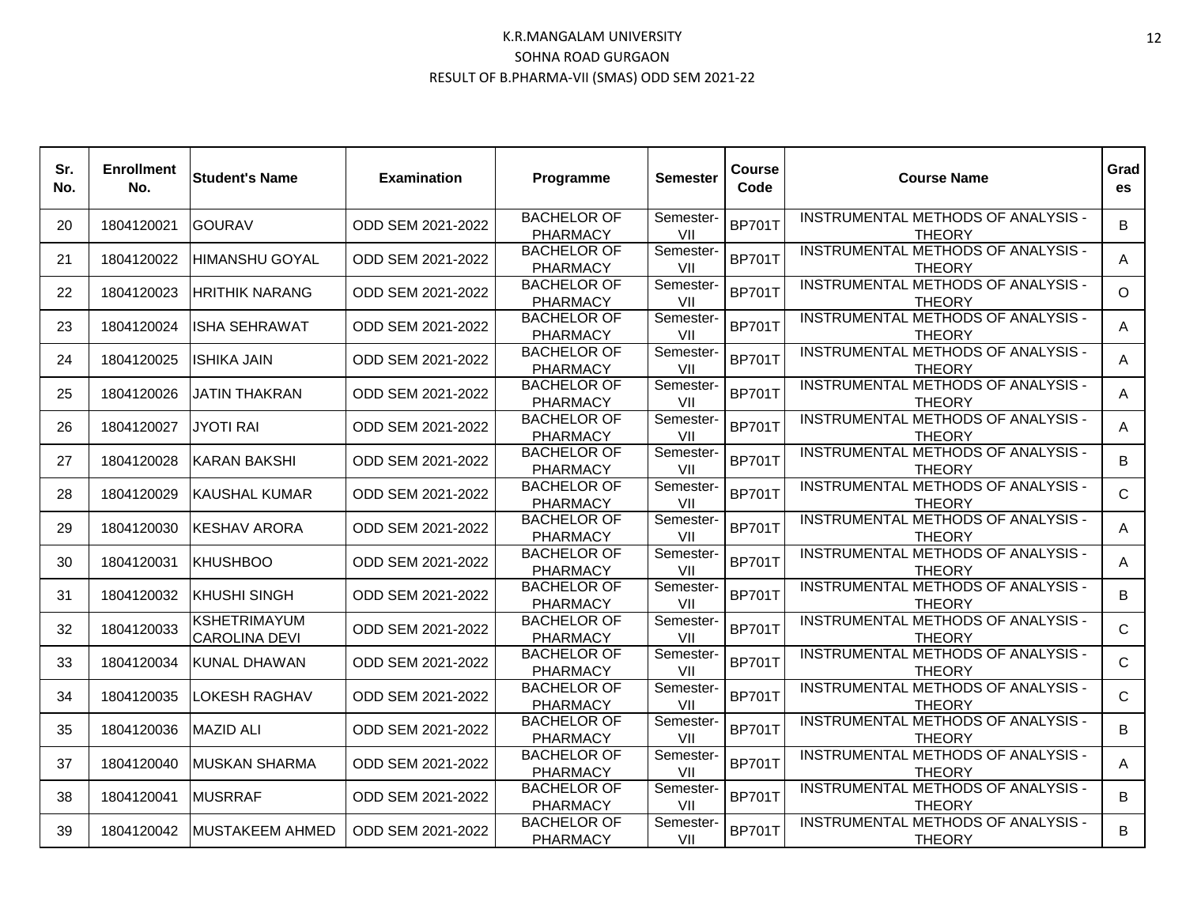| Sr.<br>No. | <b>Enrollment</b><br>No. | <b>Student's Name</b>                       | <b>Examination</b> | Programme                             | <b>Semester</b>  | Course<br>Code | <b>Course Name</b>                                         | Grad<br>es   |
|------------|--------------------------|---------------------------------------------|--------------------|---------------------------------------|------------------|----------------|------------------------------------------------------------|--------------|
| 20         | 1804120021               | <b>GOURAV</b>                               | ODD SEM 2021-2022  | <b>BACHELOR OF</b><br><b>PHARMACY</b> | Semester-<br>VII | <b>BP701T</b>  | INSTRUMENTAL METHODS OF ANALYSIS -<br><b>THEORY</b>        | B            |
| 21         | 1804120022               | HIMANSHU GOYAL                              | ODD SEM 2021-2022  | <b>BACHELOR OF</b><br><b>PHARMACY</b> | Semester-<br>VII | <b>BP701T</b>  | INSTRUMENTAL METHODS OF ANALYSIS -<br><b>THEORY</b>        | A            |
| 22         | 1804120023               | <b>HRITHIK NARANG</b>                       | ODD SEM 2021-2022  | <b>BACHELOR OF</b><br><b>PHARMACY</b> | Semester-<br>VII | <b>BP701T</b>  | INSTRUMENTAL METHODS OF ANALYSIS -<br><b>THEORY</b>        | $\Omega$     |
| 23         | 1804120024               | <b>ISHA SEHRAWAT</b>                        | ODD SEM 2021-2022  | <b>BACHELOR OF</b><br><b>PHARMACY</b> | Semester-<br>VII | <b>BP701T</b>  | INSTRUMENTAL METHODS OF ANALYSIS -<br><b>THEORY</b>        | A            |
| 24         | 1804120025               | <b>ISHIKA JAIN</b>                          | ODD SEM 2021-2022  | <b>BACHELOR OF</b><br><b>PHARMACY</b> | Semester-<br>VII | <b>BP701T</b>  | INSTRUMENTAL METHODS OF ANALYSIS -<br><b>THEORY</b>        | $\mathsf{A}$ |
| 25         | 1804120026               | <b>JATIN THAKRAN</b>                        | ODD SEM 2021-2022  | <b>BACHELOR OF</b><br><b>PHARMACY</b> | Semester-<br>VII | <b>BP701T</b>  | INSTRUMENTAL METHODS OF ANALYSIS -<br><b>THEORY</b>        | A            |
| 26         | 1804120027               | <b>JYOTI RAI</b>                            | ODD SEM 2021-2022  | <b>BACHELOR OF</b><br><b>PHARMACY</b> | Semester-<br>VII | <b>BP701T</b>  | INSTRUMENTAL METHODS OF ANALYSIS -<br><b>THEORY</b>        | A            |
| 27         | 1804120028               | <b>KARAN BAKSHI</b>                         | ODD SEM 2021-2022  | <b>BACHELOR OF</b><br><b>PHARMACY</b> | Semester-<br>VII | <b>BP701T</b>  | INSTRUMENTAL METHODS OF ANALYSIS -<br><b>THEORY</b>        | B            |
| 28         | 1804120029               | <b>KAUSHAL KUMAR</b>                        | ODD SEM 2021-2022  | <b>BACHELOR OF</b><br><b>PHARMACY</b> | Semester-<br>VII | <b>BP701T</b>  | <b>INSTRUMENTAL METHODS OF ANALYSIS -</b><br><b>THEORY</b> | $\mathsf{C}$ |
| 29         | 1804120030               | <b>KESHAV ARORA</b>                         | ODD SEM 2021-2022  | <b>BACHELOR OF</b><br><b>PHARMACY</b> | Semester-<br>VII | <b>BP701T</b>  | INSTRUMENTAL METHODS OF ANALYSIS -<br><b>THEORY</b>        | A            |
| 30         | 1804120031               | <b>KHUSHBOO</b>                             | ODD SEM 2021-2022  | <b>BACHELOR OF</b><br><b>PHARMACY</b> | Semester-<br>VII | <b>BP701T</b>  | INSTRUMENTAL METHODS OF ANALYSIS -<br><b>THEORY</b>        | A            |
| 31         | 1804120032               | <b>KHUSHI SINGH</b>                         | ODD SEM 2021-2022  | <b>BACHELOR OF</b><br><b>PHARMACY</b> | Semester-<br>VII | <b>BP701T</b>  | INSTRUMENTAL METHODS OF ANALYSIS -<br><b>THEORY</b>        | B            |
| 32         | 1804120033               | <b>KSHETRIMAYUM</b><br><b>CAROLINA DEVI</b> | ODD SEM 2021-2022  | <b>BACHELOR OF</b><br><b>PHARMACY</b> | Semester-<br>VII | <b>BP701T</b>  | <b>INSTRUMENTAL METHODS OF ANALYSIS -</b><br><b>THEORY</b> | $\mathsf{C}$ |
| 33         | 1804120034               | <b>KUNAL DHAWAN</b>                         | ODD SEM 2021-2022  | <b>BACHELOR OF</b><br><b>PHARMACY</b> | Semester-<br>VII | <b>BP701T</b>  | INSTRUMENTAL METHODS OF ANALYSIS -<br><b>THEORY</b>        | $\mathsf{C}$ |
| 34         | 1804120035               | LOKESH RAGHAV                               | ODD SEM 2021-2022  | <b>BACHELOR OF</b><br><b>PHARMACY</b> | Semester-<br>VII | <b>BP701T</b>  | INSTRUMENTAL METHODS OF ANALYSIS -<br><b>THEORY</b>        | $\mathsf{C}$ |
| 35         | 1804120036               | <b>MAZID ALI</b>                            | ODD SEM 2021-2022  | <b>BACHELOR OF</b><br><b>PHARMACY</b> | Semester-<br>VII | <b>BP701T</b>  | INSTRUMENTAL METHODS OF ANALYSIS -<br><b>THEORY</b>        | B            |
| 37         | 1804120040               | <b>MUSKAN SHARMA</b>                        | ODD SEM 2021-2022  | <b>BACHELOR OF</b><br><b>PHARMACY</b> | Semester-<br>VII | <b>BP701T</b>  | INSTRUMENTAL METHODS OF ANALYSIS -<br><b>THEORY</b>        | A            |
| 38         | 1804120041               | <b>MUSRRAF</b>                              | ODD SEM 2021-2022  | <b>BACHELOR OF</b><br><b>PHARMACY</b> | Semester-<br>VII | <b>BP701T</b>  | INSTRUMENTAL METHODS OF ANALYSIS -<br><b>THEORY</b>        | B.           |
| 39         | 1804120042               | <b>MUSTAKEEM AHMED</b>                      | ODD SEM 2021-2022  | <b>BACHELOR OF</b><br><b>PHARMACY</b> | Semester-<br>VII | <b>BP701T</b>  | INSTRUMENTAL METHODS OF ANALYSIS -<br><b>THEORY</b>        | B            |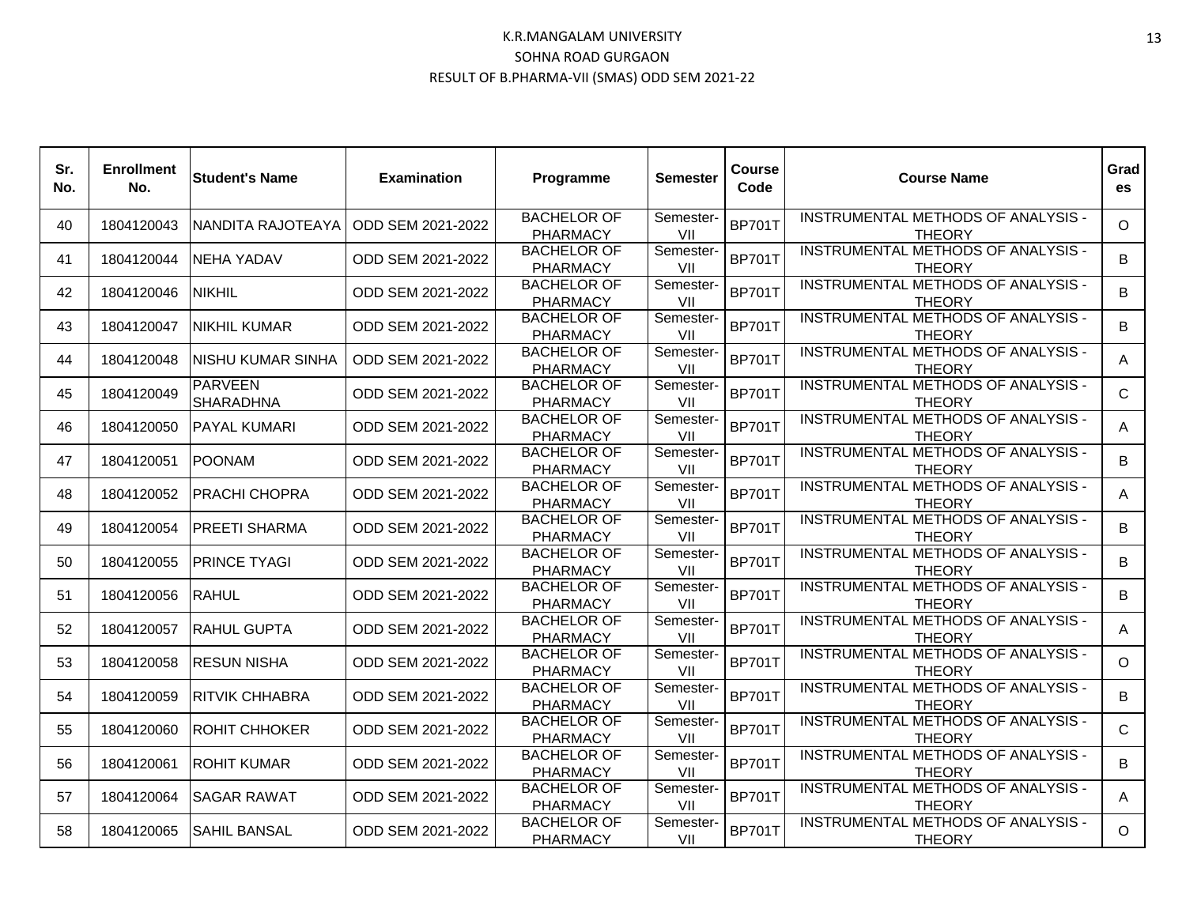| Sr.<br>No. | <b>Enrollment</b><br>No. | <b>Student's Name</b>              | <b>Examination</b> | Programme                             | <b>Semester</b>  | Course<br>Code | <b>Course Name</b>                                  | Grad<br><b>es</b> |
|------------|--------------------------|------------------------------------|--------------------|---------------------------------------|------------------|----------------|-----------------------------------------------------|-------------------|
| 40         | 1804120043               | NANDITA RAJOTEAYA                  | ODD SEM 2021-2022  | <b>BACHELOR OF</b><br><b>PHARMACY</b> | Semester-<br>VII | <b>BP701T</b>  | INSTRUMENTAL METHODS OF ANALYSIS -<br><b>THEORY</b> | $\circ$           |
| 41         | 1804120044               | NEHA YADAV                         | ODD SEM 2021-2022  | <b>BACHELOR OF</b><br><b>PHARMACY</b> | Semester-<br>VII | <b>BP701T</b>  | INSTRUMENTAL METHODS OF ANALYSIS -<br><b>THEORY</b> | B                 |
| 42         | 1804120046               | <b>NIKHIL</b>                      | ODD SEM 2021-2022  | <b>BACHELOR OF</b><br><b>PHARMACY</b> | Semester-<br>VII | <b>BP701T</b>  | INSTRUMENTAL METHODS OF ANALYSIS -<br><b>THEORY</b> | B                 |
| 43         | 1804120047               | <b>NIKHIL KUMAR</b>                | ODD SEM 2021-2022  | <b>BACHELOR OF</b><br><b>PHARMACY</b> | Semester-<br>VII | <b>BP701T</b>  | INSTRUMENTAL METHODS OF ANALYSIS -<br><b>THEORY</b> | B                 |
| 44         | 1804120048               | <b>NISHU KUMAR SINHA</b>           | ODD SEM 2021-2022  | <b>BACHELOR OF</b><br><b>PHARMACY</b> | Semester-<br>VII | <b>BP701T</b>  | INSTRUMENTAL METHODS OF ANALYSIS -<br><b>THEORY</b> | A                 |
| 45         | 1804120049               | <b>PARVEEN</b><br><b>SHARADHNA</b> | ODD SEM 2021-2022  | <b>BACHELOR OF</b><br><b>PHARMACY</b> | Semester-<br>VII | <b>BP701T</b>  | INSTRUMENTAL METHODS OF ANALYSIS -<br><b>THEORY</b> | $\mathsf{C}$      |
| 46         | 1804120050               | PAYAL KUMARI                       | ODD SEM 2021-2022  | <b>BACHELOR OF</b><br><b>PHARMACY</b> | Semester-<br>VII | <b>BP701T</b>  | INSTRUMENTAL METHODS OF ANALYSIS -<br><b>THEORY</b> | A                 |
| 47         | 1804120051               | <b>POONAM</b>                      | ODD SEM 2021-2022  | <b>BACHELOR OF</b><br><b>PHARMACY</b> | Semester-<br>VII | <b>BP701T</b>  | INSTRUMENTAL METHODS OF ANALYSIS -<br><b>THEORY</b> | B                 |
| 48         | 1804120052               | <b>PRACHI CHOPRA</b>               | ODD SEM 2021-2022  | <b>BACHELOR OF</b><br><b>PHARMACY</b> | Semester-<br>VII | <b>BP701T</b>  | INSTRUMENTAL METHODS OF ANALYSIS -<br><b>THEORY</b> | A                 |
| 49         | 1804120054               | <b>PREETI SHARMA</b>               | ODD SEM 2021-2022  | <b>BACHELOR OF</b><br><b>PHARMACY</b> | Semester-<br>VII | <b>BP701T</b>  | INSTRUMENTAL METHODS OF ANALYSIS -<br><b>THEORY</b> | B                 |
| 50         | 1804120055               | <b>PRINCE TYAGI</b>                | ODD SEM 2021-2022  | <b>BACHELOR OF</b><br><b>PHARMACY</b> | Semester-<br>VII | <b>BP701T</b>  | INSTRUMENTAL METHODS OF ANALYSIS -<br><b>THEORY</b> | B                 |
| 51         | 1804120056               | <b>RAHUL</b>                       | ODD SEM 2021-2022  | <b>BACHELOR OF</b><br><b>PHARMACY</b> | Semester-<br>VII | <b>BP701T</b>  | INSTRUMENTAL METHODS OF ANALYSIS -<br><b>THEORY</b> | B                 |
| 52         | 1804120057               | <b>RAHUL GUPTA</b>                 | ODD SEM 2021-2022  | <b>BACHELOR OF</b><br><b>PHARMACY</b> | Semester-<br>VII | <b>BP701T</b>  | INSTRUMENTAL METHODS OF ANALYSIS -<br><b>THEORY</b> | A                 |
| 53         | 1804120058               | <b>RESUN NISHA</b>                 | ODD SEM 2021-2022  | <b>BACHELOR OF</b><br><b>PHARMACY</b> | Semester-<br>VII | <b>BP701T</b>  | INSTRUMENTAL METHODS OF ANALYSIS -<br><b>THEORY</b> | $\Omega$          |
| 54         | 1804120059               | <b>RITVIK CHHABRA</b>              | ODD SEM 2021-2022  | <b>BACHELOR OF</b><br><b>PHARMACY</b> | Semester-<br>VII | <b>BP701T</b>  | INSTRUMENTAL METHODS OF ANALYSIS -<br><b>THEORY</b> | B                 |
| 55         | 1804120060               | <b>ROHIT CHHOKER</b>               | ODD SEM 2021-2022  | <b>BACHELOR OF</b><br><b>PHARMACY</b> | Semester-<br>VII | <b>BP701T</b>  | INSTRUMENTAL METHODS OF ANALYSIS -<br><b>THEORY</b> | $\mathsf{C}$      |
| 56         | 1804120061               | <b>ROHIT KUMAR</b>                 | ODD SEM 2021-2022  | <b>BACHELOR OF</b><br><b>PHARMACY</b> | Semester-<br>VII | <b>BP701T</b>  | INSTRUMENTAL METHODS OF ANALYSIS -<br><b>THEORY</b> | B                 |
| 57         | 1804120064               | <b>SAGAR RAWAT</b>                 | ODD SEM 2021-2022  | <b>BACHELOR OF</b><br><b>PHARMACY</b> | Semester-<br>VII | <b>BP701T</b>  | INSTRUMENTAL METHODS OF ANALYSIS -<br><b>THEORY</b> | A                 |
| 58         | 1804120065               | <b>SAHIL BANSAL</b>                | ODD SEM 2021-2022  | <b>BACHELOR OF</b><br><b>PHARMACY</b> | Semester-<br>VII | <b>BP701T</b>  | INSTRUMENTAL METHODS OF ANALYSIS -<br><b>THEORY</b> | $\circ$           |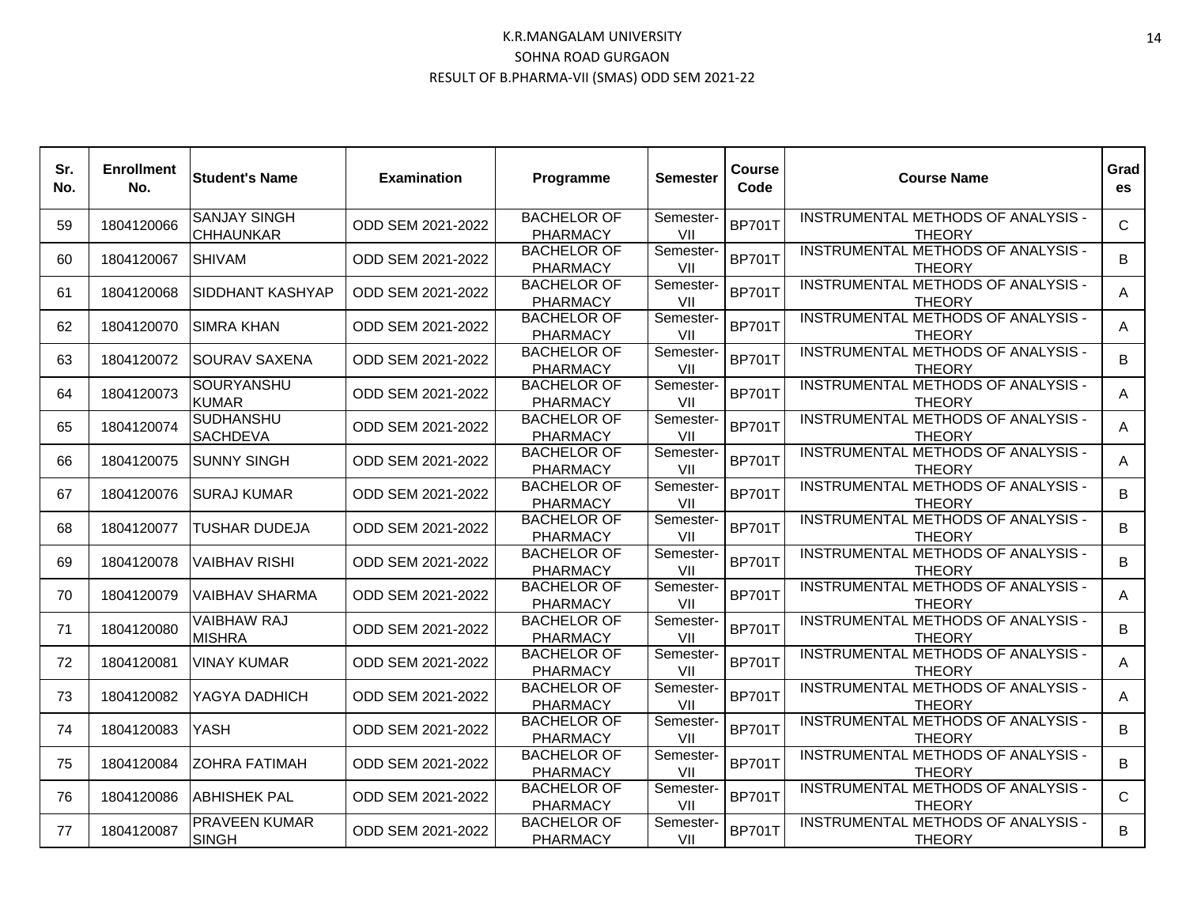| Sr.<br>No. | <b>Enrollment</b><br>No. | <b>Student's Name</b>                   | <b>Examination</b> | Programme                             | <b>Semester</b>  | Course<br>Code | <b>Course Name</b>                                         | Grad<br>es   |
|------------|--------------------------|-----------------------------------------|--------------------|---------------------------------------|------------------|----------------|------------------------------------------------------------|--------------|
| 59         | 1804120066               | <b>SANJAY SINGH</b><br><b>CHHAUNKAR</b> | ODD SEM 2021-2022  | <b>BACHELOR OF</b><br><b>PHARMACY</b> | Semester-<br>VII | <b>BP701T</b>  | INSTRUMENTAL METHODS OF ANALYSIS -<br><b>THEORY</b>        | $\mathsf{C}$ |
| 60         | 1804120067               | <b>SHIVAM</b>                           | ODD SEM 2021-2022  | <b>BACHELOR OF</b><br><b>PHARMACY</b> | Semester-<br>VII | <b>BP701T</b>  | INSTRUMENTAL METHODS OF ANALYSIS -<br><b>THEORY</b>        | B            |
| 61         | 1804120068               | SIDDHANT KASHYAP                        | ODD SEM 2021-2022  | <b>BACHELOR OF</b><br><b>PHARMACY</b> | Semester-<br>VII | <b>BP701T</b>  | INSTRUMENTAL METHODS OF ANALYSIS -<br><b>THEORY</b>        | A            |
| 62         | 1804120070               | <b>SIMRA KHAN</b>                       | ODD SEM 2021-2022  | <b>BACHELOR OF</b><br><b>PHARMACY</b> | Semester-<br>VII | <b>BP701T</b>  | INSTRUMENTAL METHODS OF ANALYSIS -<br><b>THEORY</b>        | A            |
| 63         | 1804120072               | <b>SOURAV SAXENA</b>                    | ODD SEM 2021-2022  | <b>BACHELOR OF</b><br><b>PHARMACY</b> | Semester-<br>VII | <b>BP701T</b>  | INSTRUMENTAL METHODS OF ANALYSIS -<br><b>THEORY</b>        | B            |
| 64         | 1804120073               | <b>SOURYANSHU</b><br><b>KUMAR</b>       | ODD SEM 2021-2022  | <b>BACHELOR OF</b><br><b>PHARMACY</b> | Semester-<br>VII | <b>BP701T</b>  | INSTRUMENTAL METHODS OF ANALYSIS -<br><b>THEORY</b>        | A            |
| 65         | 1804120074               | <b>SUDHANSHU</b><br><b>SACHDEVA</b>     | ODD SEM 2021-2022  | <b>BACHELOR OF</b><br><b>PHARMACY</b> | Semester-<br>VII | <b>BP701T</b>  | INSTRUMENTAL METHODS OF ANALYSIS -<br><b>THEORY</b>        | A            |
| 66         | 1804120075               | <b>SUNNY SINGH</b>                      | ODD SEM 2021-2022  | <b>BACHELOR OF</b><br><b>PHARMACY</b> | Semester-<br>VII | <b>BP701T</b>  | INSTRUMENTAL METHODS OF ANALYSIS -<br><b>THEORY</b>        | A            |
| 67         | 1804120076               | <b>SURAJ KUMAR</b>                      | ODD SEM 2021-2022  | <b>BACHELOR OF</b><br><b>PHARMACY</b> | Semester-<br>VII | <b>BP701T</b>  | INSTRUMENTAL METHODS OF ANALYSIS -<br><b>THEORY</b>        | B            |
| 68         | 1804120077               | TUSHAR DUDEJA                           | ODD SEM 2021-2022  | <b>BACHELOR OF</b><br><b>PHARMACY</b> | Semester-<br>VII | <b>BP701T</b>  | INSTRUMENTAL METHODS OF ANALYSIS -<br><b>THEORY</b>        | B.           |
| 69         | 1804120078               | <b>VAIBHAV RISHI</b>                    | ODD SEM 2021-2022  | <b>BACHELOR OF</b><br><b>PHARMACY</b> | Semester-<br>VII | <b>BP701T</b>  | INSTRUMENTAL METHODS OF ANALYSIS -<br><b>THEORY</b>        | B            |
| 70         | 1804120079               | <b>VAIBHAV SHARMA</b>                   | ODD SEM 2021-2022  | <b>BACHELOR OF</b><br><b>PHARMACY</b> | Semester-<br>VII | <b>BP701T</b>  | INSTRUMENTAL METHODS OF ANALYSIS -<br><b>THEORY</b>        | A            |
| 71         | 1804120080               | <b>VAIBHAW RAJ</b><br><b>MISHRA</b>     | ODD SEM 2021-2022  | <b>BACHELOR OF</b><br><b>PHARMACY</b> | Semester-<br>VII | <b>BP701T</b>  | <b>INSTRUMENTAL METHODS OF ANALYSIS -</b><br><b>THEORY</b> | B            |
| 72         | 1804120081               | <b>VINAY KUMAR</b>                      | ODD SEM 2021-2022  | <b>BACHELOR OF</b><br><b>PHARMACY</b> | Semester-<br>VII | <b>BP701T</b>  | INSTRUMENTAL METHODS OF ANALYSIS -<br><b>THEORY</b>        | A            |
| 73         | 1804120082               | YAGYA DADHICH                           | ODD SEM 2021-2022  | <b>BACHELOR OF</b><br><b>PHARMACY</b> | Semester-<br>VII | <b>BP701T</b>  | INSTRUMENTAL METHODS OF ANALYSIS -<br><b>THEORY</b>        | A            |
| 74         | 1804120083               | <b>YASH</b>                             | ODD SEM 2021-2022  | <b>BACHELOR OF</b><br><b>PHARMACY</b> | Semester-<br>VII | <b>BP701T</b>  | INSTRUMENTAL METHODS OF ANALYSIS -<br><b>THEORY</b>        | B            |
| 75         | 1804120084               | <b>ZOHRA FATIMAH</b>                    | ODD SEM 2021-2022  | <b>BACHELOR OF</b><br><b>PHARMACY</b> | Semester-<br>VII | <b>BP701T</b>  | INSTRUMENTAL METHODS OF ANALYSIS -<br><b>THEORY</b>        | B            |
| 76         | 1804120086               | <b>ABHISHEK PAL</b>                     | ODD SEM 2021-2022  | <b>BACHELOR OF</b><br><b>PHARMACY</b> | Semester-<br>VII | <b>BP701T</b>  | INSTRUMENTAL METHODS OF ANALYSIS -<br><b>THEORY</b>        | $\mathsf{C}$ |
| 77         | 1804120087               | <b>PRAVEEN KUMAR</b><br><b>SINGH</b>    | ODD SEM 2021-2022  | <b>BACHELOR OF</b><br><b>PHARMACY</b> | Semester-<br>VII | <b>BP701T</b>  | INSTRUMENTAL METHODS OF ANALYSIS -<br><b>THEORY</b>        | B            |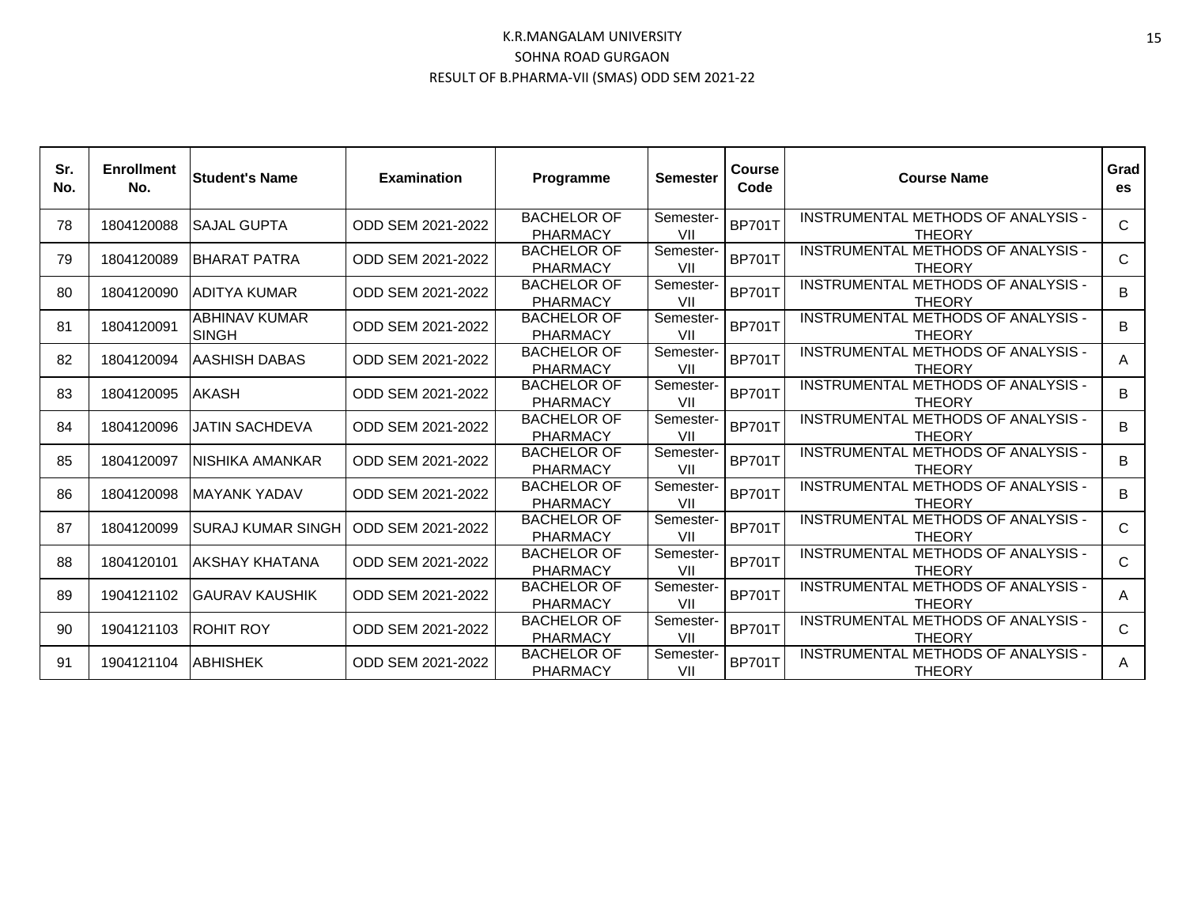| Sr.<br>No. | <b>Enrollment</b><br>No. | <b>Student's Name</b>                | <b>Examination</b> | Programme                             | <b>Semester</b>  | <b>Course</b><br>Code | <b>Course Name</b>                                  | Grad<br>es   |
|------------|--------------------------|--------------------------------------|--------------------|---------------------------------------|------------------|-----------------------|-----------------------------------------------------|--------------|
| 78         | 1804120088               | <b>SAJAL GUPTA</b>                   | ODD SEM 2021-2022  | <b>BACHELOR OF</b><br><b>PHARMACY</b> | Semester-<br>VII | <b>BP701T</b>         | INSTRUMENTAL METHODS OF ANALYSIS -<br><b>THEORY</b> | $\mathsf{C}$ |
| 79         | 1804120089               | <b>IBHARAT PATRA</b>                 | ODD SEM 2021-2022  | <b>BACHELOR OF</b><br><b>PHARMACY</b> | Semester-<br>VII | <b>BP701T</b>         | INSTRUMENTAL METHODS OF ANALYSIS -<br><b>THEORY</b> | $\mathsf{C}$ |
| 80         | 1804120090               | ADITYA KUMAR                         | ODD SEM 2021-2022  | <b>BACHELOR OF</b><br><b>PHARMACY</b> | Semester-<br>VII | <b>BP701T</b>         | INSTRUMENTAL METHODS OF ANALYSIS -<br><b>THEORY</b> | B            |
| 81         | 1804120091               | <b>ABHINAV KUMAR</b><br><b>SINGH</b> | ODD SEM 2021-2022  | <b>BACHELOR OF</b><br><b>PHARMACY</b> | Semester-<br>VII | <b>BP701T</b>         | INSTRUMENTAL METHODS OF ANALYSIS -<br><b>THEORY</b> | B            |
| 82         | 1804120094               | <b>AASHISH DABAS</b>                 | ODD SEM 2021-2022  | <b>BACHELOR OF</b><br><b>PHARMACY</b> | Semester-<br>VII | <b>BP701T</b>         | INSTRUMENTAL METHODS OF ANALYSIS -<br><b>THEORY</b> | A            |
| 83         | 1804120095               | <b>AKASH</b>                         | ODD SEM 2021-2022  | <b>BACHELOR OF</b><br><b>PHARMACY</b> | Semester-<br>VII | <b>BP701T</b>         | INSTRUMENTAL METHODS OF ANALYSIS -<br><b>THEORY</b> | B            |
| 84         | 1804120096               | JATIN SACHDEVA                       | ODD SEM 2021-2022  | <b>BACHELOR OF</b><br><b>PHARMACY</b> | Semester-<br>VII | <b>BP701T</b>         | INSTRUMENTAL METHODS OF ANALYSIS -<br><b>THEORY</b> | B            |
| 85         | 1804120097               | NISHIKA AMANKAR                      | ODD SEM 2021-2022  | <b>BACHELOR OF</b><br><b>PHARMACY</b> | Semester-<br>VII | <b>BP701T</b>         | INSTRUMENTAL METHODS OF ANALYSIS -<br><b>THEORY</b> | B            |
| 86         | 1804120098               | IMAYANK YADAV                        | ODD SEM 2021-2022  | <b>BACHELOR OF</b><br><b>PHARMACY</b> | Semester-<br>VII | <b>BP701T</b>         | INSTRUMENTAL METHODS OF ANALYSIS -<br><b>THEORY</b> | B            |
| 87         | 1804120099               | ISURAJ KUMAR SINGH                   | ODD SEM 2021-2022  | <b>BACHELOR OF</b><br><b>PHARMACY</b> | Semester-<br>VII | <b>BP701T</b>         | INSTRUMENTAL METHODS OF ANALYSIS -<br><b>THEORY</b> | $\mathsf{C}$ |
| 88         | 1804120101               | <b>AKSHAY KHATANA</b>                | ODD SEM 2021-2022  | <b>BACHELOR OF</b><br><b>PHARMACY</b> | Semester-<br>VII | <b>BP701T</b>         | INSTRUMENTAL METHODS OF ANALYSIS -<br><b>THEORY</b> | $\mathsf{C}$ |
| 89         | 1904121102               | IGAURAV KAUSHIK                      | ODD SEM 2021-2022  | <b>BACHELOR OF</b><br><b>PHARMACY</b> | Semester-<br>VII | <b>BP701T</b>         | INSTRUMENTAL METHODS OF ANALYSIS -<br><b>THEORY</b> | A            |
| 90         | 1904121103               | <b>ROHIT ROY</b>                     | ODD SEM 2021-2022  | <b>BACHELOR OF</b><br><b>PHARMACY</b> | Semester-<br>VII | <b>BP701T</b>         | INSTRUMENTAL METHODS OF ANALYSIS -<br><b>THEORY</b> | $\mathsf{C}$ |
| 91         | 1904121104               | <b>ABHISHEK</b>                      | ODD SEM 2021-2022  | <b>BACHELOR OF</b><br><b>PHARMACY</b> | Semester-<br>VII | <b>BP701T</b>         | INSTRUMENTAL METHODS OF ANALYSIS -<br><b>THEORY</b> | A            |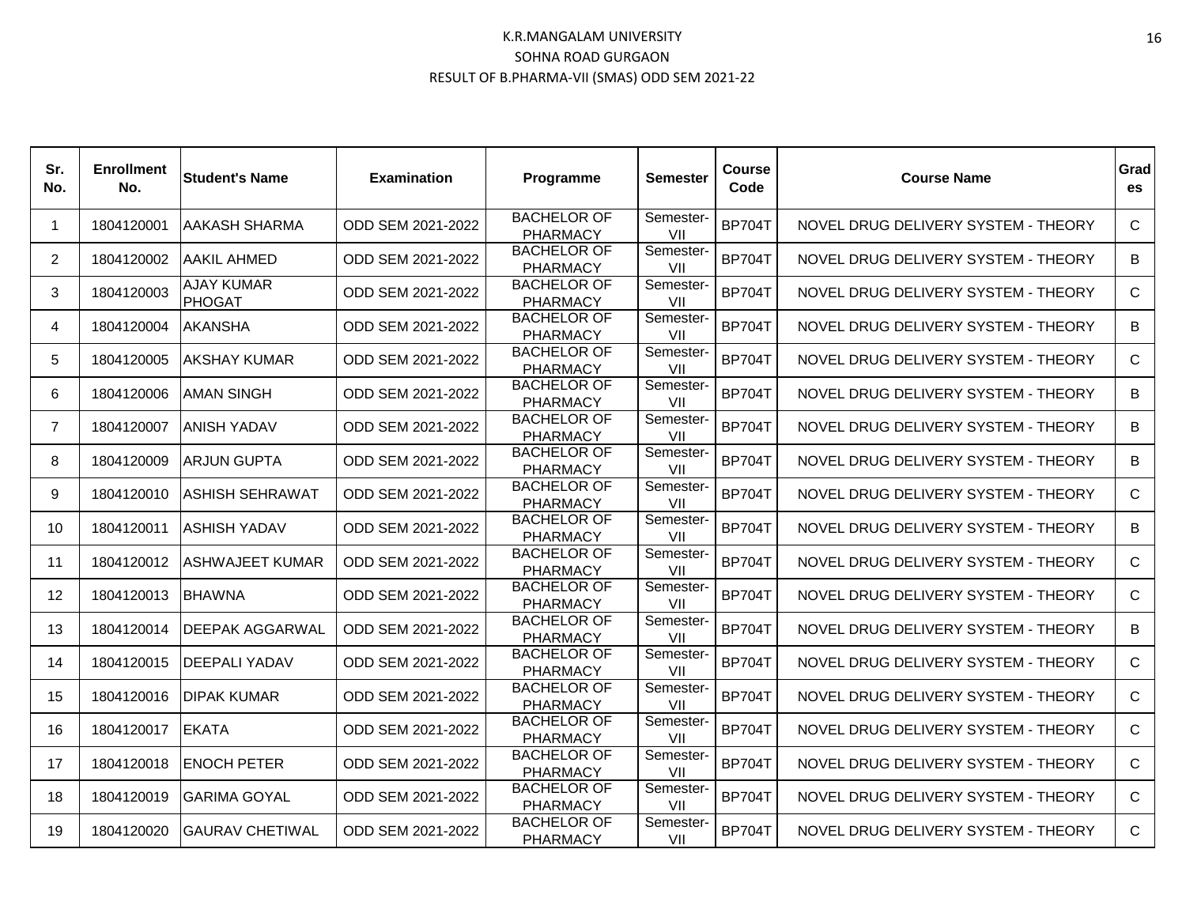| Sr.<br>No.     | <b>Enrollment</b><br>No. | <b>Student's Name</b>       | <b>Examination</b> | Programme                             | <b>Semester</b>  | <b>Course</b><br>Code | <b>Course Name</b>                  | Grad<br>es   |
|----------------|--------------------------|-----------------------------|--------------------|---------------------------------------|------------------|-----------------------|-------------------------------------|--------------|
| $\mathbf 1$    | 1804120001               | <b>AAKASH SHARMA</b>        | ODD SEM 2021-2022  | <b>BACHELOR OF</b><br><b>PHARMACY</b> | Semester-<br>VII | <b>BP704T</b>         | NOVEL DRUG DELIVERY SYSTEM - THEORY | C            |
| 2              | 1804120002               | IAAKIL AHMED                | ODD SEM 2021-2022  | <b>BACHELOR OF</b><br><b>PHARMACY</b> | Semester-<br>VII | <b>BP704T</b>         | NOVEL DRUG DELIVERY SYSTEM - THEORY | B            |
| 3              | 1804120003               | AJAY KUMAR<br><b>PHOGAT</b> | ODD SEM 2021-2022  | <b>BACHELOR OF</b><br><b>PHARMACY</b> | Semester-<br>VII | <b>BP704T</b>         | NOVEL DRUG DELIVERY SYSTEM - THEORY | C            |
| 4              | 1804120004               | <b>AKANSHA</b>              | ODD SEM 2021-2022  | <b>BACHELOR OF</b><br><b>PHARMACY</b> | Semester-<br>VII | <b>BP704T</b>         | NOVEL DRUG DELIVERY SYSTEM - THEORY | B            |
| 5              | 1804120005               | IAKSHAY KUMAR               | ODD SEM 2021-2022  | <b>BACHELOR OF</b><br><b>PHARMACY</b> | Semester-<br>VII | <b>BP704T</b>         | NOVEL DRUG DELIVERY SYSTEM - THEORY | $\mathsf{C}$ |
| 6              | 1804120006               | <b>AMAN SINGH</b>           | ODD SEM 2021-2022  | <b>BACHELOR OF</b><br><b>PHARMACY</b> | Semester-<br>VII | <b>BP704T</b>         | NOVEL DRUG DELIVERY SYSTEM - THEORY | B            |
| $\overline{7}$ | 1804120007               | IANISH YADAV                | ODD SEM 2021-2022  | <b>BACHELOR OF</b><br><b>PHARMACY</b> | Semester-<br>VII | <b>BP704T</b>         | NOVEL DRUG DELIVERY SYSTEM - THEORY | B            |
| 8              | 1804120009               | IARJUN GUPTA                | ODD SEM 2021-2022  | <b>BACHELOR OF</b><br><b>PHARMACY</b> | Semester-<br>VII | <b>BP704T</b>         | NOVEL DRUG DELIVERY SYSTEM - THEORY | B            |
| 9              | 1804120010               | <b>ASHISH SEHRAWAT</b>      | ODD SEM 2021-2022  | <b>BACHELOR OF</b><br>PHARMACY        | Semester-<br>VII | <b>BP704T</b>         | NOVEL DRUG DELIVERY SYSTEM - THEORY | C            |
| 10             | 1804120011               | <b>ASHISH YADAV</b>         | ODD SEM 2021-2022  | <b>BACHELOR OF</b><br><b>PHARMACY</b> | Semester-<br>VII | <b>BP704T</b>         | NOVEL DRUG DELIVERY SYSTEM - THEORY | B            |
| 11             | 1804120012               | <b>ASHWAJEET KUMAR</b>      | ODD SEM 2021-2022  | <b>BACHELOR OF</b><br><b>PHARMACY</b> | Semester-<br>VII | <b>BP704T</b>         | NOVEL DRUG DELIVERY SYSTEM - THEORY | C            |
| 12             | 1804120013               | <b>BHAWNA</b>               | ODD SEM 2021-2022  | <b>BACHELOR OF</b><br>PHARMACY        | Semester-<br>VII | <b>BP704T</b>         | NOVEL DRUG DELIVERY SYSTEM - THEORY | C            |
| 13             | 1804120014               | <b>IDEEPAK AGGARWAL</b>     | ODD SEM 2021-2022  | <b>BACHELOR OF</b><br><b>PHARMACY</b> | Semester-<br>VII | <b>BP704T</b>         | NOVEL DRUG DELIVERY SYSTEM - THEORY | B            |
| 14             | 1804120015               | <b>IDEEPALI YADAV</b>       | ODD SEM 2021-2022  | <b>BACHELOR OF</b><br><b>PHARMACY</b> | Semester-<br>VII | <b>BP704T</b>         | NOVEL DRUG DELIVERY SYSTEM - THEORY | $\mathsf{C}$ |
| 15             | 1804120016               | <b>IDIPAK KUMAR</b>         | ODD SEM 2021-2022  | <b>BACHELOR OF</b><br><b>PHARMACY</b> | Semester-<br>VII | <b>BP704T</b>         | NOVEL DRUG DELIVERY SYSTEM - THEORY | $\mathsf{C}$ |
| 16             | 1804120017               | IEKATA                      | ODD SEM 2021-2022  | <b>BACHELOR OF</b><br>PHARMACY        | Semester-<br>VII | <b>BP704T</b>         | NOVEL DRUG DELIVERY SYSTEM - THEORY | C            |
| 17             | 1804120018               | <b>ENOCH PETER</b>          | ODD SEM 2021-2022  | <b>BACHELOR OF</b><br><b>PHARMACY</b> | Semester-<br>VII | <b>BP704T</b>         | NOVEL DRUG DELIVERY SYSTEM - THEORY | C            |
| 18             | 1804120019               | IGARIMA GOYAL               | ODD SEM 2021-2022  | <b>BACHELOR OF</b><br><b>PHARMACY</b> | Semester-<br>VII | <b>BP704T</b>         | NOVEL DRUG DELIVERY SYSTEM - THEORY | C            |
| 19             | 1804120020               | <b>GAURAV CHETIWAL</b>      | ODD SEM 2021-2022  | <b>BACHELOR OF</b><br><b>PHARMACY</b> | Semester-<br>VII | <b>BP704T</b>         | NOVEL DRUG DELIVERY SYSTEM - THEORY | $\mathsf{C}$ |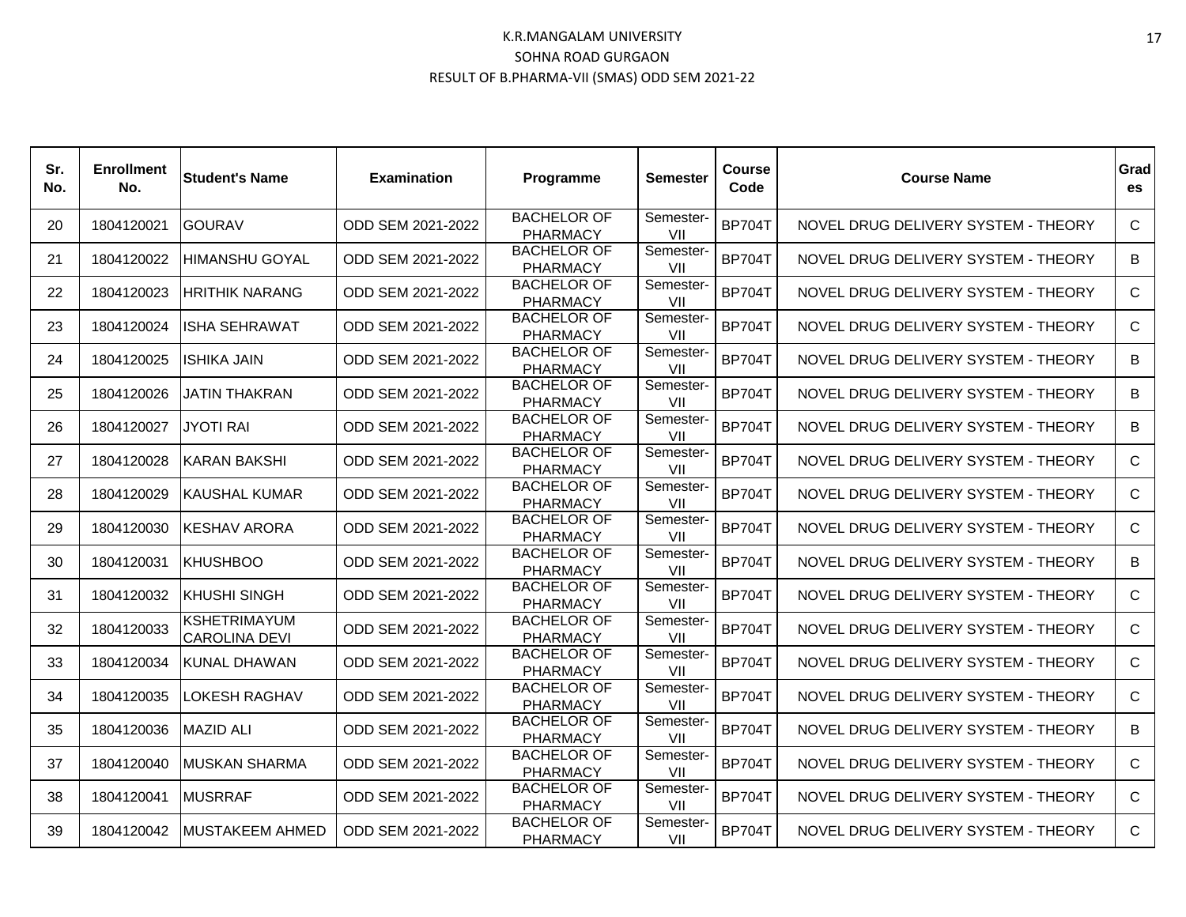| Sr.<br>No. | <b>Enrollment</b><br>No. | <b>Student's Name</b>                       | <b>Examination</b> | Programme                             | <b>Semester</b>  | <b>Course</b><br>Code | <b>Course Name</b>                  | Grad<br>es   |
|------------|--------------------------|---------------------------------------------|--------------------|---------------------------------------|------------------|-----------------------|-------------------------------------|--------------|
| 20         | 1804120021               | <b>GOURAV</b>                               | ODD SEM 2021-2022  | <b>BACHELOR OF</b><br><b>PHARMACY</b> | Semester-<br>VII | <b>BP704T</b>         | NOVEL DRUG DELIVERY SYSTEM - THEORY | C            |
| 21         | 1804120022               | <b>HIMANSHU GOYAL</b>                       | ODD SEM 2021-2022  | <b>BACHELOR OF</b><br><b>PHARMACY</b> | Semester-<br>VII | <b>BP704T</b>         | NOVEL DRUG DELIVERY SYSTEM - THEORY | B            |
| 22         | 1804120023               | <b>IHRITHIK NARANG</b>                      | ODD SEM 2021-2022  | <b>BACHELOR OF</b><br><b>PHARMACY</b> | Semester-<br>VII | <b>BP704T</b>         | NOVEL DRUG DELIVERY SYSTEM - THEORY | C            |
| 23         | 1804120024               | <b>ISHA SEHRAWAT</b>                        | ODD SEM 2021-2022  | <b>BACHELOR OF</b><br><b>PHARMACY</b> | Semester-<br>VII | <b>BP704T</b>         | NOVEL DRUG DELIVERY SYSTEM - THEORY | C            |
| 24         | 1804120025               | <b>ISHIKA JAIN</b>                          | ODD SEM 2021-2022  | <b>BACHELOR OF</b><br><b>PHARMACY</b> | Semester-<br>VII | <b>BP704T</b>         | NOVEL DRUG DELIVERY SYSTEM - THEORY | B            |
| 25         | 1804120026               | <b>JATIN THAKRAN</b>                        | ODD SEM 2021-2022  | <b>BACHELOR OF</b><br><b>PHARMACY</b> | Semester-<br>VII | <b>BP704T</b>         | NOVEL DRUG DELIVERY SYSTEM - THEORY | B            |
| 26         | 1804120027               | <b>JYOTI RAI</b>                            | ODD SEM 2021-2022  | <b>BACHELOR OF</b><br><b>PHARMACY</b> | Semester-<br>VII | <b>BP704T</b>         | NOVEL DRUG DELIVERY SYSTEM - THEORY | B            |
| 27         | 1804120028               | <b>IKARAN BAKSHI</b>                        | ODD SEM 2021-2022  | <b>BACHELOR OF</b><br><b>PHARMACY</b> | Semester-<br>VII | <b>BP704T</b>         | NOVEL DRUG DELIVERY SYSTEM - THEORY | C.           |
| 28         | 1804120029               | <b>KAUSHAL KUMAR</b>                        | ODD SEM 2021-2022  | <b>BACHELOR OF</b><br>PHARMACY        | Semester-<br>VII | <b>BP704T</b>         | NOVEL DRUG DELIVERY SYSTEM - THEORY | C            |
| 29         | 1804120030               | <b>IKESHAV ARORA</b>                        | ODD SEM 2021-2022  | <b>BACHELOR OF</b><br><b>PHARMACY</b> | Semester-<br>VII | <b>BP704T</b>         | NOVEL DRUG DELIVERY SYSTEM - THEORY | C            |
| 30         | 1804120031               | <b>KHUSHBOO</b>                             | ODD SEM 2021-2022  | <b>BACHELOR OF</b><br><b>PHARMACY</b> | Semester-<br>VII | <b>BP704T</b>         | NOVEL DRUG DELIVERY SYSTEM - THEORY | B            |
| 31         | 1804120032               | <b>KHUSHI SINGH</b>                         | ODD SEM 2021-2022  | <b>BACHELOR OF</b><br><b>PHARMACY</b> | Semester-<br>VII | <b>BP704T</b>         | NOVEL DRUG DELIVERY SYSTEM - THEORY | C            |
| 32         | 1804120033               | <b>KSHETRIMAYUM</b><br><b>CAROLINA DEVI</b> | ODD SEM 2021-2022  | <b>BACHELOR OF</b><br><b>PHARMACY</b> | Semester-<br>VII | <b>BP704T</b>         | NOVEL DRUG DELIVERY SYSTEM - THEORY | C            |
| 33         | 1804120034               | KUNAL DHAWAN                                | ODD SEM 2021-2022  | <b>BACHELOR OF</b><br><b>PHARMACY</b> | Semester-<br>VII | <b>BP704T</b>         | NOVEL DRUG DELIVERY SYSTEM - THEORY | $\mathsf{C}$ |
| 34         | 1804120035               | <b>LOKESH RAGHAV</b>                        | ODD SEM 2021-2022  | <b>BACHELOR OF</b><br><b>PHARMACY</b> | Semester-<br>VII | <b>BP704T</b>         | NOVEL DRUG DELIVERY SYSTEM - THEORY | C            |
| 35         | 1804120036               | IMAZID ALI                                  | ODD SEM 2021-2022  | <b>BACHELOR OF</b><br>PHARMACY        | Semester-<br>VII | <b>BP704T</b>         | NOVEL DRUG DELIVERY SYSTEM - THEORY | B            |
| 37         | 1804120040               | <b>MUSKAN SHARMA</b>                        | ODD SEM 2021-2022  | <b>BACHELOR OF</b><br><b>PHARMACY</b> | Semester-<br>VII | <b>BP704T</b>         | NOVEL DRUG DELIVERY SYSTEM - THEORY | C            |
| 38         | 1804120041               | <b>MUSRRAF</b>                              | ODD SEM 2021-2022  | <b>BACHELOR OF</b><br><b>PHARMACY</b> | Semester-<br>VII | <b>BP704T</b>         | NOVEL DRUG DELIVERY SYSTEM - THEORY | C            |
| 39         | 1804120042               | <b>MUSTAKEEM AHMED</b>                      | ODD SEM 2021-2022  | <b>BACHELOR OF</b><br><b>PHARMACY</b> | Semester-<br>VII | <b>BP704T</b>         | NOVEL DRUG DELIVERY SYSTEM - THEORY | $\mathsf{C}$ |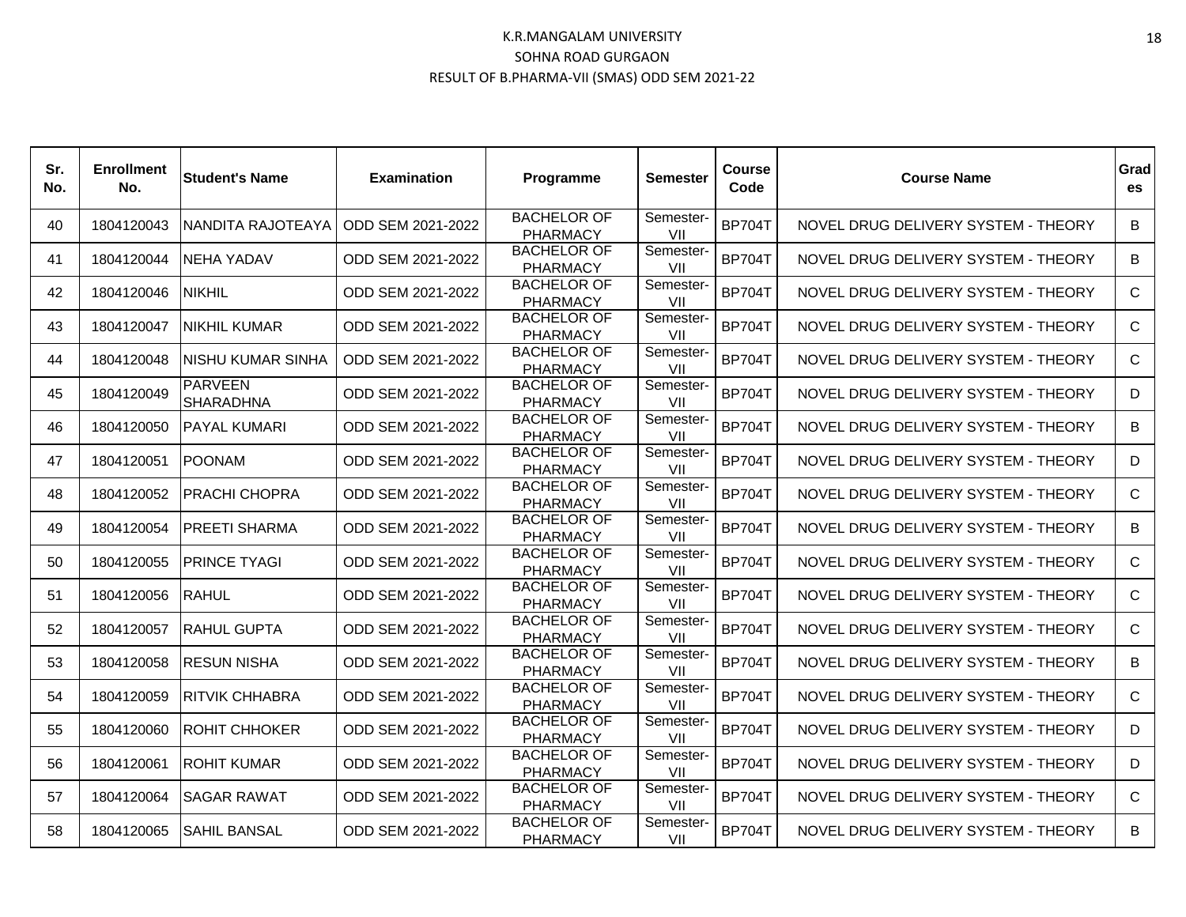| Sr.<br>No. | <b>Enrollment</b><br>No. | <b>Student's Name</b>              | <b>Examination</b> | Programme                             | <b>Semester</b>  | <b>Course</b><br>Code | <b>Course Name</b>                  | Grad<br>es   |
|------------|--------------------------|------------------------------------|--------------------|---------------------------------------|------------------|-----------------------|-------------------------------------|--------------|
| 40         | 1804120043               | NANDITA RAJOTEAYA                  | ODD SEM 2021-2022  | <b>BACHELOR OF</b><br><b>PHARMACY</b> | Semester-<br>VII | <b>BP704T</b>         | NOVEL DRUG DELIVERY SYSTEM - THEORY | B            |
| 41         | 1804120044               | INEHA YADAV                        | ODD SEM 2021-2022  | <b>BACHELOR OF</b><br><b>PHARMACY</b> | Semester-<br>VII | <b>BP704T</b>         | NOVEL DRUG DELIVERY SYSTEM - THEORY | B            |
| 42         | 1804120046               | <b>NIKHIL</b>                      | ODD SEM 2021-2022  | <b>BACHELOR OF</b><br><b>PHARMACY</b> | Semester-<br>VII | <b>BP704T</b>         | NOVEL DRUG DELIVERY SYSTEM - THEORY | C            |
| 43         | 1804120047               | <b>INIKHIL KUMAR</b>               | ODD SEM 2021-2022  | <b>BACHELOR OF</b><br><b>PHARMACY</b> | Semester-<br>VII | <b>BP704T</b>         | NOVEL DRUG DELIVERY SYSTEM - THEORY | C            |
| 44         | 1804120048               | INISHU KUMAR SINHA                 | ODD SEM 2021-2022  | <b>BACHELOR OF</b><br><b>PHARMACY</b> | Semester-<br>VII | <b>BP704T</b>         | NOVEL DRUG DELIVERY SYSTEM - THEORY | $\mathsf{C}$ |
| 45         | 1804120049               | <b>PARVEEN</b><br><b>SHARADHNA</b> | ODD SEM 2021-2022  | <b>BACHELOR OF</b><br><b>PHARMACY</b> | Semester-<br>VII | <b>BP704T</b>         | NOVEL DRUG DELIVERY SYSTEM - THEORY | D            |
| 46         | 1804120050               | <b>PAYAL KUMARI</b>                | ODD SEM 2021-2022  | <b>BACHELOR OF</b><br><b>PHARMACY</b> | Semester-<br>VII | <b>BP704T</b>         | NOVEL DRUG DELIVERY SYSTEM - THEORY | B            |
| 47         | 1804120051               | <b>IPOONAM</b>                     | ODD SEM 2021-2022  | <b>BACHELOR OF</b><br><b>PHARMACY</b> | Semester-<br>VII | <b>BP704T</b>         | NOVEL DRUG DELIVERY SYSTEM - THEORY | D.           |
| 48         | 1804120052               | <b>PRACHI CHOPRA</b>               | ODD SEM 2021-2022  | <b>BACHELOR OF</b><br><b>PHARMACY</b> | Semester-<br>VII | <b>BP704T</b>         | NOVEL DRUG DELIVERY SYSTEM - THEORY | C            |
| 49         | 1804120054               | <b>PREETI SHARMA</b>               | ODD SEM 2021-2022  | <b>BACHELOR OF</b><br><b>PHARMACY</b> | Semester-<br>VII | <b>BP704T</b>         | NOVEL DRUG DELIVERY SYSTEM - THEORY | B            |
| 50         | 1804120055               | <b>IPRINCE TYAGI</b>               | ODD SEM 2021-2022  | <b>BACHELOR OF</b><br><b>PHARMACY</b> | Semester-<br>VII | <b>BP704T</b>         | NOVEL DRUG DELIVERY SYSTEM - THEORY | C            |
| 51         | 1804120056               | RAHUL                              | ODD SEM 2021-2022  | <b>BACHELOR OF</b><br><b>PHARMACY</b> | Semester-<br>VII | <b>BP704T</b>         | NOVEL DRUG DELIVERY SYSTEM - THEORY | C            |
| 52         | 1804120057               | <b>IRAHUL GUPTA</b>                | ODD SEM 2021-2022  | <b>BACHELOR OF</b><br><b>PHARMACY</b> | Semester-<br>VII | <b>BP704T</b>         | NOVEL DRUG DELIVERY SYSTEM - THEORY | C            |
| 53         | 1804120058               | <b>IRESUN NISHA</b>                | ODD SEM 2021-2022  | <b>BACHELOR OF</b><br><b>PHARMACY</b> | Semester-<br>VII | <b>BP704T</b>         | NOVEL DRUG DELIVERY SYSTEM - THEORY | B            |
| 54         | 1804120059               | IRITVIK CHHABRA                    | ODD SEM 2021-2022  | <b>BACHELOR OF</b><br><b>PHARMACY</b> | Semester-<br>VII | <b>BP704T</b>         | NOVEL DRUG DELIVERY SYSTEM - THEORY | C            |
| 55         | 1804120060               | IROHIT CHHOKER                     | ODD SEM 2021-2022  | <b>BACHELOR OF</b><br>PHARMACY        | Semester-<br>VII | <b>BP704T</b>         | NOVEL DRUG DELIVERY SYSTEM - THEORY | D            |
| 56         | 1804120061               | <b>ROHIT KUMAR</b>                 | ODD SEM 2021-2022  | <b>BACHELOR OF</b><br><b>PHARMACY</b> | Semester-<br>VII | <b>BP704T</b>         | NOVEL DRUG DELIVERY SYSTEM - THEORY | D            |
| 57         | 1804120064               | ISAGAR RAWAT                       | ODD SEM 2021-2022  | <b>BACHELOR OF</b><br><b>PHARMACY</b> | Semester-<br>VII | <b>BP704T</b>         | NOVEL DRUG DELIVERY SYSTEM - THEORY | C.           |
| 58         | 1804120065               | <b>ISAHIL BANSAL</b>               | ODD SEM 2021-2022  | <b>BACHELOR OF</b><br><b>PHARMACY</b> | Semester-<br>VII | <b>BP704T</b>         | NOVEL DRUG DELIVERY SYSTEM - THEORY | B            |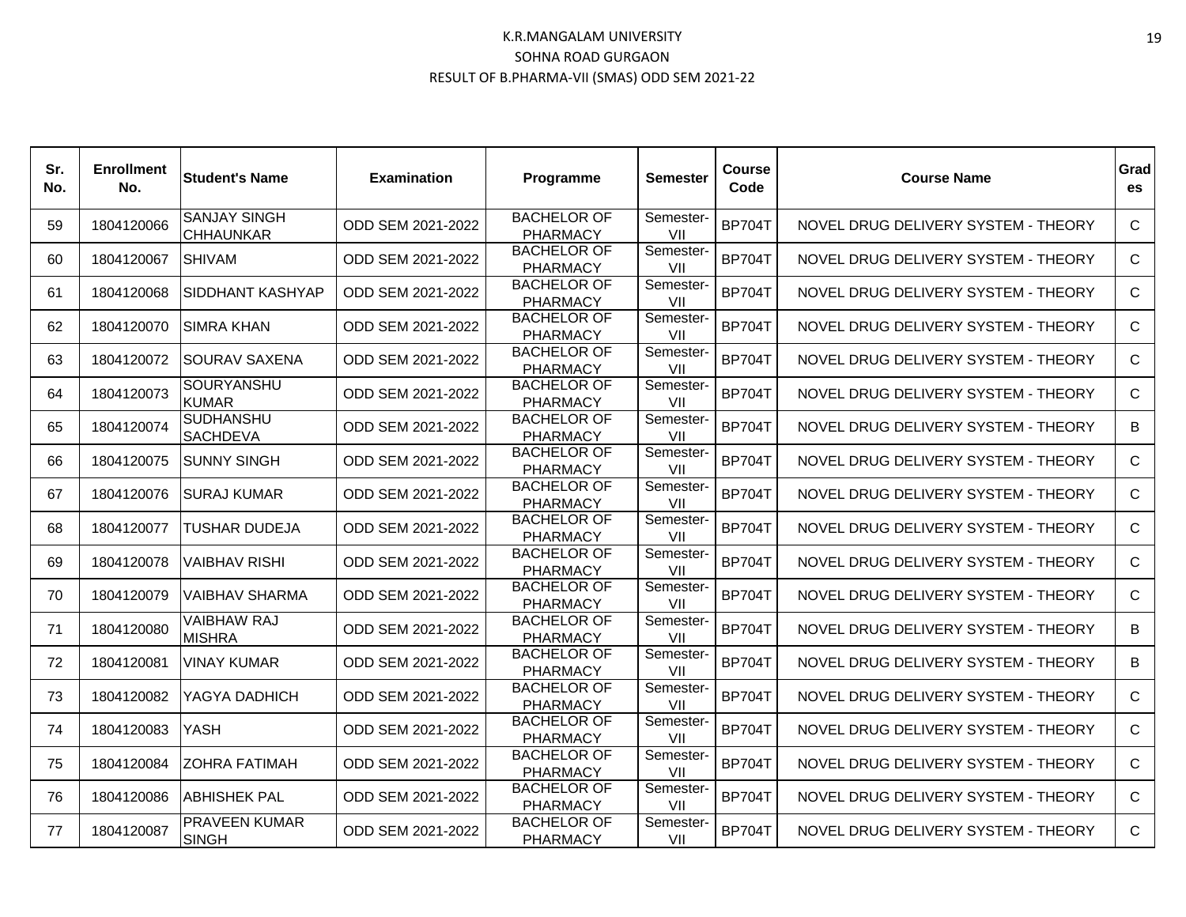| Sr.<br>No. | <b>Enrollment</b><br>No. | lStudent's Name                         | <b>Examination</b> | <b>Programme</b>                      | Semester         | <b>Course</b><br>Code | <b>Course Name</b>                  | Grad<br>es   |
|------------|--------------------------|-----------------------------------------|--------------------|---------------------------------------|------------------|-----------------------|-------------------------------------|--------------|
| 59         | 1804120066               | <b>SANJAY SINGH</b><br><b>CHHAUNKAR</b> | ODD SEM 2021-2022  | <b>BACHELOR OF</b><br><b>PHARMACY</b> | Semester-<br>VII | <b>BP704T</b>         | NOVEL DRUG DELIVERY SYSTEM - THEORY | C            |
| 60         | 1804120067               | ISHIVAM                                 | ODD SEM 2021-2022  | <b>BACHELOR OF</b><br><b>PHARMACY</b> | Semester-<br>VII | <b>BP704T</b>         | NOVEL DRUG DELIVERY SYSTEM - THEORY | C            |
| 61         | 1804120068               | <b>SIDDHANT KASHYAP</b>                 | ODD SEM 2021-2022  | <b>BACHELOR OF</b><br><b>PHARMACY</b> | Semester-<br>VII | <b>BP704T</b>         | NOVEL DRUG DELIVERY SYSTEM - THEORY | C            |
| 62         | 1804120070               | ISIMRA KHAN                             | ODD SEM 2021-2022  | <b>BACHELOR OF</b><br><b>PHARMACY</b> | Semester-<br>VII | <b>BP704T</b>         | NOVEL DRUG DELIVERY SYSTEM - THEORY | C.           |
| 63         | 1804120072               | <b>SOURAV SAXENA</b>                    | ODD SEM 2021-2022  | <b>BACHELOR OF</b><br><b>PHARMACY</b> | Semester-<br>VII | <b>BP704T</b>         | NOVEL DRUG DELIVERY SYSTEM - THEORY | $\mathsf{C}$ |
| 64         | 1804120073               | <b>SOURYANSHU</b><br><b>KUMAR</b>       | ODD SEM 2021-2022  | <b>BACHELOR OF</b><br><b>PHARMACY</b> | Semester-<br>VII | <b>BP704T</b>         | NOVEL DRUG DELIVERY SYSTEM - THEORY | $\mathsf{C}$ |
| 65         | 1804120074               | <b>SUDHANSHU</b><br><b>SACHDEVA</b>     | ODD SEM 2021-2022  | <b>BACHELOR OF</b><br><b>PHARMACY</b> | Semester-<br>VII | <b>BP704T</b>         | NOVEL DRUG DELIVERY SYSTEM - THEORY | B            |
| 66         | 1804120075               | <b>SUNNY SINGH</b>                      | ODD SEM 2021-2022  | <b>BACHELOR OF</b><br><b>PHARMACY</b> | Semester-<br>VII | <b>BP704T</b>         | NOVEL DRUG DELIVERY SYSTEM - THEORY | C            |
| 67         | 1804120076               | <b>SURAJ KUMAR</b>                      | ODD SEM 2021-2022  | <b>BACHELOR OF</b><br><b>PHARMACY</b> | Semester-<br>VII | <b>BP704T</b>         | NOVEL DRUG DELIVERY SYSTEM - THEORY | C            |
| 68         | 1804120077               | TUSHAR DUDEJA                           | ODD SEM 2021-2022  | <b>BACHELOR OF</b><br><b>PHARMACY</b> | Semester-<br>VII | <b>BP704T</b>         | NOVEL DRUG DELIVERY SYSTEM - THEORY | C            |
| 69         | 1804120078               | IVAIBHAV RISHI                          | ODD SEM 2021-2022  | <b>BACHELOR OF</b><br><b>PHARMACY</b> | Semester-<br>VII | <b>BP704T</b>         | NOVEL DRUG DELIVERY SYSTEM - THEORY | C            |
| 70         | 1804120079               | IVAIBHAV SHARMA                         | ODD SEM 2021-2022  | <b>BACHELOR OF</b><br><b>PHARMACY</b> | Semester-<br>VII | <b>BP704T</b>         | NOVEL DRUG DELIVERY SYSTEM - THEORY | $\mathsf{C}$ |
| 71         | 1804120080               | <b>VAIBHAW RAJ</b><br><b>MISHRA</b>     | ODD SEM 2021-2022  | <b>BACHELOR OF</b><br><b>PHARMACY</b> | Semester-<br>VII | <b>BP704T</b>         | NOVEL DRUG DELIVERY SYSTEM - THEORY | B            |
| 72         | 1804120081               | IVINAY KUMAR                            | ODD SEM 2021-2022  | <b>BACHELOR OF</b><br><b>PHARMACY</b> | Semester-<br>VII | <b>BP704T</b>         | NOVEL DRUG DELIVERY SYSTEM - THEORY | B            |
| 73         | 1804120082               | YAGYA DADHICH                           | ODD SEM 2021-2022  | <b>BACHELOR OF</b><br><b>PHARMACY</b> | Semester-<br>VII | <b>BP704T</b>         | NOVEL DRUG DELIVERY SYSTEM - THEORY | $\mathsf{C}$ |
| 74         | 1804120083               | YASH                                    | ODD SEM 2021-2022  | <b>BACHELOR OF</b><br><b>PHARMACY</b> | Semester-<br>VII | <b>BP704T</b>         | NOVEL DRUG DELIVERY SYSTEM - THEORY | $\mathsf{C}$ |
| 75         | 1804120084               | <b>ZOHRA FATIMAH</b>                    | ODD SEM 2021-2022  | <b>BACHELOR OF</b><br><b>PHARMACY</b> | Semester-<br>VII | <b>BP704T</b>         | NOVEL DRUG DELIVERY SYSTEM - THEORY | C.           |
| 76         | 1804120086               | <b>ABHISHEK PAL</b>                     | ODD SEM 2021-2022  | <b>BACHELOR OF</b><br><b>PHARMACY</b> | Semester-<br>VII | <b>BP704T</b>         | NOVEL DRUG DELIVERY SYSTEM - THEORY | C.           |
| 77         | 1804120087               | <b>PRAVEEN KUMAR</b><br><b>SINGH</b>    | ODD SEM 2021-2022  | <b>BACHELOR OF</b><br><b>PHARMACY</b> | Semester-<br>VII | <b>BP704T</b>         | NOVEL DRUG DELIVERY SYSTEM - THEORY | $\mathsf{C}$ |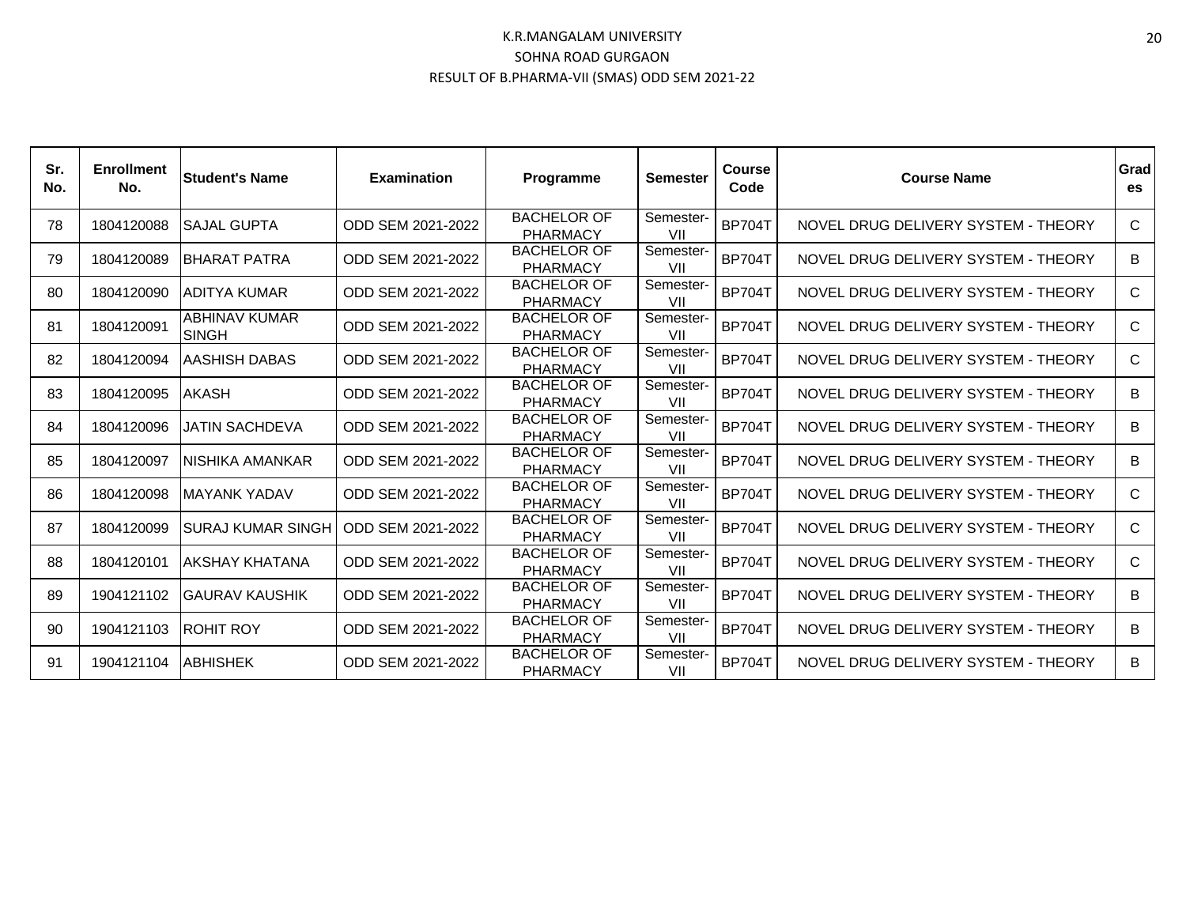| Sr.<br>No. | <b>Enrollment</b><br>No. | lStudent's Name                      | <b>Examination</b> | Programme                             | <b>Semester</b>  | Course<br>Code | <b>Course Name</b>                  | Grad<br>es   |
|------------|--------------------------|--------------------------------------|--------------------|---------------------------------------|------------------|----------------|-------------------------------------|--------------|
| 78         | 1804120088               | <b>ISAJAL GUPTA</b>                  | ODD SEM 2021-2022  | <b>BACHELOR OF</b><br><b>PHARMACY</b> | Semester-<br>VII | <b>BP704T</b>  | NOVEL DRUG DELIVERY SYSTEM - THEORY | $\mathsf{C}$ |
| 79         | 1804120089               | <b>IBHARAT PATRA</b>                 | ODD SEM 2021-2022  | <b>BACHELOR OF</b><br><b>PHARMACY</b> | Semester-<br>VII | <b>BP704T</b>  | NOVEL DRUG DELIVERY SYSTEM - THEORY | B            |
| 80         | 1804120090               | <b>JADITYA KUMAR</b>                 | ODD SEM 2021-2022  | <b>BACHELOR OF</b><br><b>PHARMACY</b> | Semester-<br>VII | <b>BP704T</b>  | NOVEL DRUG DELIVERY SYSTEM - THEORY | C            |
| 81         | 1804120091               | <b>ABHINAV KUMAR</b><br><b>SINGH</b> | ODD SEM 2021-2022  | <b>BACHELOR OF</b><br><b>PHARMACY</b> | Semester-<br>VII | <b>BP704T</b>  | NOVEL DRUG DELIVERY SYSTEM - THEORY | C            |
| 82         | 1804120094               | <b>JAASHISH DABAS</b>                | ODD SEM 2021-2022  | <b>BACHELOR OF</b><br><b>PHARMACY</b> | Semester-<br>VII | <b>BP704T</b>  | NOVEL DRUG DELIVERY SYSTEM - THEORY | C            |
| 83         | 1804120095               | <b>AKASH</b>                         | ODD SEM 2021-2022  | <b>BACHELOR OF</b><br><b>PHARMACY</b> | Semester-<br>VII | <b>BP704T</b>  | NOVEL DRUG DELIVERY SYSTEM - THEORY | B            |
| 84         | 1804120096               | IJATIN SACHDEVA                      | ODD SEM 2021-2022  | <b>BACHELOR OF</b><br><b>PHARMACY</b> | Semester-<br>VII | <b>BP704T</b>  | NOVEL DRUG DELIVERY SYSTEM - THEORY | B            |
| 85         | 1804120097               | INISHIKA AMANKAR                     | ODD SEM 2021-2022  | <b>BACHELOR OF</b><br><b>PHARMACY</b> | Semester-<br>VII | <b>BP704T</b>  | NOVEL DRUG DELIVERY SYSTEM - THEORY | B            |
| 86         | 1804120098               | <b>IMAYANK YADAV</b>                 | ODD SEM 2021-2022  | <b>BACHELOR OF</b><br><b>PHARMACY</b> | Semester-<br>VII | <b>BP704T</b>  | NOVEL DRUG DELIVERY SYSTEM - THEORY | C            |
| 87         | 1804120099               | <b>ISURAJ KUMAR SINGH</b>            | ODD SEM 2021-2022  | <b>BACHELOR OF</b><br><b>PHARMACY</b> | Semester-<br>VII | <b>BP704T</b>  | NOVEL DRUG DELIVERY SYSTEM - THEORY | C            |
| 88         | 1804120101               | IAKSHAY KHATANA                      | ODD SEM 2021-2022  | <b>BACHELOR OF</b><br><b>PHARMACY</b> | Semester-<br>VII | <b>BP704T</b>  | NOVEL DRUG DELIVERY SYSTEM - THEORY | C            |
| 89         | 1904121102               | IGAURAV KAUSHIK                      | ODD SEM 2021-2022  | <b>BACHELOR OF</b><br><b>PHARMACY</b> | Semester-<br>VII | <b>BP704T</b>  | NOVEL DRUG DELIVERY SYSTEM - THEORY | B            |
| 90         | 1904121103               | <b>IROHIT ROY</b>                    | ODD SEM 2021-2022  | <b>BACHELOR OF</b><br><b>PHARMACY</b> | Semester-<br>VII | <b>BP704T</b>  | NOVEL DRUG DELIVERY SYSTEM - THEORY | B            |
| 91         | 1904121104               | <b>ABHISHEK</b>                      | ODD SEM 2021-2022  | <b>BACHELOR OF</b><br><b>PHARMACY</b> | Semester-<br>VII | <b>BP704T</b>  | NOVEL DRUG DELIVERY SYSTEM - THEORY | B            |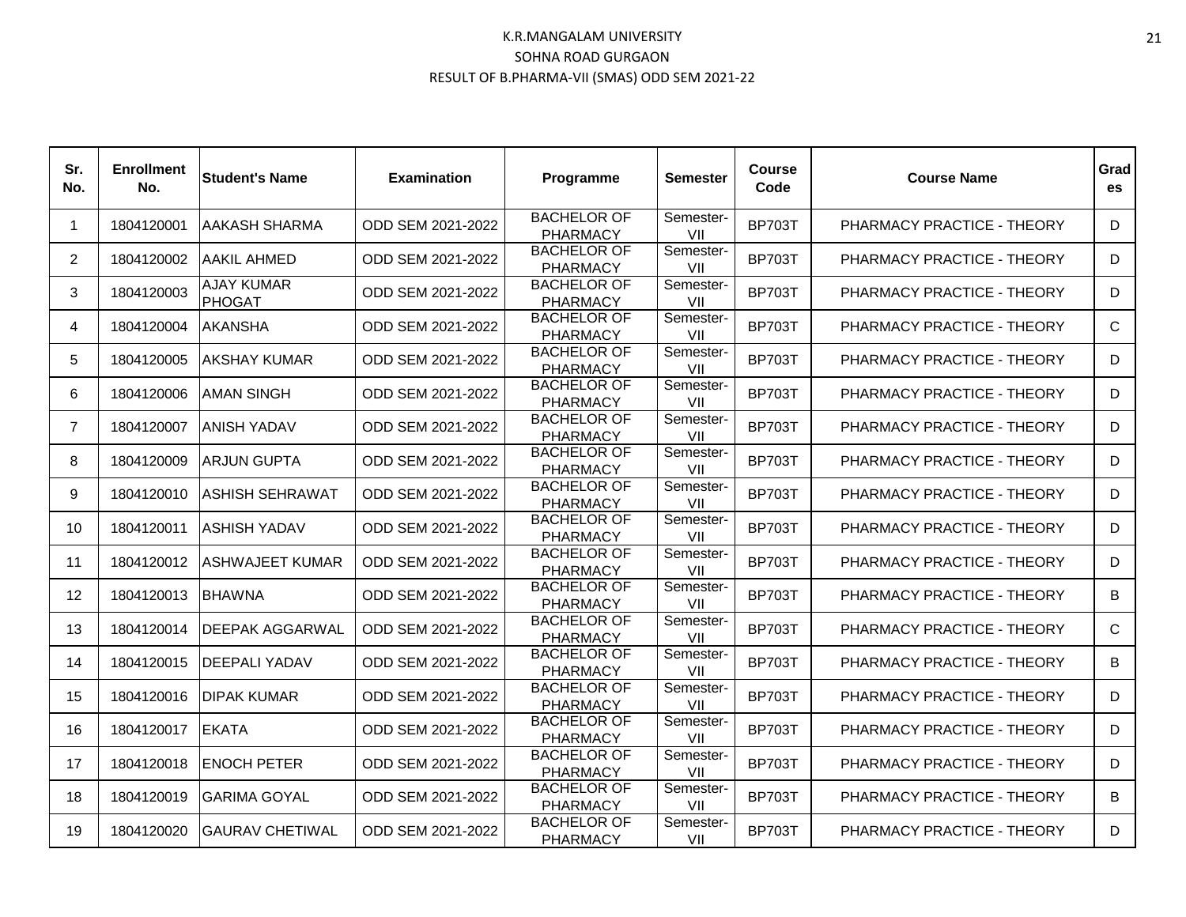| Sr.<br>No.     | <b>Enrollment</b><br>No. | <b>Student's Name</b>       | <b>Examination</b> | Programme                             | Semester         | <b>Course</b><br>Code | <b>Course Name</b>         | Grad<br>es |
|----------------|--------------------------|-----------------------------|--------------------|---------------------------------------|------------------|-----------------------|----------------------------|------------|
| $\mathbf 1$    | 1804120001               | <b>AAKASH SHARMA</b>        | ODD SEM 2021-2022  | <b>BACHELOR OF</b><br><b>PHARMACY</b> | Semester-<br>VII | <b>BP703T</b>         | PHARMACY PRACTICE - THEORY | D          |
| 2              | 1804120002               | AAKIL AHMED                 | ODD SEM 2021-2022  | <b>BACHELOR OF</b><br><b>PHARMACY</b> | Semester-<br>VII | <b>BP703T</b>         | PHARMACY PRACTICE - THEORY | D          |
| 3              | 1804120003               | AJAY KUMAR<br><b>PHOGAT</b> | ODD SEM 2021-2022  | <b>BACHELOR OF</b><br><b>PHARMACY</b> | Semester-<br>VII | <b>BP703T</b>         | PHARMACY PRACTICE - THEORY | D          |
| 4              | 1804120004               | <b>AKANSHA</b>              | ODD SEM 2021-2022  | <b>BACHELOR OF</b><br><b>PHARMACY</b> | Semester-<br>VII | <b>BP703T</b>         | PHARMACY PRACTICE - THEORY | C          |
| 5              | 1804120005               | AKSHAY KUMAR                | ODD SEM 2021-2022  | <b>BACHELOR OF</b><br><b>PHARMACY</b> | Semester-<br>VII | <b>BP703T</b>         | PHARMACY PRACTICE - THEORY | D          |
| 6              | 1804120006               | <b>AMAN SINGH</b>           | ODD SEM 2021-2022  | <b>BACHELOR OF</b><br><b>PHARMACY</b> | Semester-<br>VII | <b>BP703T</b>         | PHARMACY PRACTICE - THEORY | D          |
| $\overline{7}$ | 1804120007               | ANISH YADAV                 | ODD SEM 2021-2022  | <b>BACHELOR OF</b><br><b>PHARMACY</b> | Semester-<br>VII | <b>BP703T</b>         | PHARMACY PRACTICE - THEORY | D          |
| 8              | 1804120009               | <b>ARJUN GUPTA</b>          | ODD SEM 2021-2022  | <b>BACHELOR OF</b><br><b>PHARMACY</b> | Semester-<br>VII | <b>BP703T</b>         | PHARMACY PRACTICE - THEORY | D          |
| 9              | 1804120010               | <b>ASHISH SEHRAWAT</b>      | ODD SEM 2021-2022  | <b>BACHELOR OF</b><br><b>PHARMACY</b> | Semester-<br>VII | <b>BP703T</b>         | PHARMACY PRACTICE - THEORY | D          |
| 10             | 1804120011               | <b>ASHISH YADAV</b>         | ODD SEM 2021-2022  | <b>BACHELOR OF</b><br><b>PHARMACY</b> | Semester-<br>VII | <b>BP703T</b>         | PHARMACY PRACTICE - THEORY | D          |
| 11             | 1804120012               | <b>ASHWAJEET KUMAR</b>      | ODD SEM 2021-2022  | <b>BACHELOR OF</b><br><b>PHARMACY</b> | Semester-<br>VII | <b>BP703T</b>         | PHARMACY PRACTICE - THEORY | D          |
| 12             | 1804120013               | <b>BHAWNA</b>               | ODD SEM 2021-2022  | <b>BACHELOR OF</b><br><b>PHARMACY</b> | Semester-<br>VII | <b>BP703T</b>         | PHARMACY PRACTICE - THEORY | B          |
| 13             | 1804120014               | DEEPAK AGGARWAL             | ODD SEM 2021-2022  | <b>BACHELOR OF</b><br><b>PHARMACY</b> | Semester-<br>VII | <b>BP703T</b>         | PHARMACY PRACTICE - THEORY | C          |
| 14             | 1804120015               | DEEPALI YADAV               | ODD SEM 2021-2022  | <b>BACHELOR OF</b><br><b>PHARMACY</b> | Semester-<br>VII | <b>BP703T</b>         | PHARMACY PRACTICE - THEORY | B          |
| 15             | 1804120016               | <b>DIPAK KUMAR</b>          | ODD SEM 2021-2022  | <b>BACHELOR OF</b><br><b>PHARMACY</b> | Semester-<br>VII | <b>BP703T</b>         | PHARMACY PRACTICE - THEORY | D          |
| 16             | 1804120017               | <b>EKATA</b>                | ODD SEM 2021-2022  | <b>BACHELOR OF</b><br><b>PHARMACY</b> | Semester-<br>VII | <b>BP703T</b>         | PHARMACY PRACTICE - THEORY | D          |
| 17             | 1804120018               | <b>ENOCH PETER</b>          | ODD SEM 2021-2022  | <b>BACHELOR OF</b><br><b>PHARMACY</b> | Semester-<br>VII | <b>BP703T</b>         | PHARMACY PRACTICE - THEORY | D          |
| 18             | 1804120019               | GARIMA GOYAL                | ODD SEM 2021-2022  | <b>BACHELOR OF</b><br><b>PHARMACY</b> | Semester-<br>VII | <b>BP703T</b>         | PHARMACY PRACTICE - THEORY | B          |
| 19             | 1804120020               | <b>GAURAV CHETIWAL</b>      | ODD SEM 2021-2022  | <b>BACHELOR OF</b><br><b>PHARMACY</b> | Semester-<br>VII | <b>BP703T</b>         | PHARMACY PRACTICE - THEORY | D          |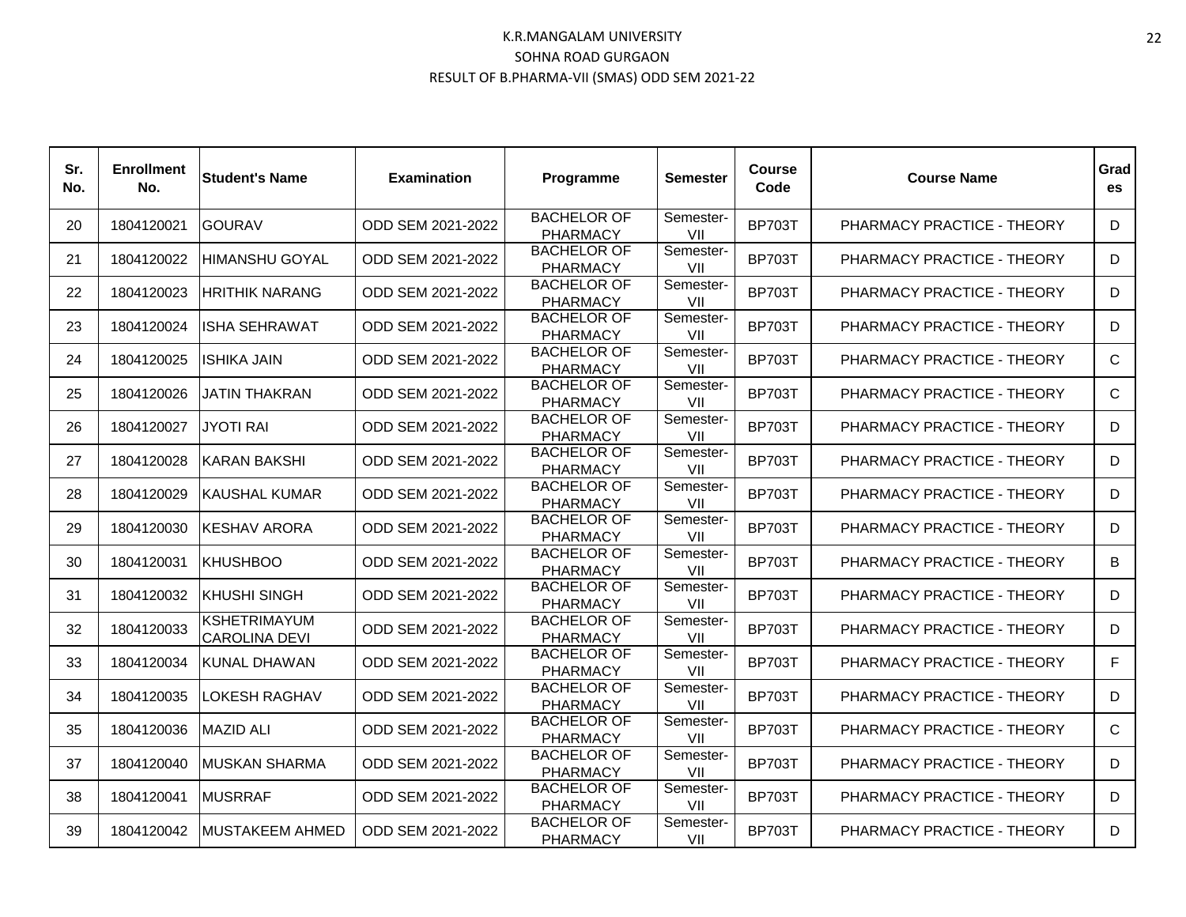| Sr.<br>No. | <b>Enrollment</b><br>No. | <b>Student's Name</b>                       | <b>Examination</b> | Programme                             | Semester         | <b>Course</b><br>Code | <b>Course Name</b>         | Grad<br>es   |
|------------|--------------------------|---------------------------------------------|--------------------|---------------------------------------|------------------|-----------------------|----------------------------|--------------|
| 20         | 1804120021               | <b>GOURAV</b>                               | ODD SEM 2021-2022  | <b>BACHELOR OF</b><br><b>PHARMACY</b> | Semester-<br>VII | <b>BP703T</b>         | PHARMACY PRACTICE - THEORY | D            |
| 21         | 1804120022               | <b>HIMANSHU GOYAL</b>                       | ODD SEM 2021-2022  | <b>BACHELOR OF</b><br><b>PHARMACY</b> | Semester-<br>VII | <b>BP703T</b>         | PHARMACY PRACTICE - THEORY | D            |
| 22         | 1804120023               | <b>HRITHIK NARANG</b>                       | ODD SEM 2021-2022  | <b>BACHELOR OF</b><br><b>PHARMACY</b> | Semester-<br>VII | <b>BP703T</b>         | PHARMACY PRACTICE - THEORY | D            |
| 23         | 1804120024               | <b>ISHA SEHRAWAT</b>                        | ODD SEM 2021-2022  | <b>BACHELOR OF</b><br><b>PHARMACY</b> | Semester-<br>VII | <b>BP703T</b>         | PHARMACY PRACTICE - THEORY | D            |
| 24         | 1804120025               | <b>ISHIKA JAIN</b>                          | ODD SEM 2021-2022  | <b>BACHELOR OF</b><br><b>PHARMACY</b> | Semester-<br>VII | <b>BP703T</b>         | PHARMACY PRACTICE - THEORY | $\mathsf{C}$ |
| 25         | 1804120026               | <b>JATIN THAKRAN</b>                        | ODD SEM 2021-2022  | <b>BACHELOR OF</b><br><b>PHARMACY</b> | Semester-<br>VII | <b>BP703T</b>         | PHARMACY PRACTICE - THEORY | $\mathsf{C}$ |
| 26         | 1804120027               | <b>JYOTI RAI</b>                            | ODD SEM 2021-2022  | <b>BACHELOR OF</b><br><b>PHARMACY</b> | Semester-<br>VII | <b>BP703T</b>         | PHARMACY PRACTICE - THEORY | D            |
| 27         | 1804120028               | KARAN BAKSHI                                | ODD SEM 2021-2022  | <b>BACHELOR OF</b><br><b>PHARMACY</b> | Semester-<br>VII | <b>BP703T</b>         | PHARMACY PRACTICE - THEORY | D            |
| 28         | 1804120029               | <b>KAUSHAL KUMAR</b>                        | ODD SEM 2021-2022  | <b>BACHELOR OF</b><br><b>PHARMACY</b> | Semester-<br>VII | <b>BP703T</b>         | PHARMACY PRACTICE - THEORY | D            |
| 29         | 1804120030               | <b>KESHAV ARORA</b>                         | ODD SEM 2021-2022  | <b>BACHELOR OF</b><br><b>PHARMACY</b> | Semester-<br>VII | <b>BP703T</b>         | PHARMACY PRACTICE - THEORY | D            |
| 30         | 1804120031               | <b>KHUSHBOO</b>                             | ODD SEM 2021-2022  | <b>BACHELOR OF</b><br><b>PHARMACY</b> | Semester-<br>VII | <b>BP703T</b>         | PHARMACY PRACTICE - THEORY | B            |
| 31         | 1804120032               | <b>KHUSHI SINGH</b>                         | ODD SEM 2021-2022  | <b>BACHELOR OF</b><br><b>PHARMACY</b> | Semester-<br>VII | <b>BP703T</b>         | PHARMACY PRACTICE - THEORY | D            |
| 32         | 1804120033               | <b>KSHETRIMAYUM</b><br><b>CAROLINA DEVI</b> | ODD SEM 2021-2022  | <b>BACHELOR OF</b><br><b>PHARMACY</b> | Semester-<br>VII | <b>BP703T</b>         | PHARMACY PRACTICE - THEORY | D            |
| 33         | 1804120034               | KUNAL DHAWAN                                | ODD SEM 2021-2022  | <b>BACHELOR OF</b><br><b>PHARMACY</b> | Semester-<br>VII | <b>BP703T</b>         | PHARMACY PRACTICE - THEORY | F.           |
| 34         | 1804120035               | LOKESH RAGHAV                               | ODD SEM 2021-2022  | <b>BACHELOR OF</b><br><b>PHARMACY</b> | Semester-<br>VII | <b>BP703T</b>         | PHARMACY PRACTICE - THEORY | D            |
| 35         | 1804120036               | <b>MAZID ALI</b>                            | ODD SEM 2021-2022  | <b>BACHELOR OF</b><br><b>PHARMACY</b> | Semester-<br>VII | <b>BP703T</b>         | PHARMACY PRACTICE - THEORY | C            |
| 37         | 1804120040               | <b>MUSKAN SHARMA</b>                        | ODD SEM 2021-2022  | <b>BACHELOR OF</b><br><b>PHARMACY</b> | Semester-<br>VII | <b>BP703T</b>         | PHARMACY PRACTICE - THEORY | D            |
| 38         | 1804120041               | <b>MUSRRAF</b>                              | ODD SEM 2021-2022  | <b>BACHELOR OF</b><br><b>PHARMACY</b> | Semester-<br>VII | <b>BP703T</b>         | PHARMACY PRACTICE - THEORY | D            |
| 39         | 1804120042               | <b>MUSTAKEEM AHMED</b>                      | ODD SEM 2021-2022  | <b>BACHELOR OF</b><br><b>PHARMACY</b> | Semester-<br>VII | <b>BP703T</b>         | PHARMACY PRACTICE - THEORY | D            |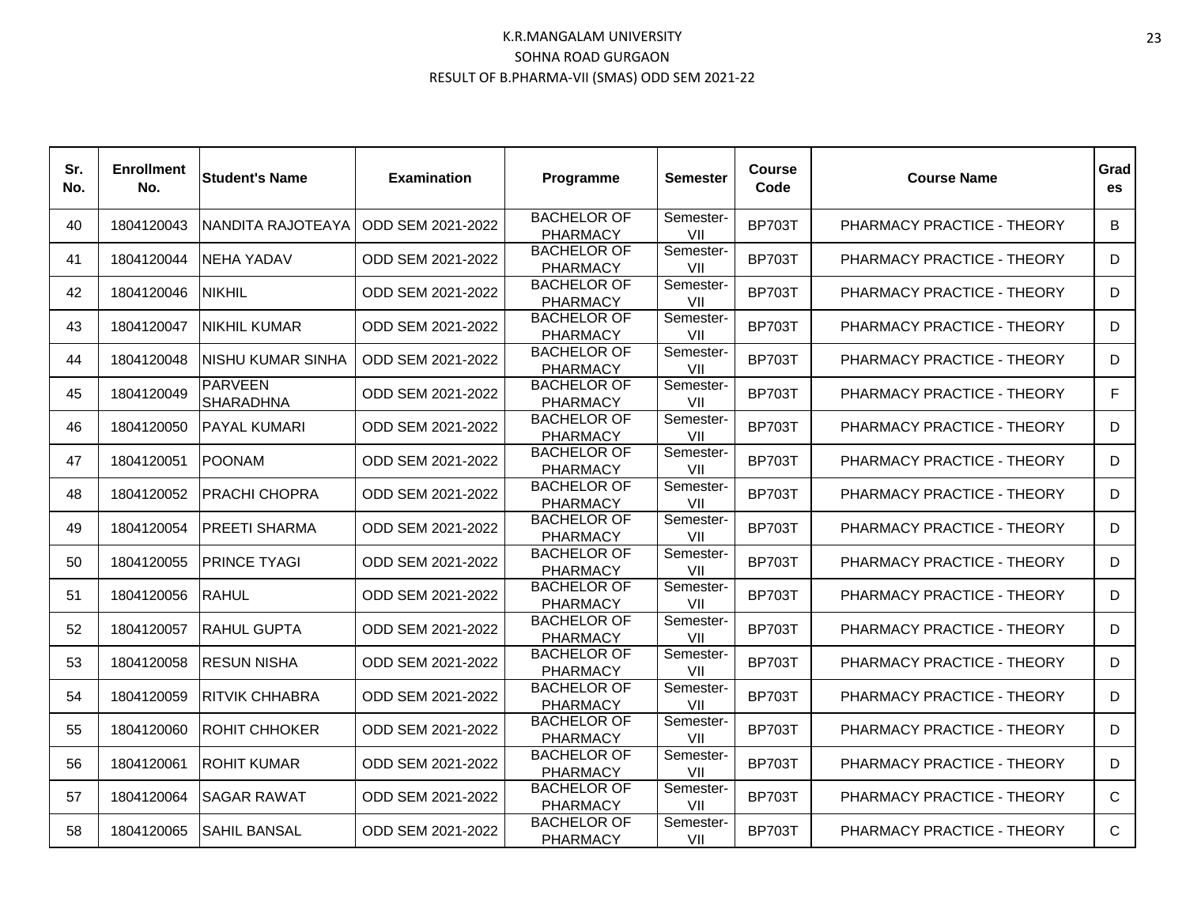| Sr.<br>No. | <b>Enrollment</b><br>No. | <b>Student's Name</b>              | <b>Examination</b> | Programme                             | Semester         | <b>Course</b><br>Code | <b>Course Name</b>         | Grad<br>es |
|------------|--------------------------|------------------------------------|--------------------|---------------------------------------|------------------|-----------------------|----------------------------|------------|
| 40         | 1804120043               | NANDITA RAJOTEAYA                  | ODD SEM 2021-2022  | <b>BACHELOR OF</b><br><b>PHARMACY</b> | Semester-<br>VII | <b>BP703T</b>         | PHARMACY PRACTICE - THEORY | B          |
| 41         | 1804120044               | NEHA YADAV                         | ODD SEM 2021-2022  | <b>BACHELOR OF</b><br><b>PHARMACY</b> | Semester-<br>VII | <b>BP703T</b>         | PHARMACY PRACTICE - THEORY | D          |
| 42         | 1804120046               | <b>NIKHIL</b>                      | ODD SEM 2021-2022  | <b>BACHELOR OF</b><br><b>PHARMACY</b> | Semester-<br>VII | <b>BP703T</b>         | PHARMACY PRACTICE - THEORY | D          |
| 43         | 1804120047               | <b>NIKHIL KUMAR</b>                | ODD SEM 2021-2022  | <b>BACHELOR OF</b><br><b>PHARMACY</b> | Semester-<br>VII | <b>BP703T</b>         | PHARMACY PRACTICE - THEORY | D          |
| 44         | 1804120048               | NISHU KUMAR SINHA                  | ODD SEM 2021-2022  | <b>BACHELOR OF</b><br><b>PHARMACY</b> | Semester-<br>VII | <b>BP703T</b>         | PHARMACY PRACTICE - THEORY | D          |
| 45         | 1804120049               | <b>PARVEEN</b><br><b>SHARADHNA</b> | ODD SEM 2021-2022  | <b>BACHELOR OF</b><br><b>PHARMACY</b> | Semester-<br>VII | <b>BP703T</b>         | PHARMACY PRACTICE - THEORY | F          |
| 46         | 1804120050               | <b>PAYAL KUMARI</b>                | ODD SEM 2021-2022  | <b>BACHELOR OF</b><br><b>PHARMACY</b> | Semester-<br>VII | <b>BP703T</b>         | PHARMACY PRACTICE - THEORY | D          |
| 47         | 1804120051               | <b>POONAM</b>                      | ODD SEM 2021-2022  | <b>BACHELOR OF</b><br><b>PHARMACY</b> | Semester-<br>VII | <b>BP703T</b>         | PHARMACY PRACTICE - THEORY | D          |
| 48         | 1804120052               | <b>PRACHI CHOPRA</b>               | ODD SEM 2021-2022  | <b>BACHELOR OF</b><br><b>PHARMACY</b> | Semester-<br>VII | <b>BP703T</b>         | PHARMACY PRACTICE - THEORY | D          |
| 49         | 1804120054               | PREETI SHARMA                      | ODD SEM 2021-2022  | <b>BACHELOR OF</b><br><b>PHARMACY</b> | Semester-<br>VII | <b>BP703T</b>         | PHARMACY PRACTICE - THEORY | D          |
| 50         | 1804120055               | <b>PRINCE TYAGI</b>                | ODD SEM 2021-2022  | <b>BACHELOR OF</b><br><b>PHARMACY</b> | Semester-<br>VII | <b>BP703T</b>         | PHARMACY PRACTICE - THEORY | D          |
| 51         | 1804120056               | <b>RAHUL</b>                       | ODD SEM 2021-2022  | <b>BACHELOR OF</b><br><b>PHARMACY</b> | Semester-<br>VII | <b>BP703T</b>         | PHARMACY PRACTICE - THEORY | D          |
| 52         | 1804120057               | <b>RAHUL GUPTA</b>                 | ODD SEM 2021-2022  | <b>BACHELOR OF</b><br><b>PHARMACY</b> | Semester-<br>VII | <b>BP703T</b>         | PHARMACY PRACTICE - THEORY | D          |
| 53         | 1804120058               | <b>RESUN NISHA</b>                 | ODD SEM 2021-2022  | <b>BACHELOR OF</b><br><b>PHARMACY</b> | Semester-<br>VII | <b>BP703T</b>         | PHARMACY PRACTICE - THEORY | D          |
| 54         | 1804120059               | <b>RITVIK CHHABRA</b>              | ODD SEM 2021-2022  | <b>BACHELOR OF</b><br><b>PHARMACY</b> | Semester-<br>VII | <b>BP703T</b>         | PHARMACY PRACTICE - THEORY | D          |
| 55         | 1804120060               | <b>ROHIT CHHOKER</b>               | ODD SEM 2021-2022  | <b>BACHELOR OF</b><br><b>PHARMACY</b> | Semester-<br>VII | <b>BP703T</b>         | PHARMACY PRACTICE - THEORY | D          |
| 56         | 1804120061               | IROHIT KUMAR                       | ODD SEM 2021-2022  | <b>BACHELOR OF</b><br><b>PHARMACY</b> | Semester-<br>VII | <b>BP703T</b>         | PHARMACY PRACTICE - THEORY | D          |
| 57         | 1804120064               | <b>SAGAR RAWAT</b>                 | ODD SEM 2021-2022  | <b>BACHELOR OF</b><br><b>PHARMACY</b> | Semester-<br>VII | <b>BP703T</b>         | PHARMACY PRACTICE - THEORY | C          |
| 58         | 1804120065               | <b>SAHIL BANSAL</b>                | ODD SEM 2021-2022  | <b>BACHELOR OF</b><br><b>PHARMACY</b> | Semester-<br>VII | <b>BP703T</b>         | PHARMACY PRACTICE - THEORY | C          |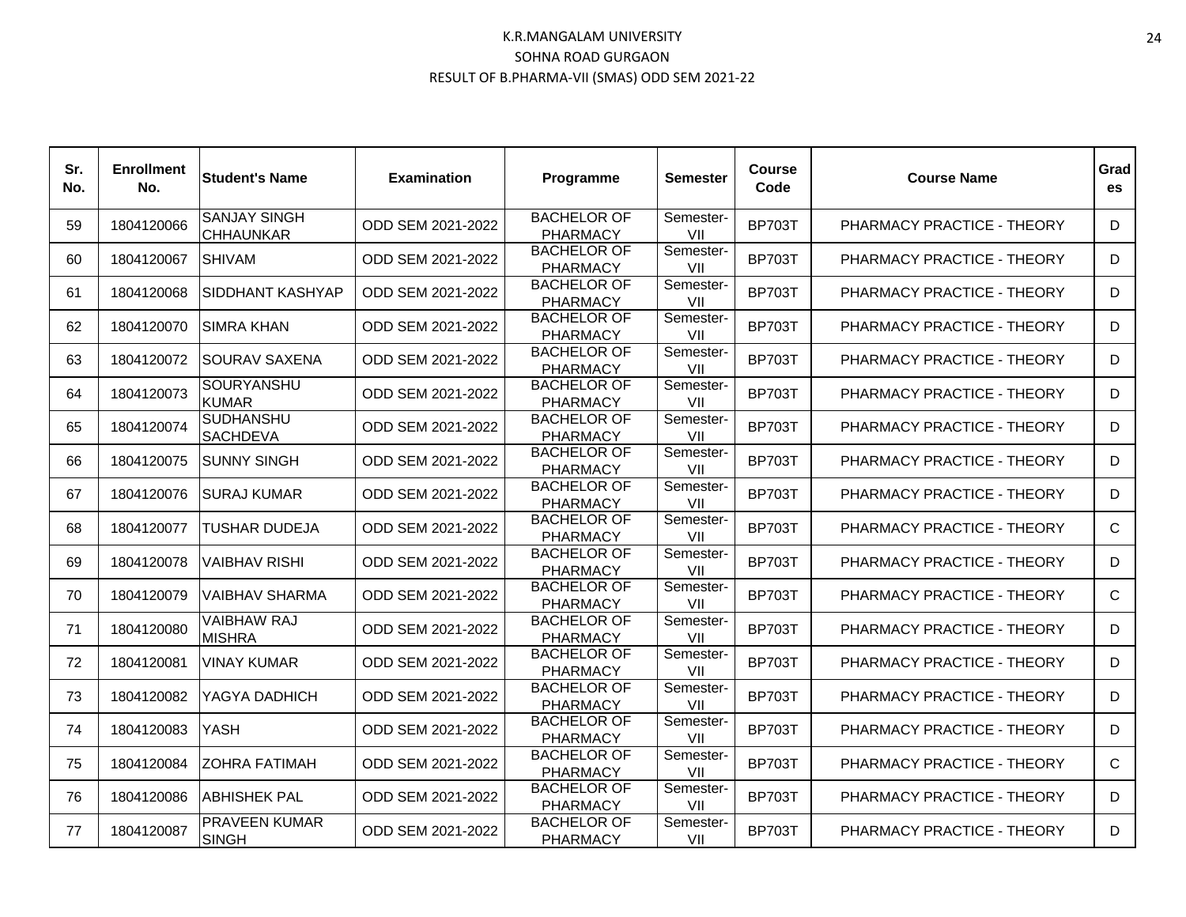| Sr.<br>No. | <b>Enrollment</b><br>No. | <b>Student's Name</b>                   | <b>Examination</b> | Programme                             | Semester         | <b>Course</b><br>Code | <b>Course Name</b>         | Grad<br>es |
|------------|--------------------------|-----------------------------------------|--------------------|---------------------------------------|------------------|-----------------------|----------------------------|------------|
| 59         | 1804120066               | <b>SANJAY SINGH</b><br><b>CHHAUNKAR</b> | ODD SEM 2021-2022  | <b>BACHELOR OF</b><br><b>PHARMACY</b> | Semester-<br>VII | <b>BP703T</b>         | PHARMACY PRACTICE - THEORY | D          |
| 60         | 1804120067               | <b>SHIVAM</b>                           | ODD SEM 2021-2022  | <b>BACHELOR OF</b><br><b>PHARMACY</b> | Semester-<br>VII | <b>BP703T</b>         | PHARMACY PRACTICE - THEORY | D          |
| 61         | 1804120068               | <b>SIDDHANT KASHYAP</b>                 | ODD SEM 2021-2022  | <b>BACHELOR OF</b><br><b>PHARMACY</b> | Semester-<br>VII | <b>BP703T</b>         | PHARMACY PRACTICE - THEORY | D          |
| 62         | 1804120070               | <b>SIMRA KHAN</b>                       | ODD SEM 2021-2022  | <b>BACHELOR OF</b><br><b>PHARMACY</b> | Semester-<br>VII | <b>BP703T</b>         | PHARMACY PRACTICE - THEORY | D          |
| 63         | 1804120072               | <b>SOURAV SAXENA</b>                    | ODD SEM 2021-2022  | <b>BACHELOR OF</b><br><b>PHARMACY</b> | Semester-<br>VII | <b>BP703T</b>         | PHARMACY PRACTICE - THEORY | D          |
| 64         | 1804120073               | SOURYANSHU<br><b>KUMAR</b>              | ODD SEM 2021-2022  | <b>BACHELOR OF</b><br><b>PHARMACY</b> | Semester-<br>VII | <b>BP703T</b>         | PHARMACY PRACTICE - THEORY | D          |
| 65         | 1804120074               | <b>SUDHANSHU</b><br><b>SACHDEVA</b>     | ODD SEM 2021-2022  | <b>BACHELOR OF</b><br><b>PHARMACY</b> | Semester-<br>VII | <b>BP703T</b>         | PHARMACY PRACTICE - THEORY | D          |
| 66         | 1804120075               | <b>SUNNY SINGH</b>                      | ODD SEM 2021-2022  | <b>BACHELOR OF</b><br><b>PHARMACY</b> | Semester-<br>VII | <b>BP703T</b>         | PHARMACY PRACTICE - THEORY | D          |
| 67         | 1804120076               | <b>SURAJ KUMAR</b>                      | ODD SEM 2021-2022  | <b>BACHELOR OF</b><br><b>PHARMACY</b> | Semester-<br>VII | <b>BP703T</b>         | PHARMACY PRACTICE - THEORY | D          |
| 68         | 1804120077               | TUSHAR DUDEJA                           | ODD SEM 2021-2022  | <b>BACHELOR OF</b><br><b>PHARMACY</b> | Semester-<br>VII | <b>BP703T</b>         | PHARMACY PRACTICE - THEORY | C          |
| 69         | 1804120078               | <b>VAIBHAV RISHI</b>                    | ODD SEM 2021-2022  | <b>BACHELOR OF</b><br><b>PHARMACY</b> | Semester-<br>VII | <b>BP703T</b>         | PHARMACY PRACTICE - THEORY | D          |
| 70         | 1804120079               | <b>VAIBHAV SHARMA</b>                   | ODD SEM 2021-2022  | <b>BACHELOR OF</b><br><b>PHARMACY</b> | Semester-<br>VII | <b>BP703T</b>         | PHARMACY PRACTICE - THEORY | C          |
| 71         | 1804120080               | <b>VAIBHAW RAJ</b><br><b>MISHRA</b>     | ODD SEM 2021-2022  | <b>BACHELOR OF</b><br><b>PHARMACY</b> | Semester-<br>VII | <b>BP703T</b>         | PHARMACY PRACTICE - THEORY | D          |
| 72         | 1804120081               | <b>VINAY KUMAR</b>                      | ODD SEM 2021-2022  | <b>BACHELOR OF</b><br><b>PHARMACY</b> | Semester-<br>VII | <b>BP703T</b>         | PHARMACY PRACTICE - THEORY | D          |
| 73         | 1804120082               | YAGYA DADHICH                           | ODD SEM 2021-2022  | <b>BACHELOR OF</b><br><b>PHARMACY</b> | Semester-<br>VII | <b>BP703T</b>         | PHARMACY PRACTICE - THEORY | D          |
| 74         | 1804120083               | YASH                                    | ODD SEM 2021-2022  | <b>BACHELOR OF</b><br><b>PHARMACY</b> | Semester-<br>VII | <b>BP703T</b>         | PHARMACY PRACTICE - THEORY | D          |
| 75         | 1804120084               | <b>ZOHRA FATIMAH</b>                    | ODD SEM 2021-2022  | <b>BACHELOR OF</b><br><b>PHARMACY</b> | Semester-<br>VII | <b>BP703T</b>         | PHARMACY PRACTICE - THEORY | C          |
| 76         | 1804120086               | <b>ABHISHEK PAL</b>                     | ODD SEM 2021-2022  | <b>BACHELOR OF</b><br><b>PHARMACY</b> | Semester-<br>VII | <b>BP703T</b>         | PHARMACY PRACTICE - THEORY | D          |
| 77         | 1804120087               | <b>PRAVEEN KUMAR</b><br><b>SINGH</b>    | ODD SEM 2021-2022  | <b>BACHELOR OF</b><br><b>PHARMACY</b> | Semester-<br>VII | <b>BP703T</b>         | PHARMACY PRACTICE - THEORY | D          |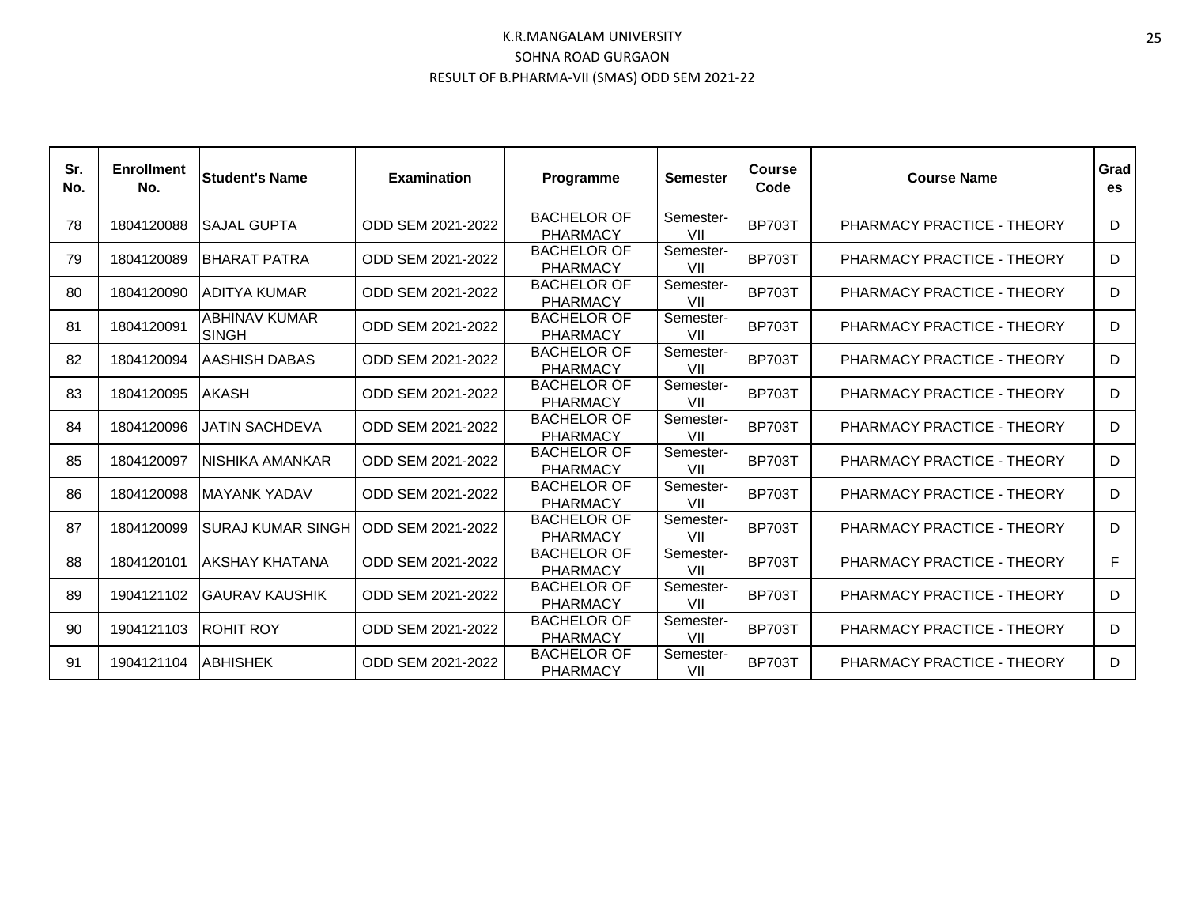| Sr.<br>No. | <b>Enrollment</b><br>No. | <b>Student's Name</b>         | <b>Examination</b> | Programme                             | <b>Semester</b>  | <b>Course</b><br>Code | <b>Course Name</b>         | Grad<br>es |
|------------|--------------------------|-------------------------------|--------------------|---------------------------------------|------------------|-----------------------|----------------------------|------------|
| 78         | 1804120088               | <b>SAJAL GUPTA</b>            | ODD SEM 2021-2022  | <b>BACHELOR OF</b><br><b>PHARMACY</b> | Semester-<br>VII | <b>BP703T</b>         | PHARMACY PRACTICE - THEORY | D          |
| 79         | 1804120089               | BHARAT PATRA                  | ODD SEM 2021-2022  | <b>BACHELOR OF</b><br><b>PHARMACY</b> | Semester-<br>VII | <b>BP703T</b>         | PHARMACY PRACTICE - THEORY | D          |
| 80         | 1804120090               | ADITYA KUMAR                  | ODD SEM 2021-2022  | <b>BACHELOR OF</b><br><b>PHARMACY</b> | Semester-<br>VII | <b>BP703T</b>         | PHARMACY PRACTICE - THEORY | D          |
| 81         | 1804120091               | ABHINAV KUMAR<br><b>SINGH</b> | ODD SEM 2021-2022  | <b>BACHELOR OF</b><br><b>PHARMACY</b> | Semester-<br>VII | <b>BP703T</b>         | PHARMACY PRACTICE - THEORY | D          |
| 82         | 1804120094               | AASHISH DABAS                 | ODD SEM 2021-2022  | <b>BACHELOR OF</b><br><b>PHARMACY</b> | Semester-<br>VII | <b>BP703T</b>         | PHARMACY PRACTICE - THEORY | D          |
| 83         | 1804120095               | <b>AKASH</b>                  | ODD SEM 2021-2022  | <b>BACHELOR OF</b><br><b>PHARMACY</b> | Semester-<br>VII | <b>BP703T</b>         | PHARMACY PRACTICE - THEORY | D          |
| 84         | 1804120096               | JATIN SACHDEVA                | ODD SEM 2021-2022  | <b>BACHELOR OF</b><br><b>PHARMACY</b> | Semester-<br>VII | <b>BP703T</b>         | PHARMACY PRACTICE - THEORY | D          |
| 85         | 1804120097               | INISHIKA AMANKAR              | ODD SEM 2021-2022  | <b>BACHELOR OF</b><br><b>PHARMACY</b> | Semester-<br>VII | <b>BP703T</b>         | PHARMACY PRACTICE - THEORY | D          |
| 86         | 1804120098               | <b>MAYANK YADAV</b>           | ODD SEM 2021-2022  | <b>BACHELOR OF</b><br><b>PHARMACY</b> | Semester-<br>VII | <b>BP703T</b>         | PHARMACY PRACTICE - THEORY | D          |
| 87         | 1804120099               | ISURAJ KUMAR SINGH I          | ODD SEM 2021-2022  | <b>BACHELOR OF</b><br><b>PHARMACY</b> | Semester-<br>VII | <b>BP703T</b>         | PHARMACY PRACTICE - THEORY | D          |
| 88         | 1804120101               | AKSHAY KHATANA                | ODD SEM 2021-2022  | <b>BACHELOR OF</b><br><b>PHARMACY</b> | Semester-<br>VII | <b>BP703T</b>         | PHARMACY PRACTICE - THEORY | F          |
| 89         | 1904121102               | IGAURAV KAUSHIK               | ODD SEM 2021-2022  | <b>BACHELOR OF</b><br><b>PHARMACY</b> | Semester-<br>VII | <b>BP703T</b>         | PHARMACY PRACTICE - THEORY | D          |
| 90         | 1904121103               | <b>ROHIT ROY</b>              | ODD SEM 2021-2022  | <b>BACHELOR OF</b><br><b>PHARMACY</b> | Semester-<br>VII | <b>BP703T</b>         | PHARMACY PRACTICE - THEORY | D          |
| 91         | 1904121104               | <b>ABHISHEK</b>               | ODD SEM 2021-2022  | <b>BACHELOR OF</b><br><b>PHARMACY</b> | Semester-<br>VII | <b>BP703T</b>         | PHARMACY PRACTICE - THEORY | D          |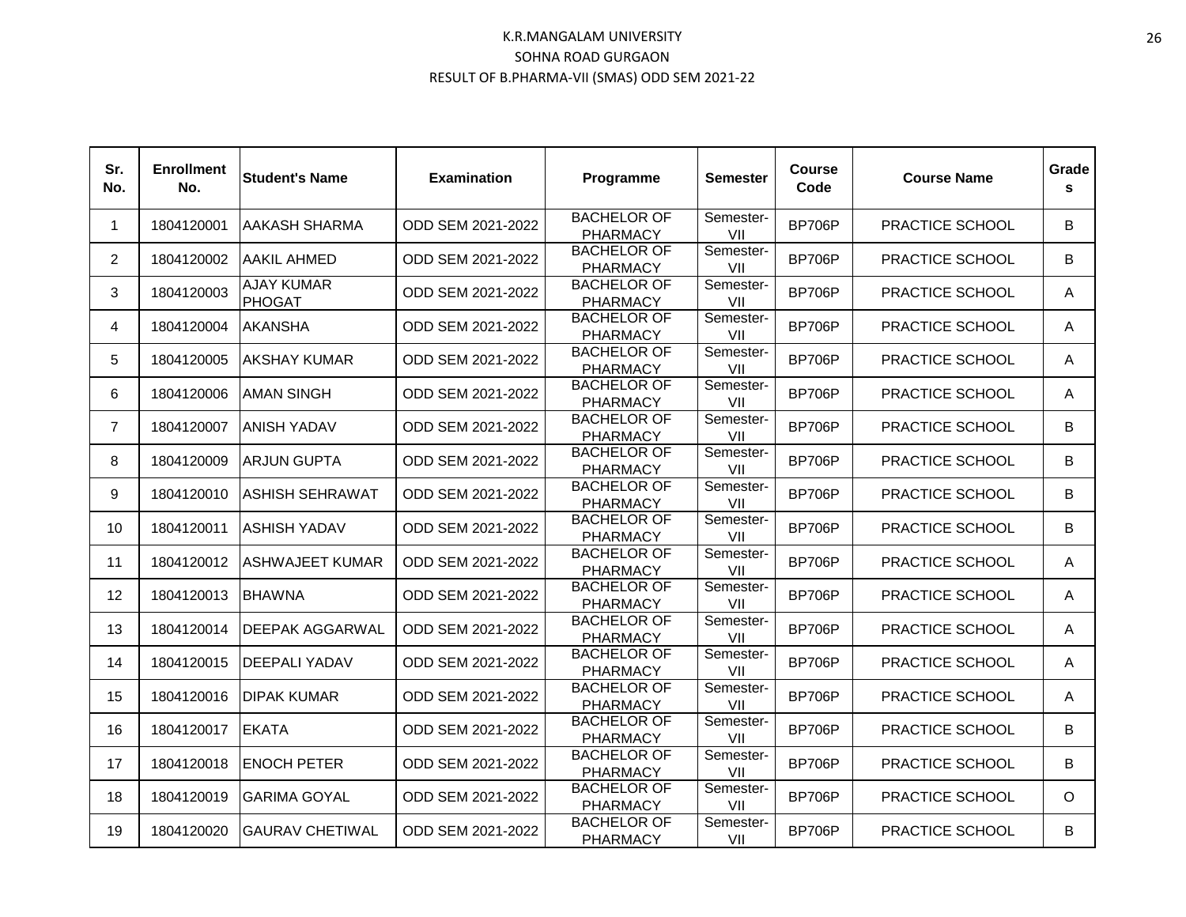| Sr.<br>No.     | <b>Enrollment</b><br>No. | <b>Student's Name</b>       | <b>Examination</b> | Programme                             | Semester         | <b>Course</b><br>Code | <b>Course Name</b>     | Grade<br>s |
|----------------|--------------------------|-----------------------------|--------------------|---------------------------------------|------------------|-----------------------|------------------------|------------|
| $\mathbf 1$    | 1804120001               | <b>AAKASH SHARMA</b>        | ODD SEM 2021-2022  | <b>BACHELOR OF</b><br><b>PHARMACY</b> | Semester-<br>VII | <b>BP706P</b>         | PRACTICE SCHOOL        | B          |
| $\overline{2}$ | 1804120002               | AAKIL AHMED                 | ODD SEM 2021-2022  | <b>BACHELOR OF</b><br><b>PHARMACY</b> | Semester-<br>VII | <b>BP706P</b>         | PRACTICE SCHOOL        | B          |
| 3              | 1804120003               | <b>AJAY KUMAR</b><br>PHOGAT | ODD SEM 2021-2022  | <b>BACHELOR OF</b><br><b>PHARMACY</b> | Semester-<br>VII | <b>BP706P</b>         | PRACTICE SCHOOL        | A          |
| 4              | 1804120004               | <b>AKANSHA</b>              | ODD SEM 2021-2022  | <b>BACHELOR OF</b><br><b>PHARMACY</b> | Semester-<br>VII | <b>BP706P</b>         | PRACTICE SCHOOL        | A          |
| 5              | 1804120005               | <b>AKSHAY KUMAR</b>         | ODD SEM 2021-2022  | <b>BACHELOR OF</b><br><b>PHARMACY</b> | Semester-<br>VII | <b>BP706P</b>         | PRACTICE SCHOOL        | A          |
| 6              | 1804120006               | <b>AMAN SINGH</b>           | ODD SEM 2021-2022  | <b>BACHELOR OF</b><br><b>PHARMACY</b> | Semester-<br>VII | <b>BP706P</b>         | PRACTICE SCHOOL        | A          |
| $\overline{7}$ | 1804120007               | <b>ANISH YADAV</b>          | ODD SEM 2021-2022  | <b>BACHELOR OF</b><br><b>PHARMACY</b> | Semester-<br>VII | <b>BP706P</b>         | PRACTICE SCHOOL        | B          |
| 8              | 1804120009               | <b>ARJUN GUPTA</b>          | ODD SEM 2021-2022  | <b>BACHELOR OF</b><br><b>PHARMACY</b> | Semester-<br>VII | <b>BP706P</b>         | PRACTICE SCHOOL        | B          |
| 9              | 1804120010               | <b>ASHISH SEHRAWAT</b>      | ODD SEM 2021-2022  | <b>BACHELOR OF</b><br><b>PHARMACY</b> | Semester-<br>VII | <b>BP706P</b>         | PRACTICE SCHOOL        | B          |
| 10             | 1804120011               | <b>ASHISH YADAV</b>         | ODD SEM 2021-2022  | <b>BACHELOR OF</b><br><b>PHARMACY</b> | Semester-<br>VII | <b>BP706P</b>         | PRACTICE SCHOOL        | B          |
| 11             | 1804120012               | <b>ASHWAJEET KUMAR</b>      | ODD SEM 2021-2022  | <b>BACHELOR OF</b><br><b>PHARMACY</b> | Semester-<br>VII | <b>BP706P</b>         | PRACTICE SCHOOL        | A          |
| 12             | 1804120013               | <b>BHAWNA</b>               | ODD SEM 2021-2022  | <b>BACHELOR OF</b><br><b>PHARMACY</b> | Semester-<br>VII | <b>BP706P</b>         | PRACTICE SCHOOL        | A          |
| 13             | 1804120014               | <b>DEEPAK AGGARWAL</b>      | ODD SEM 2021-2022  | <b>BACHELOR OF</b><br><b>PHARMACY</b> | Semester-<br>VII | <b>BP706P</b>         | PRACTICE SCHOOL        | A          |
| 14             | 1804120015               | <b>DEEPALI YADAV</b>        | ODD SEM 2021-2022  | <b>BACHELOR OF</b><br><b>PHARMACY</b> | Semester-<br>VII | <b>BP706P</b>         | PRACTICE SCHOOL        | A          |
| 15             | 1804120016               | <b>DIPAK KUMAR</b>          | ODD SEM 2021-2022  | <b>BACHELOR OF</b><br><b>PHARMACY</b> | Semester-<br>VII | <b>BP706P</b>         | PRACTICE SCHOOL        | A          |
| 16             | 1804120017               | <b>EKATA</b>                | ODD SEM 2021-2022  | <b>BACHELOR OF</b><br><b>PHARMACY</b> | Semester-<br>VII | <b>BP706P</b>         | PRACTICE SCHOOL        | B          |
| 17             | 1804120018               | <b>ENOCH PETER</b>          | ODD SEM 2021-2022  | <b>BACHELOR OF</b><br><b>PHARMACY</b> | Semester-<br>VII | <b>BP706P</b>         | PRACTICE SCHOOL        | B          |
| 18             | 1804120019               | <b>GARIMA GOYAL</b>         | ODD SEM 2021-2022  | <b>BACHELOR OF</b><br><b>PHARMACY</b> | Semester-<br>VII | <b>BP706P</b>         | PRACTICE SCHOOL        | $\circ$    |
| 19             | 1804120020               | <b>GAURAV CHETIWAL</b>      | ODD SEM 2021-2022  | <b>BACHELOR OF</b><br><b>PHARMACY</b> | Semester-<br>VII | <b>BP706P</b>         | <b>PRACTICE SCHOOL</b> | B          |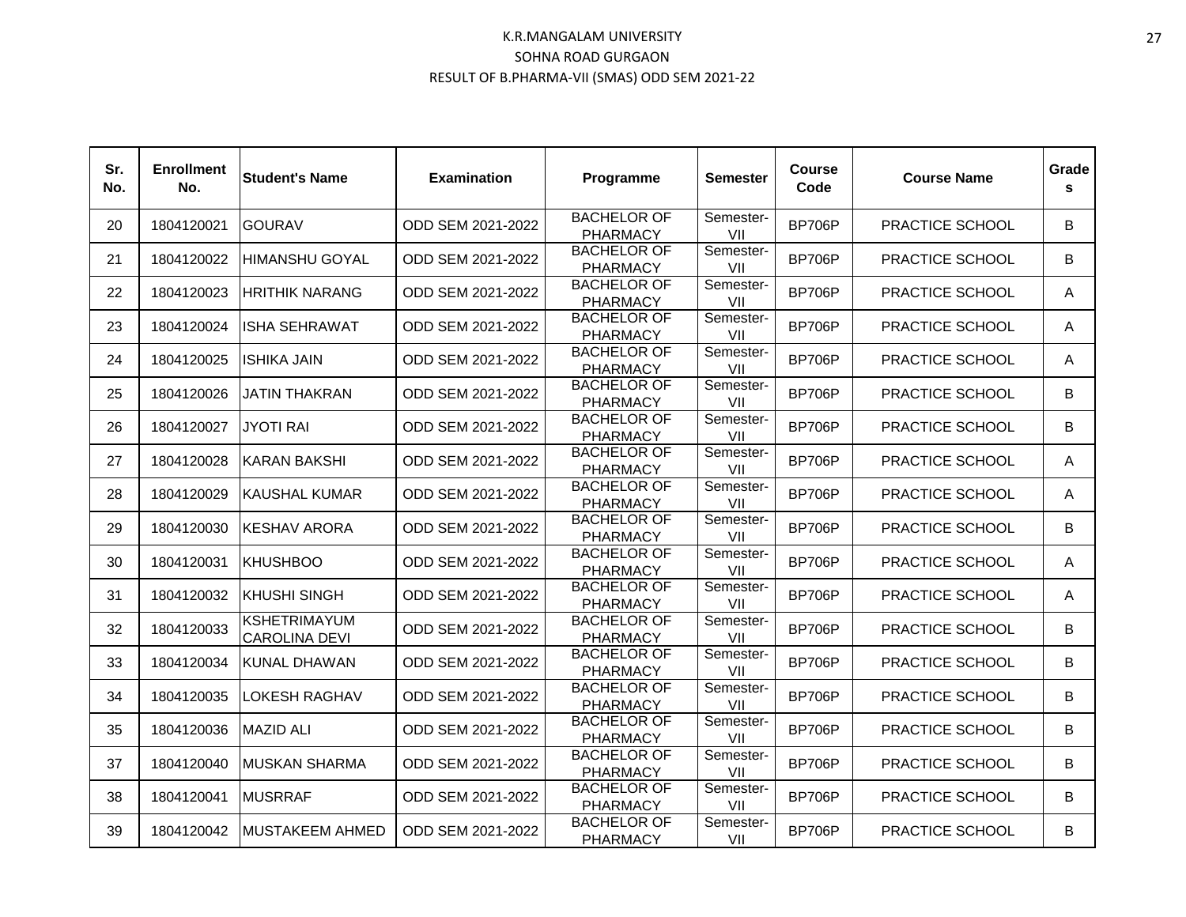| Sr.<br>No. | <b>Enrollment</b><br>No. | <b>Student's Name</b>                       | <b>Examination</b> | Programme                             | Semester         | Course<br>Code | <b>Course Name</b> | Grade<br>s. |
|------------|--------------------------|---------------------------------------------|--------------------|---------------------------------------|------------------|----------------|--------------------|-------------|
| 20         | 1804120021               | <b>GOURAV</b>                               | ODD SEM 2021-2022  | <b>BACHELOR OF</b><br><b>PHARMACY</b> | Semester-<br>VII | <b>BP706P</b>  | PRACTICE SCHOOL    | B           |
| 21         | 1804120022               | <b>HIMANSHU GOYAL</b>                       | ODD SEM 2021-2022  | <b>BACHELOR OF</b><br><b>PHARMACY</b> | Semester-<br>VII | <b>BP706P</b>  | PRACTICE SCHOOL    | B           |
| 22         | 1804120023               | <b>HRITHIK NARANG</b>                       | ODD SEM 2021-2022  | <b>BACHELOR OF</b><br><b>PHARMACY</b> | Semester-<br>VII | <b>BP706P</b>  | PRACTICE SCHOOL    | A           |
| 23         | 1804120024               | ISHA SEHRAWAT                               | ODD SEM 2021-2022  | <b>BACHELOR OF</b><br><b>PHARMACY</b> | Semester-<br>VII | BP706P         | PRACTICE SCHOOL    | A           |
| 24         | 1804120025               | <b>ISHIKA JAIN</b>                          | ODD SEM 2021-2022  | <b>BACHELOR OF</b><br><b>PHARMACY</b> | Semester-<br>VII | <b>BP706P</b>  | PRACTICE SCHOOL    | A           |
| 25         | 1804120026               | <b>JATIN THAKRAN</b>                        | ODD SEM 2021-2022  | <b>BACHELOR OF</b><br><b>PHARMACY</b> | Semester-<br>VII | <b>BP706P</b>  | PRACTICE SCHOOL    | B           |
| 26         | 1804120027               | <b>JYOTI RAI</b>                            | ODD SEM 2021-2022  | <b>BACHELOR OF</b><br><b>PHARMACY</b> | Semester-<br>VII | <b>BP706P</b>  | PRACTICE SCHOOL    | B           |
| 27         | 1804120028               | IKARAN BAKSHI                               | ODD SEM 2021-2022  | <b>BACHELOR OF</b><br><b>PHARMACY</b> | Semester-<br>VII | <b>BP706P</b>  | PRACTICE SCHOOL    | A           |
| 28         | 1804120029               | <b>KAUSHAL KUMAR</b>                        | ODD SEM 2021-2022  | <b>BACHELOR OF</b><br><b>PHARMACY</b> | Semester-<br>VII | <b>BP706P</b>  | PRACTICE SCHOOL    | A           |
| 29         | 1804120030               | <b>KESHAV ARORA</b>                         | ODD SEM 2021-2022  | <b>BACHELOR OF</b><br><b>PHARMACY</b> | Semester-<br>VII | <b>BP706P</b>  | PRACTICE SCHOOL    | B           |
| 30         | 1804120031               | IKHUSHBOO                                   | ODD SEM 2021-2022  | <b>BACHELOR OF</b><br><b>PHARMACY</b> | Semester-<br>VII | BP706P         | PRACTICE SCHOOL    | A           |
| 31         | 1804120032               | <b>KHUSHI SINGH</b>                         | ODD SEM 2021-2022  | <b>BACHELOR OF</b><br><b>PHARMACY</b> | Semester-<br>VII | <b>BP706P</b>  | PRACTICE SCHOOL    | A           |
| 32         | 1804120033               | <b>KSHETRIMAYUM</b><br><b>CAROLINA DEVI</b> | ODD SEM 2021-2022  | <b>BACHELOR OF</b><br><b>PHARMACY</b> | Semester-<br>VII | <b>BP706P</b>  | PRACTICE SCHOOL    | B           |
| 33         | 1804120034               | KUNAL DHAWAN                                | ODD SEM 2021-2022  | <b>BACHELOR OF</b><br><b>PHARMACY</b> | Semester-<br>VII | <b>BP706P</b>  | PRACTICE SCHOOL    | B           |
| 34         | 1804120035               | LOKESH RAGHAV                               | ODD SEM 2021-2022  | <b>BACHELOR OF</b><br><b>PHARMACY</b> | Semester-<br>VII | <b>BP706P</b>  | PRACTICE SCHOOL    | B           |
| 35         | 1804120036               | <b>MAZID ALI</b>                            | ODD SEM 2021-2022  | <b>BACHELOR OF</b><br><b>PHARMACY</b> | Semester-<br>VII | <b>BP706P</b>  | PRACTICE SCHOOL    | B           |
| 37         | 1804120040               | <b>MUSKAN SHARMA</b>                        | ODD SEM 2021-2022  | <b>BACHELOR OF</b><br><b>PHARMACY</b> | Semester-<br>VII | <b>BP706P</b>  | PRACTICE SCHOOL    | B           |
| 38         | 1804120041               | <b>MUSRRAF</b>                              | ODD SEM 2021-2022  | <b>BACHELOR OF</b><br><b>PHARMACY</b> | Semester-<br>VII | <b>BP706P</b>  | PRACTICE SCHOOL    | B           |
| 39         | 1804120042               | <b>MUSTAKEEM AHMED</b>                      | ODD SEM 2021-2022  | <b>BACHELOR OF</b><br><b>PHARMACY</b> | Semester-<br>VII | BP706P         | PRACTICE SCHOOL    | B           |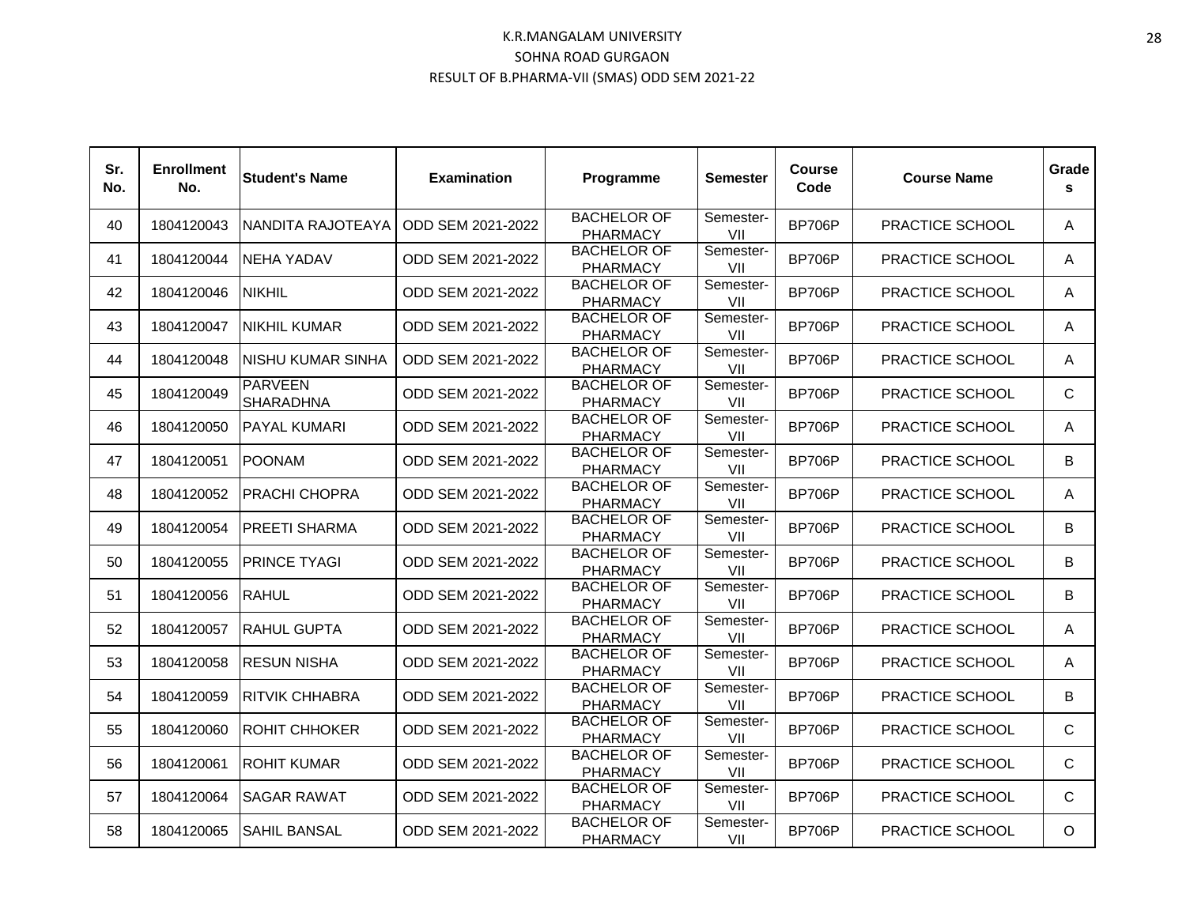| Sr.<br>No. | <b>Enrollment</b><br>No. | <b>Student's Name</b>              | <b>Examination</b> | Programme                             | Semester         | <b>Course</b><br>Code | <b>Course Name</b>     | Grade<br>s   |
|------------|--------------------------|------------------------------------|--------------------|---------------------------------------|------------------|-----------------------|------------------------|--------------|
| 40         | 1804120043               | NANDITA RAJOTEAYA                  | ODD SEM 2021-2022  | <b>BACHELOR OF</b><br><b>PHARMACY</b> | Semester-<br>VII | <b>BP706P</b>         | PRACTICE SCHOOL        | A            |
| 41         | 1804120044               | NEHA YADAV                         | ODD SEM 2021-2022  | <b>BACHELOR OF</b><br><b>PHARMACY</b> | Semester-<br>VII | <b>BP706P</b>         | PRACTICE SCHOOL        | A            |
| 42         | 1804120046               | <b>NIKHIL</b>                      | ODD SEM 2021-2022  | <b>BACHELOR OF</b><br><b>PHARMACY</b> | Semester-<br>VII | <b>BP706P</b>         | PRACTICE SCHOOL        | A            |
| 43         | 1804120047               | INIKHIL KUMAR                      | ODD SEM 2021-2022  | <b>BACHELOR OF</b><br><b>PHARMACY</b> | Semester-<br>VII | <b>BP706P</b>         | <b>PRACTICE SCHOOL</b> | A            |
| 44         | 1804120048               | <b>INISHU KUMAR SINHA</b>          | ODD SEM 2021-2022  | <b>BACHELOR OF</b><br><b>PHARMACY</b> | Semester-<br>VII | <b>BP706P</b>         | PRACTICE SCHOOL        | A            |
| 45         | 1804120049               | <b>PARVEEN</b><br><b>SHARADHNA</b> | ODD SEM 2021-2022  | <b>BACHELOR OF</b><br><b>PHARMACY</b> | Semester-<br>VII | <b>BP706P</b>         | PRACTICE SCHOOL        | $\mathsf{C}$ |
| 46         | 1804120050               | <b>PAYAL KUMARI</b>                | ODD SEM 2021-2022  | <b>BACHELOR OF</b><br><b>PHARMACY</b> | Semester-<br>VII | <b>BP706P</b>         | PRACTICE SCHOOL        | A            |
| 47         | 1804120051               | <b>POONAM</b>                      | ODD SEM 2021-2022  | <b>BACHELOR OF</b><br><b>PHARMACY</b> | Semester-<br>VII | <b>BP706P</b>         | PRACTICE SCHOOL        | B            |
| 48         | 1804120052               | IPRACHI CHOPRA                     | ODD SEM 2021-2022  | <b>BACHELOR OF</b><br><b>PHARMACY</b> | Semester-<br>VII | <b>BP706P</b>         | PRACTICE SCHOOL        | A            |
| 49         | 1804120054               | <b>PREETI SHARMA</b>               | ODD SEM 2021-2022  | <b>BACHELOR OF</b><br><b>PHARMACY</b> | Semester-<br>VII | <b>BP706P</b>         | PRACTICE SCHOOL        | B            |
| 50         | 1804120055               | <b>PRINCE TYAGI</b>                | ODD SEM 2021-2022  | <b>BACHELOR OF</b><br><b>PHARMACY</b> | Semester-<br>VII | <b>BP706P</b>         | PRACTICE SCHOOL        | B            |
| 51         | 1804120056               | <b>RAHUL</b>                       | ODD SEM 2021-2022  | <b>BACHELOR OF</b><br><b>PHARMACY</b> | Semester-<br>VII | <b>BP706P</b>         | PRACTICE SCHOOL        | B            |
| 52         | 1804120057               | <b>RAHUL GUPTA</b>                 | ODD SEM 2021-2022  | <b>BACHELOR OF</b><br><b>PHARMACY</b> | Semester-<br>VII | <b>BP706P</b>         | PRACTICE SCHOOL        | A            |
| 53         | 1804120058               | <b>RESUN NISHA</b>                 | ODD SEM 2021-2022  | <b>BACHELOR OF</b><br><b>PHARMACY</b> | Semester-<br>VII | <b>BP706P</b>         | PRACTICE SCHOOL        | A            |
| 54         | 1804120059               | <b>RITVIK CHHABRA</b>              | ODD SEM 2021-2022  | <b>BACHELOR OF</b><br><b>PHARMACY</b> | Semester-<br>VII | <b>BP706P</b>         | PRACTICE SCHOOL        | B            |
| 55         | 1804120060               | <b>ROHIT CHHOKER</b>               | ODD SEM 2021-2022  | <b>BACHELOR OF</b><br><b>PHARMACY</b> | Semester-<br>VII | <b>BP706P</b>         | PRACTICE SCHOOL        | C            |
| 56         | 1804120061               | <b>ROHIT KUMAR</b>                 | ODD SEM 2021-2022  | <b>BACHELOR OF</b><br><b>PHARMACY</b> | Semester-<br>VII | <b>BP706P</b>         | PRACTICE SCHOOL        | $\mathsf{C}$ |
| 57         | 1804120064               | <b>SAGAR RAWAT</b>                 | ODD SEM 2021-2022  | <b>BACHELOR OF</b><br><b>PHARMACY</b> | Semester-<br>VII | <b>BP706P</b>         | PRACTICE SCHOOL        | $\mathsf{C}$ |
| 58         | 1804120065               | ISAHIL BANSAL                      | ODD SEM 2021-2022  | <b>BACHELOR OF</b><br><b>PHARMACY</b> | Semester-<br>VII | <b>BP706P</b>         | PRACTICE SCHOOL        | $\circ$      |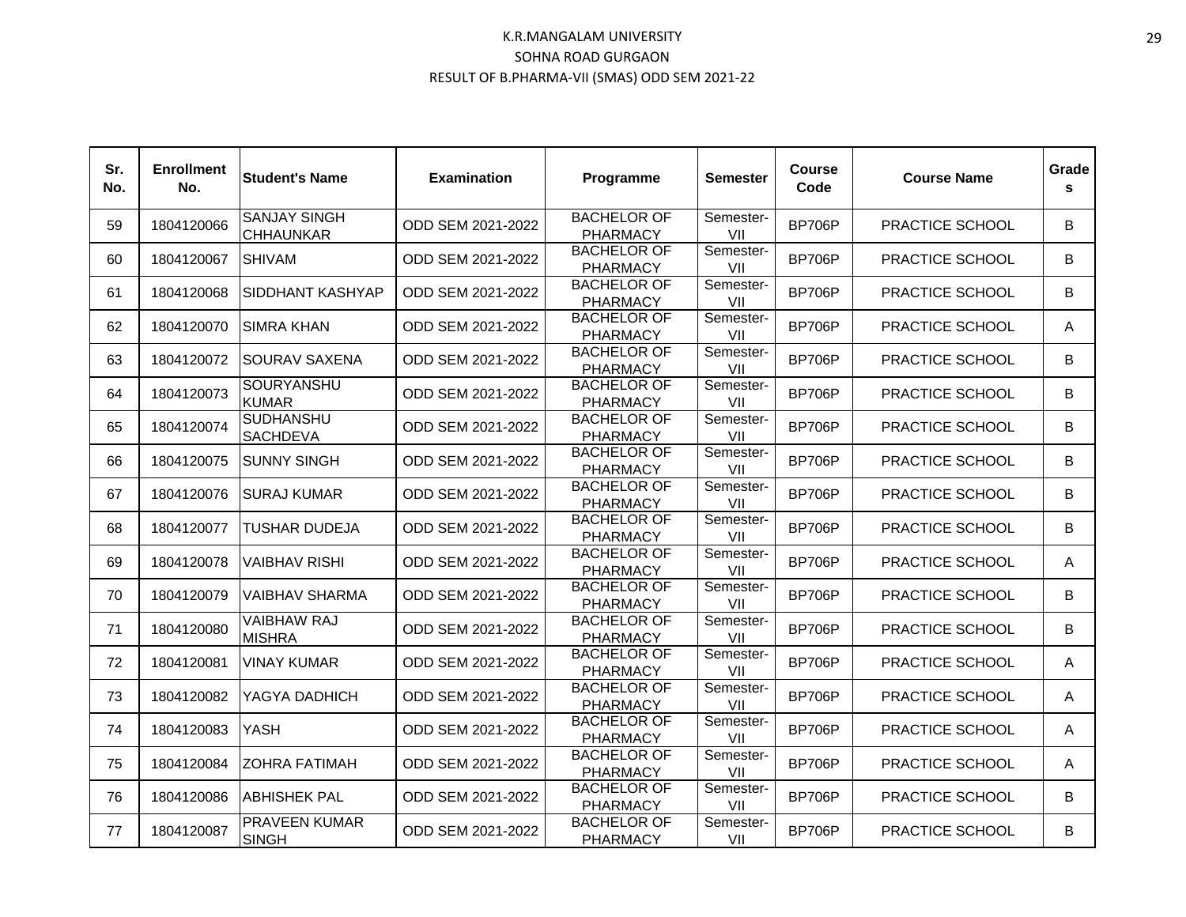| Sr.<br>No. | <b>Enrollment</b><br>No. | <b>Student's Name</b>                   | <b>Examination</b> | Programme                             | Semester         | <b>Course</b><br>Code | <b>Course Name</b>     | Grade<br>s |
|------------|--------------------------|-----------------------------------------|--------------------|---------------------------------------|------------------|-----------------------|------------------------|------------|
| 59         | 1804120066               | <b>SANJAY SINGH</b><br><b>CHHAUNKAR</b> | ODD SEM 2021-2022  | <b>BACHELOR OF</b><br><b>PHARMACY</b> | Semester-<br>VII | <b>BP706P</b>         | PRACTICE SCHOOL        | B          |
| 60         | 1804120067               | <b>SHIVAM</b>                           | ODD SEM 2021-2022  | <b>BACHELOR OF</b><br><b>PHARMACY</b> | Semester-<br>VII | <b>BP706P</b>         | PRACTICE SCHOOL        | B          |
| 61         | 1804120068               | SIDDHANT KASHYAP                        | ODD SEM 2021-2022  | <b>BACHELOR OF</b><br><b>PHARMACY</b> | Semester-<br>VII | <b>BP706P</b>         | PRACTICE SCHOOL        | B          |
| 62         | 1804120070               | <b>SIMRA KHAN</b>                       | ODD SEM 2021-2022  | <b>BACHELOR OF</b><br><b>PHARMACY</b> | Semester-<br>VII | <b>BP706P</b>         | PRACTICE SCHOOL        | A          |
| 63         | 1804120072               | <b>SOURAV SAXENA</b>                    | ODD SEM 2021-2022  | <b>BACHELOR OF</b><br><b>PHARMACY</b> | Semester-<br>VII | <b>BP706P</b>         | PRACTICE SCHOOL        | B          |
| 64         | 1804120073               | SOURYANSHU<br><b>KUMAR</b>              | ODD SEM 2021-2022  | <b>BACHELOR OF</b><br><b>PHARMACY</b> | Semester-<br>VII | <b>BP706P</b>         | PRACTICE SCHOOL        | B          |
| 65         | 1804120074               | <b>SUDHANSHU</b><br><b>SACHDEVA</b>     | ODD SEM 2021-2022  | <b>BACHELOR OF</b><br><b>PHARMACY</b> | Semester-<br>VII | <b>BP706P</b>         | PRACTICE SCHOOL        | B          |
| 66         | 1804120075               | <b>SUNNY SINGH</b>                      | ODD SEM 2021-2022  | <b>BACHELOR OF</b><br><b>PHARMACY</b> | Semester-<br>VII | <b>BP706P</b>         | PRACTICE SCHOOL        | B          |
| 67         | 1804120076               | ISURAJ KUMAR                            | ODD SEM 2021-2022  | <b>BACHELOR OF</b><br><b>PHARMACY</b> | Semester-<br>VII | <b>BP706P</b>         | <b>PRACTICE SCHOOL</b> | B          |
| 68         | 1804120077               | TUSHAR DUDEJA                           | ODD SEM 2021-2022  | <b>BACHELOR OF</b><br><b>PHARMACY</b> | Semester-<br>VII | <b>BP706P</b>         | PRACTICE SCHOOL        | B          |
| 69         | 1804120078               | <b>VAIBHAV RISHI</b>                    | ODD SEM 2021-2022  | <b>BACHELOR OF</b><br><b>PHARMACY</b> | Semester-<br>VII | <b>BP706P</b>         | PRACTICE SCHOOL        | A          |
| 70         | 1804120079               | <b>VAIBHAV SHARMA</b>                   | ODD SEM 2021-2022  | <b>BACHELOR OF</b><br><b>PHARMACY</b> | Semester-<br>VII | <b>BP706P</b>         | PRACTICE SCHOOL        | B          |
| 71         | 1804120080               | <b>VAIBHAW RAJ</b><br><b>MISHRA</b>     | ODD SEM 2021-2022  | <b>BACHELOR OF</b><br><b>PHARMACY</b> | Semester-<br>VII | <b>BP706P</b>         | PRACTICE SCHOOL        | B          |
| 72         | 1804120081               | <b>VINAY KUMAR</b>                      | ODD SEM 2021-2022  | <b>BACHELOR OF</b><br><b>PHARMACY</b> | Semester-<br>VII | <b>BP706P</b>         | PRACTICE SCHOOL        | A          |
| 73         | 1804120082               | YAGYA DADHICH                           | ODD SEM 2021-2022  | <b>BACHELOR OF</b><br><b>PHARMACY</b> | Semester-<br>VII | <b>BP706P</b>         | PRACTICE SCHOOL        | A          |
| 74         | 1804120083               | YASH                                    | ODD SEM 2021-2022  | <b>BACHELOR OF</b><br><b>PHARMACY</b> | Semester-<br>VII | <b>BP706P</b>         | PRACTICE SCHOOL        | A          |
| 75         | 1804120084               | <b>ZOHRA FATIMAH</b>                    | ODD SEM 2021-2022  | <b>BACHELOR OF</b><br><b>PHARMACY</b> | Semester-<br>VII | <b>BP706P</b>         | PRACTICE SCHOOL        | A          |
| 76         | 1804120086               | <b>ABHISHEK PAL</b>                     | ODD SEM 2021-2022  | <b>BACHELOR OF</b><br><b>PHARMACY</b> | Semester-<br>VII | <b>BP706P</b>         | PRACTICE SCHOOL        | B          |
| 77         | 1804120087               | <b>PRAVEEN KUMAR</b><br><b>SINGH</b>    | ODD SEM 2021-2022  | <b>BACHELOR OF</b><br><b>PHARMACY</b> | Semester-<br>VII | <b>BP706P</b>         | PRACTICE SCHOOL        | B          |